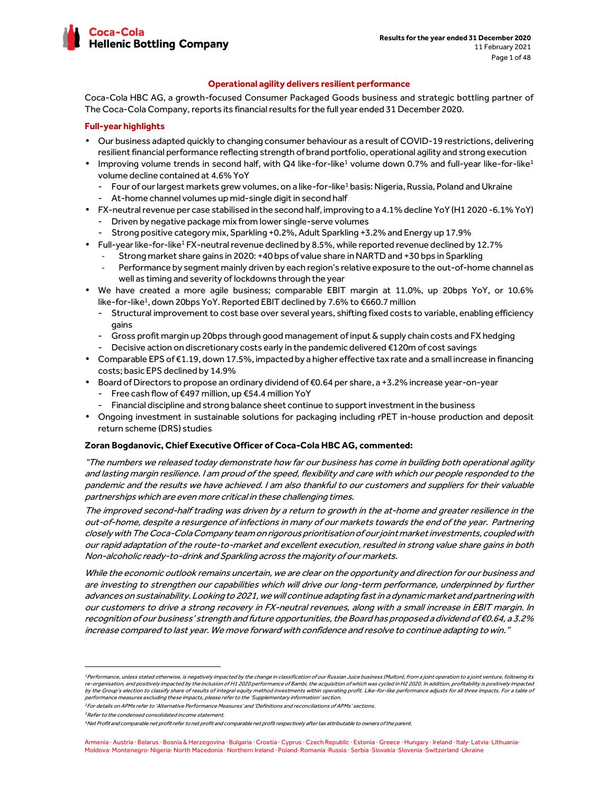

#### **Operational agility delivers resilient performance**

Coca-Cola HBC AG, a growth-focused Consumer Packaged Goods business and strategic bottling partner of The Coca-Cola Company, reports its financial results for the full year ended 31 December 2020.

### **Full-year highlights**

- Our business adapted quickly to changing consumer behaviour as a result of COVID-19 restrictions, delivering resilient financial performance reflecting strength of brand portfolio, operational agility and strong execution
- $\bullet$  Improving volume trends in second half, with Q4 like-for-like<sup>1</sup> volume down 0.7% and full-year like-for-like<sup>1</sup> volume decline contained at 4.6% YoY
	- Four of our largest markets grew volumes, on a like-for-like<sup>1</sup> basis: Nigeria, Russia, Poland and Ukraine - At-home channel volumes up mid-single digit in second half
- FX-neutral revenue per case stabilised in the second half, improving to a 4.1% decline YoY (H1 2020 -6.1% YoY) - Driven by negative package mix from lower single-serve volumes
	- Strong positive category mix, Sparkling +0.2%, Adult Sparkling +3.2% and Energy up 17.9%
- Full-year like-for-like<sup>1</sup> FX-neutral revenue declined by 8.5%, while reported revenue declined by 12.7%
	- Strong market share gains in 2020: +40 bps of value share in NARTD and +30 bps in Sparkling
		- Performance by segment mainly driven by each region's relative exposure to the out-of-home channel as well as timing and severity of lockdowns through the year
- We have created a more agile business; comparable EBIT margin at 11.0%, up 20bps YoY, or 10.6% like-for-like<sup>1</sup>, down 20bps YoY. Reported EBIT declined by 7.6% to €660.7 million
	- Structural improvement to cost base over several years, shifting fixed costs to variable, enabling efficiency gains
	- Gross profit margin up 20bps through good management of input & supply chain costs and FX hedging - Decisive action on discretionary costs early in the pandemic delivered €120m of cost savings
- Comparable EPS of €1.19, down 17.5%, impacted by a higher effective tax rate and a small increase in financing costs; basic EPS declined by 14.9%
- Board of Directors to propose an ordinary dividend of €0.64 per share, a +3.2% increase year-on-year
	- Free cash flow of €497 million, up €54.4 million YoY
	- Financial discipline and strong balance sheet continue to support investment in the business
- Ongoing investment in sustainable solutions for packaging including rPET in-house production and deposit return scheme (DRS) studies

#### **Zoran Bogdanovic, Chief Executive Officer of Coca-Cola HBC AG, commented:**

"The numbers we released today demonstrate how far our business has come in building both operational agility and lasting margin resilience. I am proud of the speed, flexibility and care with which our people responded to the pandemic and the results we have achieved. I am also thankful to our customers and suppliers for their valuable partnerships which are even more critical in these challenging times.

The improved second-half trading was driven by a return to growth in the at-home and greater resilience in the out-of-home, despite a resurgence of infections in many of our markets towards the end of the year. Partnering closely with The Coca-Cola Company team on rigorous prioritisation of our joint market investments, coupled with our rapid adaptation of the route-to-market and excellent execution, resulted in strong value share gains in both Non-alcoholic ready-to-drink and Sparkling across the majority of our markets.

While the economic outlook remains uncertain, we are clear on the opportunity and direction for our business and are investing to strengthen our capabilities which will drive our long-term performance, underpinned by further advances on sustainability. Looking to 2021, we will continue adapting fast in a dynamic market and partnering with our customers to drive a strong recovery in FX-neutral revenues, along with a small increase in EBIT margin. In recognition of our business' strength and future opportunities, the Board has proposed a dividend of €0.64, a 3.2% increase compared to last year. We move forward with confidence and resolve to continue adapting to win."

<sup>&</sup>lt;sup>1</sup>Performance, unless stated otherwise, is negatively impacted by the change in classification of our Russian Juice business (Multon), from a joint operation to a joint venture, following its re-organisation, and positively impacted by the inclusion of H1 2020 performance of Bambi, the acquisition of which was cycled in H2 2020. In addition, profitability is positively impacted by the Group's election to classify share of results of integral equity method investments within operating profit. Like-for-like performance adjusts for all three impacts. For a table of performance measures excluding these impacts, please refer to the 'Supplementary information' section.

<sup>&</sup>lt;sup>2</sup> For details on APMs refer to 'Alternative Performance Measures' and 'Definitions and reconciliations of APMs' sections.

<sup>&</sup>lt;sup>3</sup>Refer to the condensed consolidated income statement.

<sup>4</sup>Net Profit and comparable net profit refer to net profit and comparable net profit respectively after tax attributable to owners of the parent.

Armenia · Austria · Belarus · Bosnia & Herzegovina · Bulgaria · Croatia · Cyprus · Czech Republic · Estonia · Greece · Hungary · Ireland · Italy· Latvia· Lithuania· Moldova· Montenegro· Nigeria· North Macedonia · Northern Ireland · Poland· Romania ·Russia · Serbia ·Slovakia ·Slovenia ·Switzerland ·Ukraine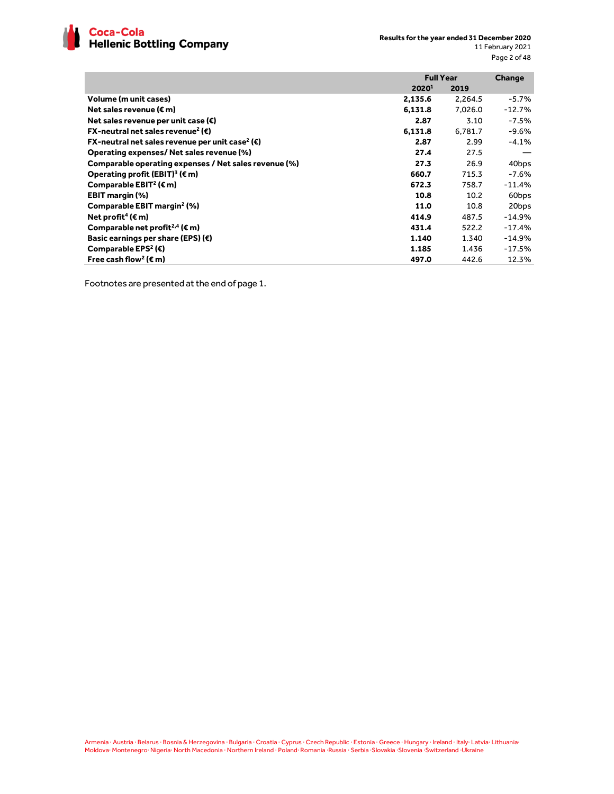

|                                                                        | <b>Full Year</b> |         | Change   |
|------------------------------------------------------------------------|------------------|---------|----------|
|                                                                        | 20201            | 2019    |          |
| Volume (m unit cases)                                                  | 2,135.6          | 2,264.5 | $-5.7%$  |
| Net sales revenue ( $\epsilon$ m)                                      | 6,131.8          | 7.026.0 | $-12.7%$ |
| Net sales revenue per unit case ( $\epsilon$ )                         | 2.87             | 3.10    | $-7.5%$  |
| <b>FX-neutral net sales revenue<sup>2</sup> (€)</b>                    | 6,131.8          | 6.781.7 | -9.6%    |
| FX-neutral net sales revenue per unit case <sup>2</sup> ( $\epsilon$ ) | 2.87             | 2.99    | $-4.1%$  |
| Operating expenses/ Net sales revenue (%)                              | 27.4             | 27.5    |          |
| Comparable operating expenses / Net sales revenue (%)                  | 27.3             | 26.9    | 40bps    |
| Operating profit (EBIT) <sup>3</sup> ( $\epsilon$ m)                   | 660.7            | 715.3   | -7.6%    |
| Comparable EBIT <sup>2</sup> ( $\epsilon$ m)                           | 672.3            | 758.7   | $-11.4%$ |
| <b>EBIT margin (%)</b>                                                 | 10.8             | 10.2    | 60bps    |
| Comparable EBIT margin <sup>2</sup> (%)                                | 11.0             | 10.8    | 20bps    |
| Net profit <sup>4</sup> ( $\epsilon$ m)                                | 414.9            | 487.5   | $-14.9%$ |
| Comparable net profit <sup>2,4</sup> ( $\epsilon$ m)                   | 431.4            | 522.2   | $-17.4%$ |
| Basic earnings per share (EPS) $(\epsilon)$                            | 1.140            | 1.340   | $-14.9%$ |
| Comparable EPS <sup>2</sup> (€)                                        | 1.185            | 1.436   | $-17.5%$ |
| Free cash flow <sup>2</sup> ( $\epsilon$ m)                            | 497.0            | 442.6   | 12.3%    |

Footnotes are presented at the end of page 1.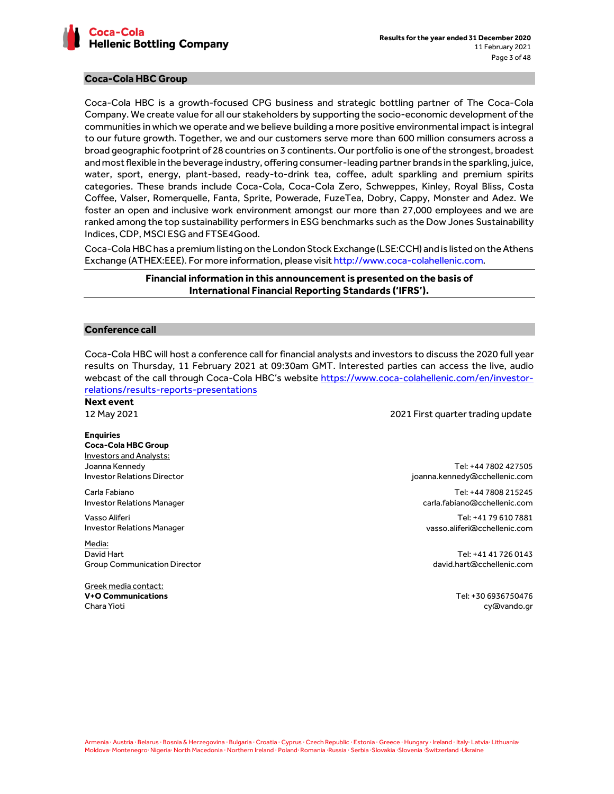

## **Coca-Cola HBC Group**

Coca-Cola HBC is a growth-focused CPG business and strategic bottling partner of The Coca-Cola Company. We create value for all our stakeholders by supporting the socio-economic development of the communities in which we operate and we believe building a more positive environmental impact is integral to our future growth. Together, we and our customers serve more than 600 million consumers across a broad geographic footprint of 28 countries on 3 continents. Our portfolio is one of the strongest, broadest and most flexible in the beverage industry, offering consumer-leading partner brands in the sparkling, juice, water, sport, energy, plant-based, ready-to-drink tea, coffee, adult sparkling and premium spirits categories. These brands include Coca-Cola, Coca-Cola Zero, Schweppes, Kinley, Royal Bliss, Costa Coffee, Valser, Romerquelle, Fanta, Sprite, Powerade, FuzeTea, Dobry, Cappy, Monster and Adez. We foster an open and inclusive work environment amongst our more than 27,000 employees and we are ranked among the top sustainability performers in ESG benchmarks such as the Dow Jones Sustainability Indices, CDP, MSCI ESG and FTSE4Good.

Coca-Cola HBC has a premium listing on the London Stock Exchange (LSE:CCH) and is listed on the Athens Exchange (ATHEX:EEE). For more information, please visit http://www.coca-colahellenic.com.

# **Financial information in this announcement is presented on the basis of International Financial Reporting Standards ('IFRS').**

#### **Conference call**

Coca-Cola HBC will host a conference call for financial analysts and investors to discuss the 2020 full year results on Thursday, 11 February 2021 at 09:30am GMT. Interested parties can access the live, audio webcast of the call through Coca-Cola HBC's website https://www.coca-colahellenic.com/en/investorrelations/results-reports-presentations

**Next event** 

12 May 2021 2021 First quarter trading update

**Enquiries Coca-Cola HBC Group**  Investors and Analysts: Joanna Kennedy Investor Relations Director

Carla Fabiano Investor Relations Manager

Vasso Aliferi Investor Relations Manager

Media: David Hart Group Communication Director

Greek media contact: **V+O Communications** Chara Yioti

Tel: +44 7802 427505 joanna.kennedy@cchellenic.com

Tel: +44 7808 215245 carla.fabiano@cchellenic.com

Tel: +41 79 610 7881 vasso.aliferi@cchellenic.com

Tel: +41 41 726 0143 david.hart@cchellenic.com

> Tel: +30 6936750476 cy@vando.gr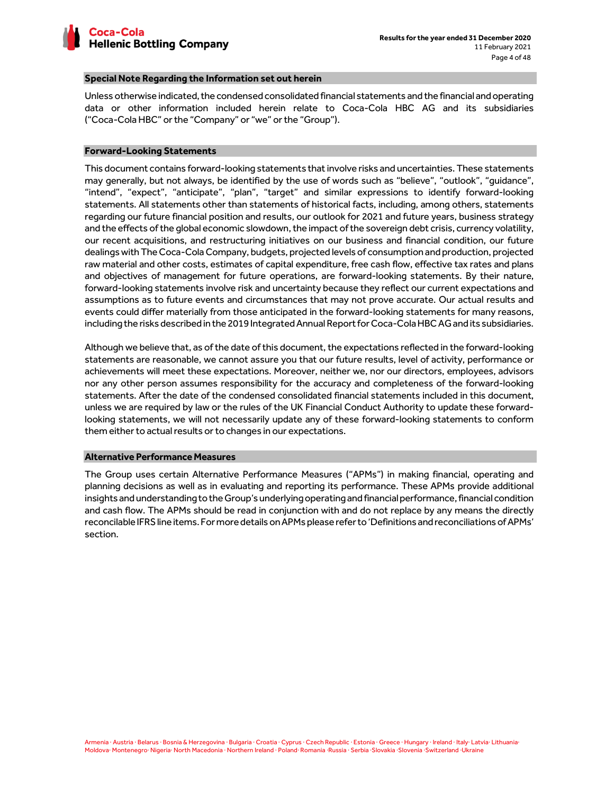

#### **Special Note Regarding the Information set out herein**

Unless otherwise indicated, the condensed consolidated financial statements and the financial and operating data or other information included herein relate to Coca-Cola HBC AG and its subsidiaries ("Coca-Cola HBC" or the "Company" or "we" or the "Group").

#### **Forward-Looking Statements**

This document contains forward-looking statements that involve risks and uncertainties. These statements may generally, but not always, be identified by the use of words such as "believe", "outlook", "guidance", "intend", "expect", "anticipate", "plan", "target" and similar expressions to identify forward-looking statements. All statements other than statements of historical facts, including, among others, statements regarding our future financial position and results, our outlook for 2021 and future years, business strategy and the effects of the global economic slowdown, the impact of the sovereign debt crisis, currency volatility, our recent acquisitions, and restructuring initiatives on our business and financial condition, our future dealings with The Coca-Cola Company, budgets, projected levels of consumption and production, projected raw material and other costs, estimates of capital expenditure, free cash flow, effective tax rates and plans and objectives of management for future operations, are forward-looking statements. By their nature, forward-looking statements involve risk and uncertainty because they reflect our current expectations and assumptions as to future events and circumstances that may not prove accurate. Our actual results and events could differ materially from those anticipated in the forward-looking statements for many reasons, including the risks described in the 2019 Integrated Annual Report for Coca-Cola HBC AG and its subsidiaries.

Although we believe that, as of the date of this document, the expectations reflected in the forward-looking statements are reasonable, we cannot assure you that our future results, level of activity, performance or achievements will meet these expectations. Moreover, neither we, nor our directors, employees, advisors nor any other person assumes responsibility for the accuracy and completeness of the forward-looking statements. After the date of the condensed consolidated financial statements included in this document, unless we are required by law or the rules of the UK Financial Conduct Authority to update these forwardlooking statements, we will not necessarily update any of these forward-looking statements to conform them either to actual results or to changes in our expectations.

### **Alternative Performance Measures**

The Group uses certain Alternative Performance Measures ("APMs") in making financial, operating and planning decisions as well as in evaluating and reporting its performance. These APMs provide additional insights and understanding to the Group's underlying operating and financial performance, financial condition and cash flow. The APMs should be read in conjunction with and do not replace by any means the directly reconcilable IFRS line items. For more details on APMs please refer to 'Definitions and reconciliations of APMs' section.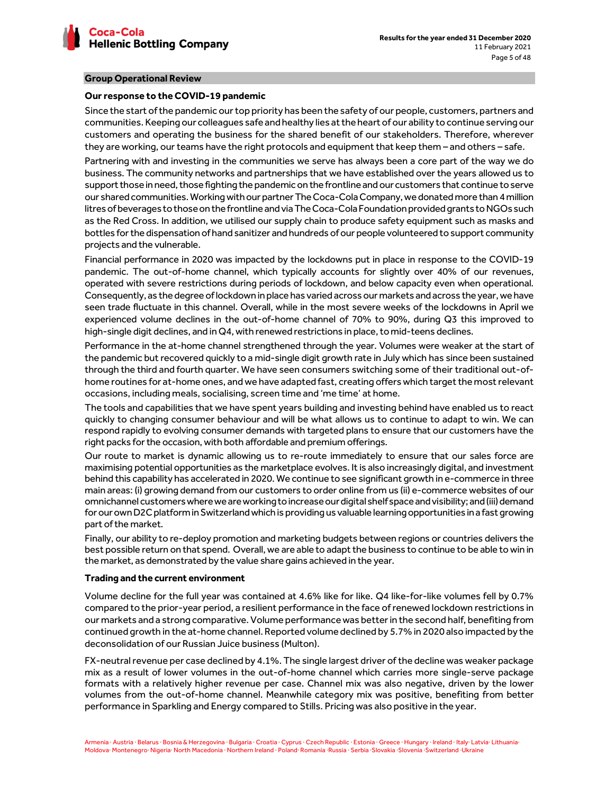

### **Group Operational Review**

#### **Our response to the COVID-19 pandemic**

Since the start of the pandemic our top priority has been the safety of our people, customers, partners and communities. Keeping our colleagues safe and healthy lies at the heart of our ability to continue serving our customers and operating the business for the shared benefit of our stakeholders. Therefore, wherever they are working, our teams have the right protocols and equipment that keep them – and others – safe.

Partnering with and investing in the communities we serve has always been a core part of the way we do business. The community networks and partnerships that we have established over the years allowed us to support those in need, those fighting the pandemic on the frontline and our customers that continue to serve our shared communities. Working with our partner The Coca-Cola Company, we donated more than 4 million litres of beverages to those on the frontline and via The Coca-Cola Foundation provided grants to NGOs such as the Red Cross. In addition, we utilised our supply chain to produce safety equipment such as masks and bottles for the dispensation of hand sanitizer and hundreds of our people volunteered to support community projects and the vulnerable.

Financial performance in 2020 was impacted by the lockdowns put in place in response to the COVID-19 pandemic. The out-of-home channel, which typically accounts for slightly over 40% of our revenues, operated with severe restrictions during periods of lockdown, and below capacity even when operational. Consequently, as the degree of lockdown in place has varied across our markets and across the year, we have seen trade fluctuate in this channel. Overall, while in the most severe weeks of the lockdowns in April we experienced volume declines in the out-of-home channel of 70% to 90%, during Q3 this improved to high-single digit declines, and in Q4, with renewed restrictions in place, to mid-teens declines.

Performance in the at-home channel strengthened through the year. Volumes were weaker at the start of the pandemic but recovered quickly to a mid-single digit growth rate in July which has since been sustained through the third and fourth quarter. We have seen consumers switching some of their traditional out-ofhome routines for at-home ones, and we have adapted fast, creating offers which target the most relevant occasions, including meals, socialising, screen time and 'me time' at home.

The tools and capabilities that we have spent years building and investing behind have enabled us to react quickly to changing consumer behaviour and will be what allows us to continue to adapt to win. We can respond rapidly to evolving consumer demands with targeted plans to ensure that our customers have the right packs for the occasion, with both affordable and premium offerings.

Our route to market is dynamic allowing us to re-route immediately to ensure that our sales force are maximising potential opportunities as the marketplace evolves. It is also increasingly digital, and investment behind this capability has accelerated in 2020. We continue to see significant growth in e-commerce in three main areas: (i) growing demand from our customers to order online from us (ii) e-commerce websites of our omnichannel customers where we are working to increase our digital shelf space and visibility; and (iii) demand for our own D2C platform in Switzerland which is providing us valuable learning opportunities in a fast growing part of the market.

Finally, our ability to re-deploy promotion and marketing budgets between regions or countries delivers the best possible return on that spend. Overall, we are able to adapt the business to continue to be able to win in the market, as demonstrated by the value share gains achieved in the year.

#### **Trading and the current environment**

Volume decline for the full year was contained at 4.6% like for like. Q4 like-for-like volumes fell by 0.7% compared to the prior-year period, a resilient performance in the face of renewed lockdown restrictions in our markets and a strong comparative. Volume performance was better in the second half, benefiting from continued growth in the at-home channel. Reported volume declined by 5.7% in 2020 also impacted by the deconsolidation of our Russian Juice business (Multon).

FX-neutral revenue per case declined by 4.1%. The single largest driver of the decline was weaker package mix as a result of lower volumes in the out-of-home channel which carries more single-serve package formats with a relatively higher revenue per case. Channel mix was also negative, driven by the lower volumes from the out-of-home channel. Meanwhile category mix was positive, benefiting from better performance in Sparkling and Energy compared to Stills. Pricing was also positive in the year.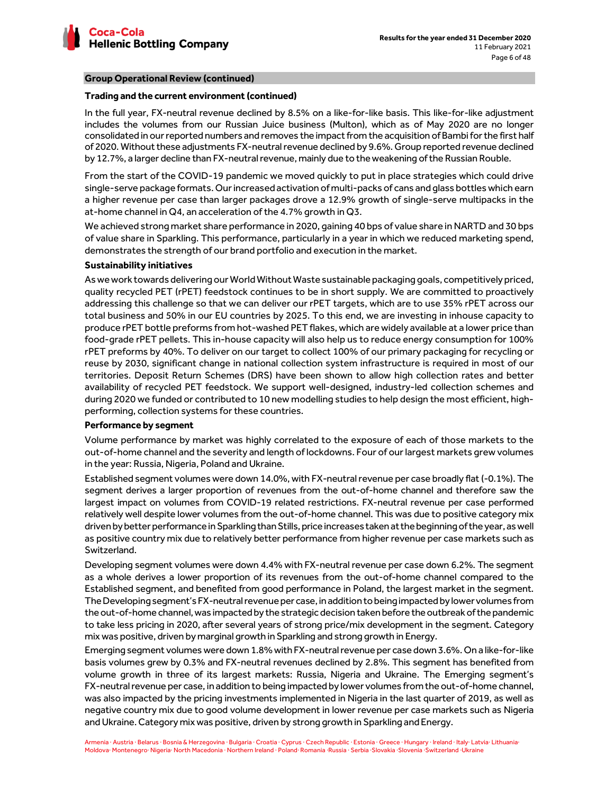

# **Group Operational Review (continued)**

# **Trading and the current environment (continued)**

In the full year, FX-neutral revenue declined by 8.5% on a like-for-like basis. This like-for-like adjustment includes the volumes from our Russian Juice business (Multon), which as of May 2020 are no longer consolidated in our reported numbers and removes the impact from the acquisition of Bambi for the first half of 2020. Without these adjustments FX-neutral revenue declined by 9.6%. Group reported revenue declined by 12.7%, a larger decline than FX-neutral revenue, mainly due to the weakening of the Russian Rouble.

From the start of the COVID-19 pandemic we moved quickly to put in place strategies which could drive single-serve package formats. Our increased activation of multi-packs of cans and glass bottles which earn a higher revenue per case than larger packages drove a 12.9% growth of single-serve multipacks in the at-home channel in Q4, an acceleration of the 4.7% growth in Q3.

We achieved strong market share performance in 2020, gaining 40 bps of value share in NARTD and 30 bps of value share in Sparkling. This performance, particularly in a year in which we reduced marketing spend, demonstrates the strength of our brand portfolio and execution in the market.

# **Sustainability initiatives**

As we work towards delivering our World Without Waste sustainable packaging goals, competitively priced, quality recycled PET (rPET) feedstock continues to be in short supply. We are committed to proactively addressing this challenge so that we can deliver our rPET targets, which are to use 35% rPET across our total business and 50% in our EU countries by 2025. To this end, we are investing in inhouse capacity to produce rPET bottle preforms from hot-washed PET flakes, which are widely available at a lower price than food-grade rPET pellets. This in-house capacity will also help us to reduce energy consumption for 100% rPET preforms by 40%. To deliver on our target to collect 100% of our primary packaging for recycling or reuse by 2030, significant change in national collection system infrastructure is required in most of our territories. Deposit Return Schemes (DRS) have been shown to allow high collection rates and better availability of recycled PET feedstock. We support well-designed, industry-led collection schemes and during 2020 we funded or contributed to 10 new modelling studies to help design the most efficient, highperforming, collection systems for these countries.

# **Performance by segment**

Volume performance by market was highly correlated to the exposure of each of those markets to the out-of-home channel and the severity and length of lockdowns. Four of our largest markets grew volumes in the year: Russia, Nigeria, Poland and Ukraine.

Established segment volumes were down 14.0%, with FX-neutral revenue per case broadly flat (-0.1%). The segment derives a larger proportion of revenues from the out-of-home channel and therefore saw the largest impact on volumes from COVID-19 related restrictions. FX-neutral revenue per case performed relatively well despite lower volumes from the out-of-home channel. This was due to positive category mix driven by better performance in Sparkling than Stills, price increases taken at the beginning of the year, as well as positive country mix due to relatively better performance from higher revenue per case markets such as Switzerland.

Developing segment volumes were down 4.4% with FX-neutral revenue per case down 6.2%. The segment as a whole derives a lower proportion of its revenues from the out-of-home channel compared to the Established segment, and benefited from good performance in Poland, the largest market in the segment. The Developing segment's FX-neutral revenue per case, in addition to being impacted by lower volumes from the out-of-home channel, was impacted by the strategic decision taken before the outbreak of the pandemic to take less pricing in 2020, after several years of strong price/mix development in the segment. Category mix was positive, driven by marginal growth in Sparkling and strong growth in Energy.

Emerging segment volumes were down 1.8% with FX-neutral revenue per case down 3.6%. On a like-for-like basis volumes grew by 0.3% and FX-neutral revenues declined by 2.8%. This segment has benefited from volume growth in three of its largest markets: Russia, Nigeria and Ukraine. The Emerging segment's FX-neutral revenue per case, in addition to being impacted by lower volumes from the out-of-home channel, was also impacted by the pricing investments implemented in Nigeria in the last quarter of 2019, as well as negative country mix due to good volume development in lower revenue per case markets such as Nigeria and Ukraine. Category mix was positive, driven by strong growth in Sparkling and Energy.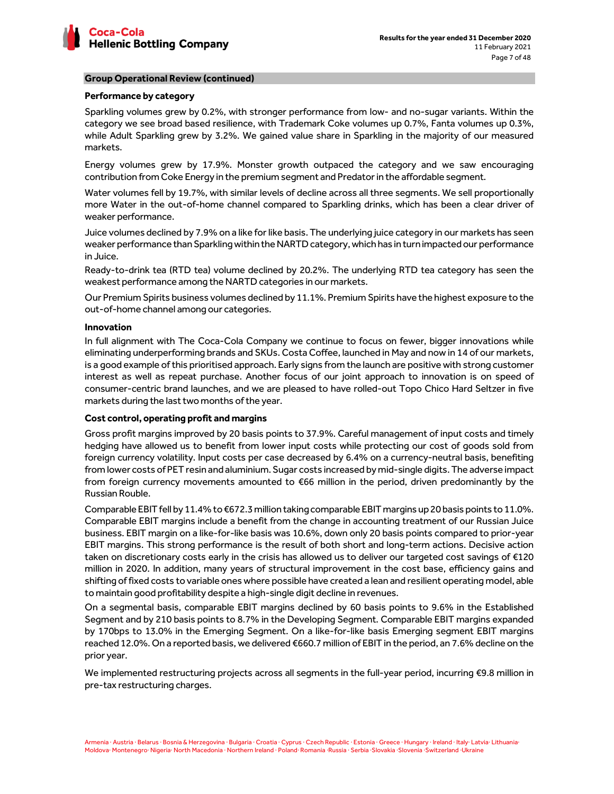

# **Group Operational Review (continued)**

## **Performance by category**

Sparkling volumes grew by 0.2%, with stronger performance from low- and no-sugar variants. Within the category we see broad based resilience, with Trademark Coke volumes up 0.7%, Fanta volumes up 0.3%, while Adult Sparkling grew by 3.2%. We gained value share in Sparkling in the majority of our measured markets.

Energy volumes grew by 17.9%. Monster growth outpaced the category and we saw encouraging contribution from Coke Energy in the premium segment and Predator in the affordable segment.

Water volumes fell by 19.7%, with similar levels of decline across all three segments. We sell proportionally more Water in the out-of-home channel compared to Sparkling drinks, which has been a clear driver of weaker performance.

Juice volumes declined by 7.9% on a like for like basis. The underlying juice category in our markets has seen weaker performance than Sparkling within the NARTD category, which has in turn impacted our performance in Juice.

Ready-to-drink tea (RTD tea) volume declined by 20.2%. The underlying RTD tea category has seen the weakest performance among the NARTD categories in our markets.

Our Premium Spirits business volumes declined by 11.1%. Premium Spirits have the highest exposure to the out-of-home channel among our categories.

#### **Innovation**

In full alignment with The Coca-Cola Company we continue to focus on fewer, bigger innovations while eliminating underperforming brands and SKUs. Costa Coffee, launched in May and now in 14 of our markets, is a good example of this prioritised approach. Early signs from the launch are positive with strong customer interest as well as repeat purchase. Another focus of our joint approach to innovation is on speed of consumer-centric brand launches, and we are pleased to have rolled-out Topo Chico Hard Seltzer in five markets during the last two months of the year.

# **Cost control, operating profit and margins**

Gross profit margins improved by 20 basis points to 37.9%. Careful management of input costs and timely hedging have allowed us to benefit from lower input costs while protecting our cost of goods sold from foreign currency volatility. Input costs per case decreased by 6.4% on a currency-neutral basis, benefiting from lower costs of PET resin and aluminium. Sugar costs increased by mid-single digits. The adverse impact from foreign currency movements amounted to €66 million in the period, driven predominantly by the Russian Rouble.

Comparable EBIT fell by 11.4% to €672.3 million taking comparable EBIT margins up 20 basis points to 11.0%. Comparable EBIT margins include a benefit from the change in accounting treatment of our Russian Juice business. EBIT margin on a like-for-like basis was 10.6%, down only 20 basis points compared to prior-year EBIT margins. This strong performance is the result of both short and long-term actions. Decisive action taken on discretionary costs early in the crisis has allowed us to deliver our targeted cost savings of €120 million in 2020. In addition, many years of structural improvement in the cost base, efficiency gains and shifting of fixed costs to variable ones where possible have created a lean and resilient operating model, able to maintain good profitability despite a high-single digit decline in revenues.

On a segmental basis, comparable EBIT margins declined by 60 basis points to 9.6% in the Established Segment and by 210 basis points to 8.7% in the Developing Segment. Comparable EBIT margins expanded by 170bps to 13.0% in the Emerging Segment. On a like-for-like basis Emerging segment EBIT margins reached 12.0%. On a reported basis, we delivered €660.7 million of EBIT in the period, an 7.6% decline on the prior year.

We implemented restructuring projects across all segments in the full-year period, incurring €9.8 million in pre-tax restructuring charges.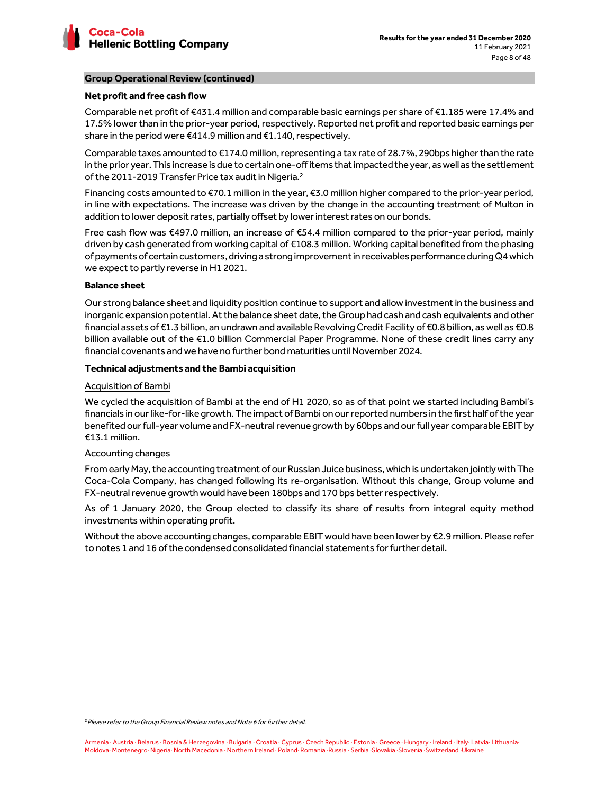

# **Group Operational Review (continued)**

## **Net profit and free cash flow**

Comparable net profit of €431.4 million and comparable basic earnings per share of €1.185 were 17.4% and 17.5% lower than in the prior-year period, respectively. Reported net profit and reported basic earnings per share in the period were €414.9 million and €1.140, respectively.

Comparable taxes amounted to €174.0 million, representing a tax rate of 28.7%, 290bps higher than the rate in the prior year. This increase is due to certain one-off items that impacted the year, as well as the settlement of the 2011-2019 Transfer Price tax audit in Nigeria.<sup>2</sup>

Financing costs amounted to €70.1 million in the year, €3.0 million higher compared to the prior-year period, in line with expectations. The increase was driven by the change in the accounting treatment of Multon in addition to lower deposit rates, partially offset by lower interest rates on our bonds.

Free cash flow was €497.0 million, an increase of €54.4 million compared to the prior-year period, mainly driven by cash generated from working capital of €108.3 million. Working capital benefited from the phasing of payments of certain customers, driving a strong improvement in receivables performance during Q4 which we expect to partly reverse in H1 2021.

### **Balance sheet**

Our strong balance sheet and liquidity position continue to support and allow investment in the business and inorganic expansion potential. At the balance sheet date, the Group had cash and cash equivalents and other financial assets of €1.3 billion, an undrawn and available Revolving Credit Facility of €0.8 billion, as well as €0.8 billion available out of the €1.0 billion Commercial Paper Programme. None of these credit lines carry any financial covenants and we have no further bond maturities until November 2024.

# **Technical adjustments and the Bambi acquisition**

# Acquisition of Bambi

We cycled the acquisition of Bambi at the end of H1 2020, so as of that point we started including Bambi's financials in our like-for-like growth. The impact of Bambi on our reported numbers in the first half of the year benefited our full-year volume and FX-neutral revenue growth by 60bps and our full year comparable EBIT by €13.1 million.

# Accounting changes

From early May, the accounting treatment of our Russian Juice business, which is undertaken jointly with The Coca-Cola Company, has changed following its re-organisation. Without this change, Group volume and FX-neutral revenue growth would have been 180bps and 170 bps better respectively.

As of 1 January 2020, the Group elected to classify its share of results from integral equity method investments within operating profit.

Without the above accounting changes, comparable EBIT would have been lower by €2.9 million. Please refer to notes 1 and 16 of the condensed consolidated financial statements for further detail.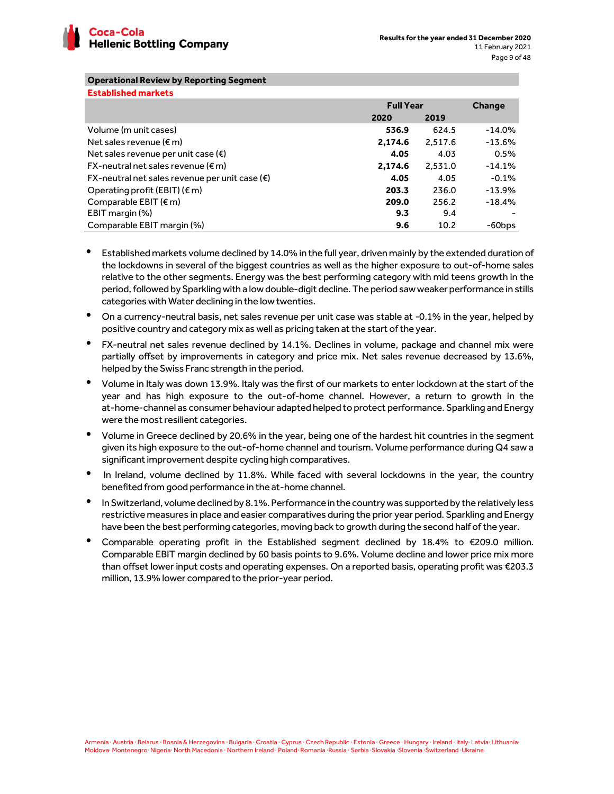

# **Operational Review by Reporting Segment**

| <b>Established markets</b>                                   |                  |         |           |
|--------------------------------------------------------------|------------------|---------|-----------|
|                                                              | <b>Full Year</b> |         | Change    |
|                                                              | 2020             | 2019    |           |
| Volume (m unit cases)                                        | 536.9            | 624.5   | $-14.0\%$ |
| Net sales revenue ( $\epsilon$ m)                            | 2,174.6          | 2,517.6 | $-13.6\%$ |
| Net sales revenue per unit case $(\epsilon)$                 | 4.05             | 4.03    | 0.5%      |
| $FX$ -neutral net sales revenue ( $\epsilon$ m)              | 2,174.6          | 2,531.0 | $-14.1%$  |
| $FX$ -neutral net sales revenue per unit case ( $\epsilon$ ) | 4.05             | 4.05    | $-0.1%$   |
| Operating profit (EBIT) $(\epsilon m)$                       | 203.3            | 236.0   | $-13.9%$  |
| Comparable EBIT $(\epsilon m)$                               | 209.0            | 256.2   | $-18.4%$  |
| EBIT margin (%)                                              | 9.3              | 9.4     |           |
| Comparable EBIT margin (%)                                   | 9.6              | 10.2    | -60bps    |

- Established markets volume declined by 14.0% in the full year, driven mainly by the extended duration of the lockdowns in several of the biggest countries as well as the higher exposure to out-of-home sales relative to the other segments. Energy was the best performing category with mid teens growth in the period, followed by Sparkling with a low double-digit decline. The period saw weaker performance in stills categories with Water declining in the low twenties.
- On a currency-neutral basis, net sales revenue per unit case was stable at -0.1% in the year, helped by positive country and category mix as well as pricing taken at the start of the year.
- FX-neutral net sales revenue declined by 14.1%. Declines in volume, package and channel mix were partially offset by improvements in category and price mix. Net sales revenue decreased by 13.6%, helped by the Swiss Franc strength in the period.
- Volume in Italy was down 13.9%. Italy was the first of our markets to enter lockdown at the start of the year and has high exposure to the out-of-home channel. However, a return to growth in the at-home-channel as consumer behaviour adapted helped to protect performance. Sparkling and Energy were the most resilient categories.
- Volume in Greece declined by 20.6% in the year, being one of the hardest hit countries in the segment given its high exposure to the out-of-home channel and tourism. Volume performance during Q4 saw a significant improvement despite cycling high comparatives.
- In Ireland, volume declined by 11.8%. While faced with several lockdowns in the year, the country benefited from good performance in the at-home channel.
- In Switzerland, volume declined by 8.1%. Performance in the country was supported by the relatively less restrictive measures in place and easier comparatives during the prior year period. Sparkling and Energy have been the best performing categories, moving back to growth during the second half of the year.
- Comparable operating profit in the Established segment declined by 18.4% to  $\epsilon$ 209.0 million. Comparable EBIT margin declined by 60 basis points to 9.6%. Volume decline and lower price mix more than offset lower input costs and operating expenses. On a reported basis, operating profit was €203.3 million, 13.9% lower compared to the prior-year period.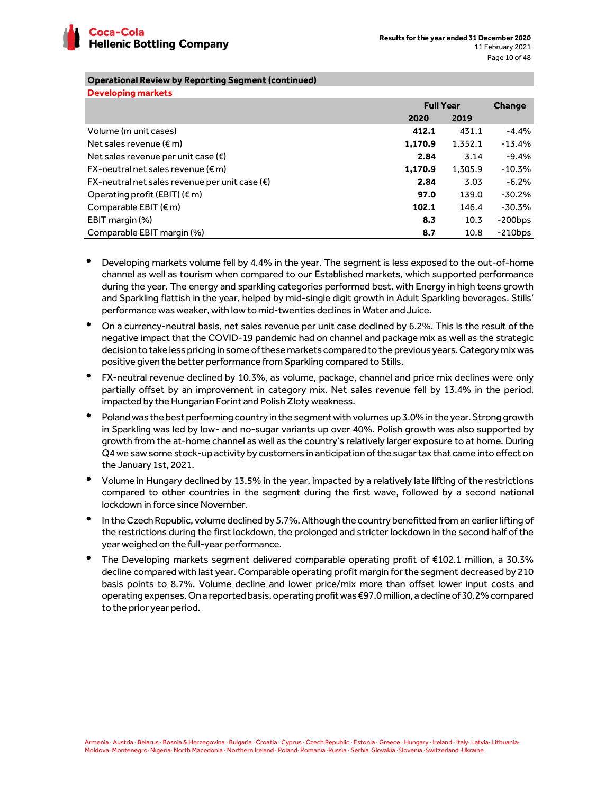

**Developing markets** 

# **Operational Review by Reporting Segment (continued)**

| <b>Developing markets</b>                               |                  |         |               |
|---------------------------------------------------------|------------------|---------|---------------|
|                                                         | <b>Full Year</b> |         | <b>Change</b> |
|                                                         | 2020             | 2019    |               |
| Volume (m unit cases)                                   | 412.1            | 431.1   | $-4.4%$       |
| Net sales revenue $(\epsilon m)$                        | 1,170.9          | 1,352.1 | $-13.4%$      |
| Net sales revenue per unit case $(\epsilon)$            | 2.84             | 3.14    | $-9.4%$       |
| $FX$ -neutral net sales revenue ( $\epsilon$ m)         | 1,170.9          | 1,305.9 | $-10.3%$      |
| FX-neutral net sales revenue per unit case $(\epsilon)$ | 2.84             | 3.03    | $-6.2\%$      |
| Operating profit (EBIT) $(\epsilon m)$                  | 97.0             | 139.0   | $-30.2%$      |
| Comparable EBIT $(\epsilon m)$                          | 102.1            | 146.4   | $-30.3%$      |
| EBIT margin (%)                                         | 8.3              | 10.3    | $-200$ bps    |
| Comparable EBIT margin (%)                              | 8.7              | 10.8    | $-210$ bps    |

- Developing markets volume fell by 4.4% in the year. The segment is less exposed to the out-of-home channel as well as tourism when compared to our Established markets, which supported performance during the year. The energy and sparkling categories performed best, with Energy in high teens growth and Sparkling flattish in the year, helped by mid-single digit growth in Adult Sparkling beverages. Stills' performance was weaker, with low to mid-twenties declines in Water and Juice.
- On a currency-neutral basis, net sales revenue per unit case declined by 6.2%. This is the result of the negative impact that the COVID-19 pandemic had on channel and package mix as well as the strategic decision to take less pricing in some of these markets compared to the previous years. Category mix was positive given the better performance from Sparkling compared to Stills.
- FX-neutral revenue declined by 10.3%, as volume, package, channel and price mix declines were only partially offset by an improvement in category mix. Net sales revenue fell by 13.4% in the period, impacted by the Hungarian Forint and Polish Zloty weakness.
- Poland was the best performing country in the segment with volumes up 3.0% in the year. Strong growth in Sparkling was led by low- and no-sugar variants up over 40%. Polish growth was also supported by growth from the at-home channel as well as the country's relatively larger exposure to at home. During Q4 we saw some stock-up activity by customers in anticipation of the sugar tax that came into effect on the January 1st, 2021.
- Volume in Hungary declined by 13.5% in the year, impacted by a relatively late lifting of the restrictions compared to other countries in the segment during the first wave, followed by a second national lockdown in force since November.
- In the Czech Republic, volume declined by 5.7%. Although the country benefitted from an earlier lifting of the restrictions during the first lockdown, the prolonged and stricter lockdown in the second half of the year weighed on the full-year performance.
- The Developing markets segment delivered comparable operating profit of €102.1 million, a 30.3% decline compared with last year. Comparable operating profit margin for the segment decreased by 210 basis points to 8.7%. Volume decline and lower price/mix more than offset lower input costs and operating expenses. On a reported basis, operating profit was €97.0 million, a decline of 30.2% compared to the prior year period.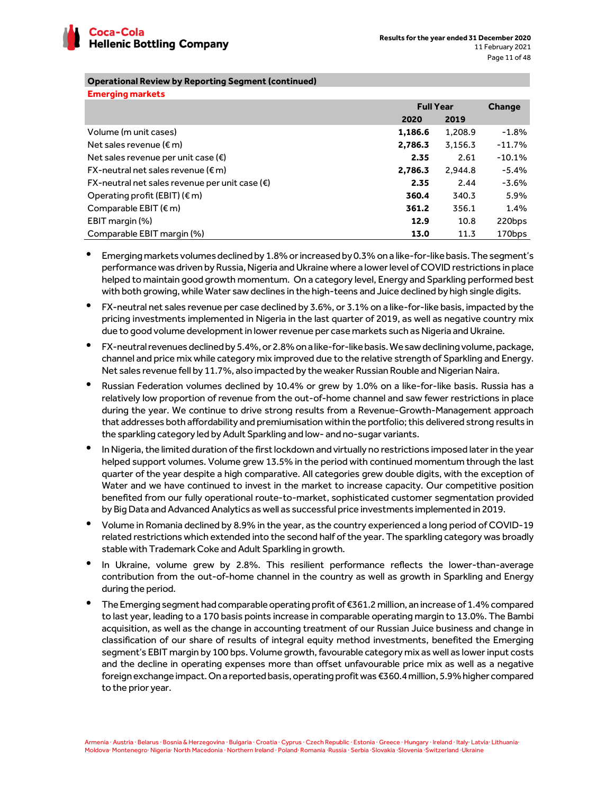

# **Operational Review by Reporting Segment (continued)**

| <b>Emerging markets</b>                                 |                  |         |               |
|---------------------------------------------------------|------------------|---------|---------------|
|                                                         | <b>Full Year</b> |         | <b>Change</b> |
|                                                         | 2020             | 2019    |               |
| Volume (m unit cases)                                   | 1,186.6          | 1,208.9 | $-1.8%$       |
| Net sales revenue ( $\epsilon$ m)                       | 2,786.3          | 3,156.3 | $-11.7%$      |
| Net sales revenue per unit case $(\epsilon)$            | 2.35             | 2.61    | $-10.1%$      |
| $FX$ -neutral net sales revenue ( $\epsilon$ m)         | 2,786.3          | 2,944.8 | $-5.4%$       |
| FX-neutral net sales revenue per unit case $(\epsilon)$ | 2.35             | 2.44    | -3.6%         |
| Operating profit (EBIT) ( $\varepsilon$ m)              | 360.4            | 340.3   | 5.9%          |
| Comparable EBIT $(\epsilon m)$                          | 361.2            | 356.1   | 1.4%          |
| EBIT margin (%)                                         | 12.9             | 10.8    | 220bps        |
| Comparable EBIT margin (%)                              | 13.0             | 11.3    | 170bps        |

- Emerging markets volumes declined by 1.8% or increased by 0.3% on a like-for-like basis. The segment's performance was driven by Russia, Nigeria and Ukraine where a lower level of COVID restrictions in place helped to maintain good growth momentum. On a category level, Energy and Sparkling performed best with both growing, while Water saw declines in the high-teens and Juice declined by high single digits.
- FX-neutral net sales revenue per case declined by 3.6%, or 3.1% on a like-for-like basis, impacted by the pricing investments implemented in Nigeria in the last quarter of 2019, as well as negative country mix due to good volume development in lower revenue per case markets such as Nigeria and Ukraine.
- FX-neutral revenues declined by 5.4%, or 2.8% on a like-for-like basis. We saw declining volume, package, channel and price mix while category mix improved due to the relative strength of Sparkling and Energy. Net sales revenue fell by 11.7%, also impacted by the weaker Russian Rouble and Nigerian Naira.
- Russian Federation volumes declined by 10.4% or grew by 1.0% on a like-for-like basis. Russia has a relatively low proportion of revenue from the out-of-home channel and saw fewer restrictions in place during the year. We continue to drive strong results from a Revenue-Growth-Management approach that addresses both affordability and premiumisation within the portfolio; this delivered strong results in the sparkling category led by Adult Sparkling and low- and no-sugar variants.
- In Nigeria, the limited duration of the first lockdown and virtually no restrictions imposed later in the year helped support volumes. Volume grew 13.5% in the period with continued momentum through the last quarter of the year despite a high comparative. All categories grew double digits, with the exception of Water and we have continued to invest in the market to increase capacity. Our competitive position benefited from our fully operational route-to-market, sophisticated customer segmentation provided by Big Data and Advanced Analytics as well as successful price investments implemented in 2019.
- Volume in Romania declined by 8.9% in the year, as the country experienced a long period of COVID-19 related restrictions which extended into the second half of the year. The sparkling category was broadly stable with Trademark Coke and Adult Sparkling in growth.
- In Ukraine, volume grew by 2.8%. This resilient performance reflects the lower-than-average contribution from the out-of-home channel in the country as well as growth in Sparkling and Energy during the period.
- The Emerging segment had comparable operating profit of €361.2 million, an increase of 1.4% compared to last year, leading to a 170 basis points increase in comparable operating margin to 13.0%. The Bambi acquisition, as well as the change in accounting treatment of our Russian Juice business and change in classification of our share of results of integral equity method investments, benefited the Emerging segment's EBIT margin by 100 bps. Volume growth, favourable category mix as well as lower input costs and the decline in operating expenses more than offset unfavourable price mix as well as a negative foreign exchange impact. On a reported basis, operating profit was €360.4 million, 5.9% higher compared to the prior year.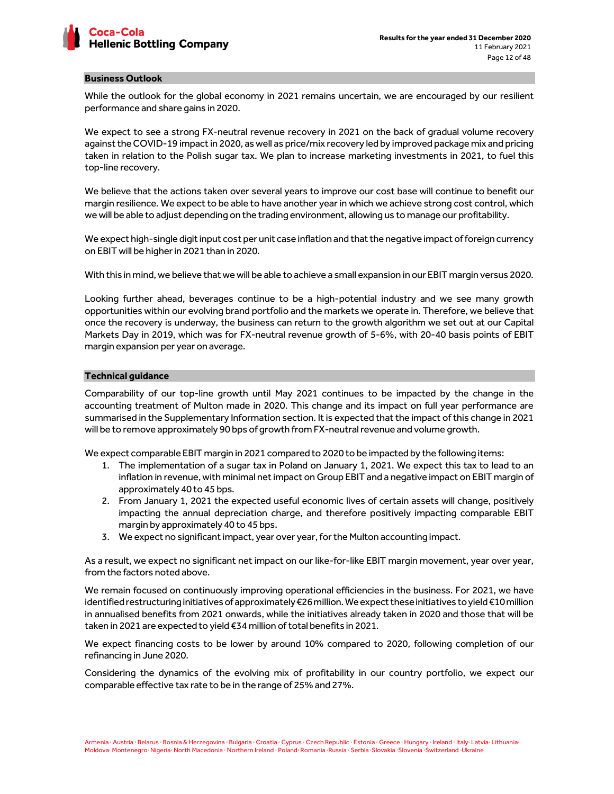

#### **Business Outlook**

While the outlook for the global economy in 2021 remains uncertain, we are encouraged by our resilient performance and share gains in 2020.

We expect to see a strong FX-neutral revenue recovery in 2021 on the back of gradual volume recovery against the COVID-19 impact in 2020, as well as price/mix recovery led by improved package mix and pricing taken in relation to the Polish sugar tax. We plan to increase marketing investments in 2021, to fuel this top-line recovery.

We believe that the actions taken over several years to improve our cost base will continue to benefit our margin resilience. We expect to be able to have another year in which we achieve strong cost control, which we will be able to adjust depending on the trading environment, allowing us to manage our profitability.

We expect high-single digit input cost per unit case inflation and that the negative impact of foreign currency on EBIT will be higher in 2021 than in 2020.

With this in mind, we believe that we will be able to achieve a small expansion in our EBIT margin versus 2020.

Looking further ahead, beverages continue to be a high-potential industry and we see many growth opportunities within our evolving brand portfolio and the markets we operate in. Therefore, we believe that once the recovery is underway, the business can return to the growth algorithm we set out at our Capital Markets Day in 2019, which was for FX-neutral revenue growth of 5-6%, with 20-40 basis points of EBIT margin expansion per year on average.

### **Technical guidance**

Comparability of our top-line growth until May 2021 continues to be impacted by the change in the accounting treatment of Multon made in 2020. This change and its impact on full year performance are summarised in the Supplementary Information section. It is expected that the impact of this change in 2021 will be to remove approximately 90 bps of growth from FX-neutral revenue and volume growth.

We expect comparable EBIT margin in 2021 compared to 2020 to be impacted by the following items:

- 1. The implementation of a sugar tax in Poland on January 1, 2021. We expect this tax to lead to an inflation in revenue, with minimal net impact on Group EBIT and a negative impact on EBIT margin of approximately 40 to 45 bps.
- 2. From January 1, 2021 the expected useful economic lives of certain assets will change, positively impacting the annual depreciation charge, and therefore positively impacting comparable EBIT margin by approximately 40 to 45 bps.
- 3. We expect no significant impact, year over year, for the Multon accounting impact.

As a result, we expect no significant net impact on our like-for-like EBIT margin movement, year over year, from the factors noted above.

We remain focused on continuously improving operational efficiencies in the business. For 2021, we have identified restructuring initiatives of approximately €26 million. We expect these initiatives to yield €10 million in annualised benefits from 2021 onwards, while the initiatives already taken in 2020 and those that will be taken in 2021 are expected to yield €34 million of total benefits in 2021.

We expect financing costs to be lower by around 10% compared to 2020, following completion of our refinancing in June 2020.

Considering the dynamics of the evolving mix of profitability in our country portfolio, we expect our comparable effective tax rate to be in the range of 25% and 27%.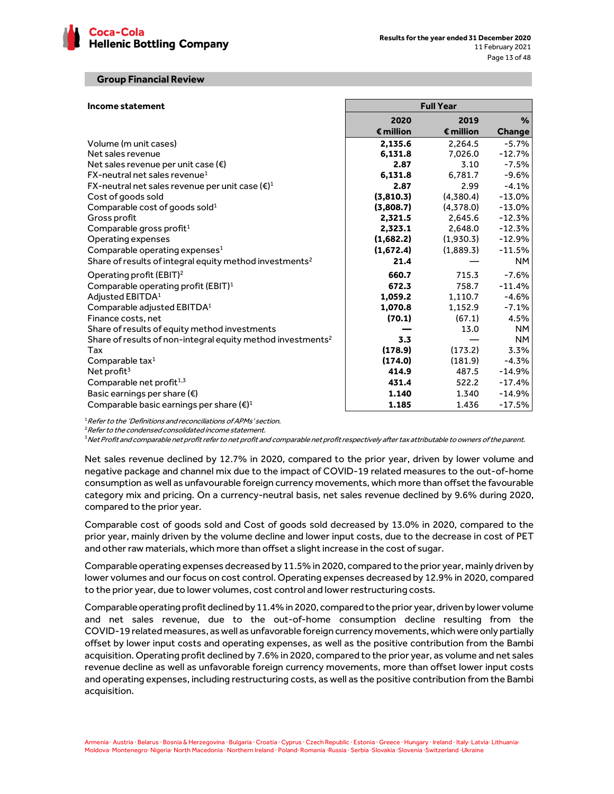

#### **Group Financial Review**

| Income statement                                                        |                    | <b>Full Year</b>   |           |
|-------------------------------------------------------------------------|--------------------|--------------------|-----------|
|                                                                         | 2020               | 2019               | $\%$      |
|                                                                         | $\epsilon$ million | $\epsilon$ million | Change    |
| Volume (m unit cases)                                                   | 2,135.6            | 2.264.5            | $-5.7%$   |
| Net sales revenue                                                       | 6,131.8            | 7,026.0            | $-12.7%$  |
| Net sales revenue per unit case $(\epsilon)$                            | 2.87               | 3.10               | -7.5%     |
| FX-neutral net sales revenue <sup>1</sup>                               | 6,131.8            | 6.781.7            | $-9.6%$   |
| FX-neutral net sales revenue per unit case $(\epsilon)^1$               | 2.87               | 2.99               | $-4.1%$   |
| Cost of goods sold                                                      | (3,810.3)          | (4,380.4)          | $-13.0\%$ |
| Comparable cost of goods sold <sup>1</sup>                              | (3,808.7)          | (4,378.0)          | $-13.0\%$ |
| Gross profit                                                            | 2,321.5            | 2.645.6            | $-12.3%$  |
| Comparable gross profit <sup>1</sup>                                    | 2,323.1            | 2,648.0            | $-12.3%$  |
| Operating expenses                                                      | (1,682.2)          | (1,930.3)          | $-12.9%$  |
| Comparable operating expenses <sup>1</sup>                              | (1,672.4)          | (1,889.3)          | $-11.5%$  |
| Share of results of integral equity method investments <sup>2</sup>     | 21.4               |                    | NM.       |
| Operating profit (EBIT) <sup>2</sup>                                    | 660.7              | 715.3              | $-7.6%$   |
| Comparable operating profit (EBIT) <sup>1</sup>                         | 672.3              | 758.7              | $-11.4%$  |
| Adjusted EBITDA <sup>1</sup>                                            | 1,059.2            | 1,110.7            | $-4.6%$   |
| Comparable adjusted EBITDA <sup>1</sup>                                 | 1,070.8            | 1,152.9            | $-7.1\%$  |
| Finance costs, net                                                      | (70.1)             | (67.1)             | 4.5%      |
| Share of results of equity method investments                           |                    | 13.0               | <b>NM</b> |
| Share of results of non-integral equity method investments <sup>2</sup> | 3.3                |                    | <b>NM</b> |
| Tax                                                                     | (178.9)            | (173.2)            | 3.3%      |
| Comparable tax $1$                                                      | (174.0)            | (181.9)            | $-4.3%$   |
| Net profit $3$                                                          | 414.9              | 487.5              | $-14.9%$  |
| Comparable net profit <sup>1,3</sup>                                    | 431.4              | 522.2              | $-17.4%$  |
| Basic earnings per share $(\epsilon)$                                   | 1.140              | 1.340              | $-14.9%$  |
| Comparable basic earnings per share $(\epsilon)^1$                      | 1.185              | 1.436              | $-17.5%$  |

<sup>1</sup> Refer to the 'Definitions and reconciliations of APMs' section.

<sup>2</sup> Refer to the condensed consolidated income statement.

<sup>3</sup>Net Profit and comparable net profit refer to net profit and comparable net profit respectively after tax attributable to owners of the parent.

Net sales revenue declined by 12.7% in 2020, compared to the prior year, driven by lower volume and negative package and channel mix due to the impact of COVID-19 related measures to the out-of-home consumption as well as unfavourable foreign currency movements, which more than offset the favourable category mix and pricing. On a currency-neutral basis, net sales revenue declined by 9.6% during 2020, compared to the prior year.

Comparable cost of goods sold and Cost of goods sold decreased by 13.0% in 2020, compared to the prior year, mainly driven by the volume decline and lower input costs, due to the decrease in cost of PET and other raw materials, which more than offset a slight increase in the cost of sugar.

Comparable operating expenses decreased by 11.5% in 2020, compared to the prior year, mainly driven by lower volumes and our focus on cost control. Operating expenses decreased by 12.9% in 2020, compared to the prior year, due to lower volumes, cost control and lower restructuring costs.

Comparable operating profit declined by 11.4% in 2020, compared to the prior year, driven by lower volume and net sales revenue, due to the out-of-home consumption decline resulting from the COVID-19 related measures, as well as unfavorable foreign currency movements, which were only partially offset by lower input costs and operating expenses, as well as the positive contribution from the Bambi acquisition. Operating profit declined by 7.6% in 2020, compared to the prior year, as volume and net sales revenue decline as well as unfavorable foreign currency movements, more than offset lower input costs and operating expenses, including restructuring costs, as well as the positive contribution from the Bambi acquisition.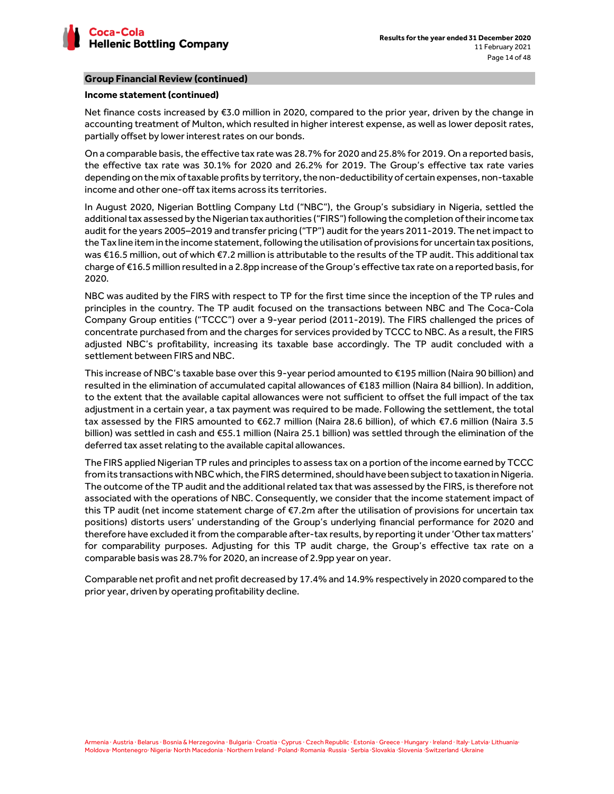

# **Group Financial Review (continued)**

### **Income statement (continued)**

Net finance costs increased by €3.0 million in 2020, compared to the prior year, driven by the change in accounting treatment of Multon, which resulted in higher interest expense, as well as lower deposit rates, partially offset by lower interest rates on our bonds.

On a comparable basis, the effective tax rate was 28.7% for 2020 and 25.8% for 2019. On a reported basis, the effective tax rate was 30.1% for 2020 and 26.2% for 2019. The Group's effective tax rate varies depending on the mix of taxable profits by territory, the non-deductibility of certain expenses, non-taxable income and other one-off tax items across its territories.

In August 2020, Nigerian Bottling Company Ltd ("NBC"), the Group's subsidiary in Nigeria, settled the additional tax assessed by the Nigerian tax authorities ("FIRS") following the completion of their income tax audit for the years 2005–2019 and transfer pricing ("TP") audit for the years 2011-2019. The net impact to the Tax line item in the income statement, following the utilisation of provisions for uncertain tax positions, was €16.5 million, out of which €7.2 million is attributable to the results of the TP audit. This additional tax charge of €16.5 million resulted in a 2.8pp increase of the Group's effective tax rate on a reported basis, for 2020.

NBC was audited by the FIRS with respect to TP for the first time since the inception of the TP rules and principles in the country. The TP audit focused on the transactions between NBC and The Coca-Cola Company Group entities ("TCCC") over a 9-year period (2011-2019). The FIRS challenged the prices of concentrate purchased from and the charges for services provided by TCCC to NBC. As a result, the FIRS adjusted NBC's profitability, increasing its taxable base accordingly. The TP audit concluded with a settlement between FIRS and NBC.

This increase of NBC's taxable base over this 9-year period amounted to €195 million (Naira 90 billion) and resulted in the elimination of accumulated capital allowances of €183 million (Naira 84 billion). In addition, to the extent that the available capital allowances were not sufficient to offset the full impact of the tax adjustment in a certain year, a tax payment was required to be made. Following the settlement, the total tax assessed by the FIRS amounted to €62.7 million (Naira 28.6 billion), of which €7.6 million (Naira 3.5 billion) was settled in cash and €55.1 million (Naira 25.1 billion) was settled through the elimination of the deferred tax asset relating to the available capital allowances.

The FIRS applied Nigerian TP rules and principles to assess tax on a portion of the income earned by TCCC from its transactions with NBC which, the FIRS determined, should have been subject to taxation in Nigeria. The outcome of the TP audit and the additional related tax that was assessed by the FIRS, is therefore not associated with the operations of NBC. Consequently, we consider that the income statement impact of this TP audit (net income statement charge of €7.2m after the utilisation of provisions for uncertain tax positions) distorts users' understanding of the Group's underlying financial performance for 2020 and therefore have excluded it from the comparable after-tax results, by reporting it under 'Other tax matters' for comparability purposes. Adjusting for this TP audit charge, the Group's effective tax rate on a comparable basis was 28.7% for 2020, an increase of 2.9pp year on year.

Comparable net profit and net profit decreased by 17.4% and 14.9% respectively in 2020 compared to the prior year, driven by operating profitability decline.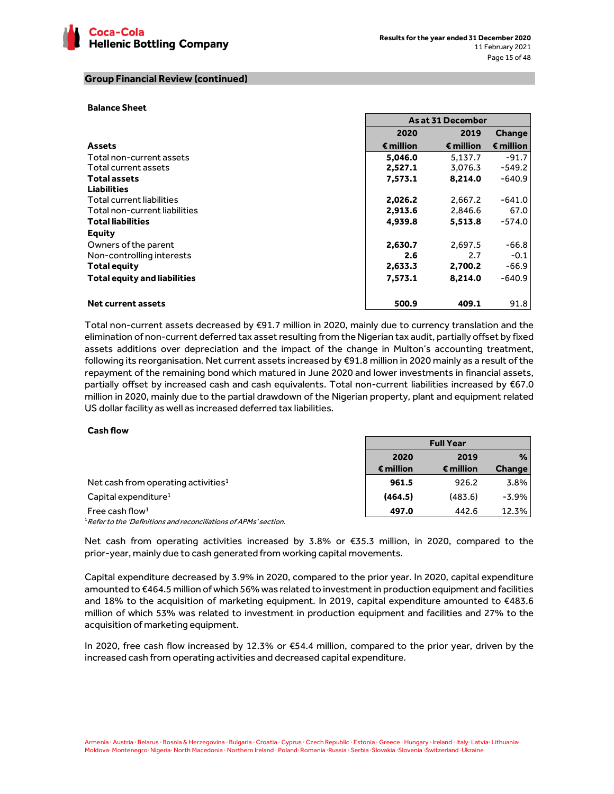

## **Group Financial Review (continued)**

#### **Balance Sheet**

|                                     |           | As at 31 December  |                    |
|-------------------------------------|-----------|--------------------|--------------------|
|                                     | 2020      | 2019               | Change             |
| <b>Assets</b>                       | € million | $\epsilon$ million | $\epsilon$ million |
| Total non-current assets            | 5.046.0   | 5.137.7            | $-91.7$            |
| Total current assets                | 2,527.1   | 3,076.3            | $-549.2$           |
| <b>Total assets</b>                 | 7,573.1   | 8,214.0            | $-640.9$           |
| <b>Liabilities</b>                  |           |                    |                    |
| Total current liabilities           | 2,026.2   | 2,667.2            | $-641.0$           |
| Total non-current liabilities       | 2,913.6   | 2,846.6            | 67.0               |
| <b>Total liabilities</b>            | 4,939.8   | 5,513.8            | $-574.0$           |
| <b>Equity</b>                       |           |                    |                    |
| Owners of the parent                | 2,630.7   | 2.697.5            | $-66.8$            |
| Non-controlling interests           | 2.6       | 2.7                | $-0.1$             |
| Total equity                        | 2,633.3   | 2,700.2            | $-66.9$            |
| <b>Total equity and liabilities</b> | 7,573.1   | 8.214.0            | $-640.9$           |
| <b>Net current assets</b>           | 500.9     | 409.1              | 91.8               |

Total non-current assets decreased by €91.7 million in 2020, mainly due to currency translation and the elimination of non-current deferred tax asset resulting from the Nigerian tax audit, partially offset by fixed assets additions over depreciation and the impact of the change in Multon's accounting treatment, following its reorganisation. Net current assets increased by €91.8 million in 2020 mainly as a result of the repayment of the remaining bond which matured in June 2020 and lower investments in financial assets, partially offset by increased cash and cash equivalents. Total non-current liabilities increased by €67.0 million in 2020, mainly due to the partial drawdown of the Nigerian property, plant and equipment related US dollar facility as well as increased deferred tax liabilities.

#### **Cash flow**

|                                                                      |                    | <b>Full Year</b> |        |
|----------------------------------------------------------------------|--------------------|------------------|--------|
|                                                                      | 2020               | 2019             | $\%$   |
|                                                                      | $\epsilon$ million | € million        | Change |
| Net cash from operating activities <sup>1</sup>                      | 961.5              | 926.2            | 3.8%   |
| Capital expenditure <sup>1</sup>                                     | (464.5)            | (483.6)          | -3.9%  |
| Free cash flow <sup>1</sup>                                          | 497.0              | 442.6            | 12.3%  |
| $^1$ Refer to the 'Definitions and reconciliations of APMs' section. |                    |                  |        |

Net cash from operating activities increased by 3.8% or €35.3 million, in 2020, compared to the prior-year, mainly due to cash generated from working capital movements.

Capital expenditure decreased by 3.9% in 2020, compared to the prior year. In 2020, capital expenditure amounted to €464.5 million of which 56% was related to investment in production equipment and facilities and 18% to the acquisition of marketing equipment. In 2019, capital expenditure amounted to €483.6 million of which 53% was related to investment in production equipment and facilities and 27% to the acquisition of marketing equipment.

In 2020, free cash flow increased by 12.3% or €54.4 million, compared to the prior year, driven by the increased cash from operating activities and decreased capital expenditure.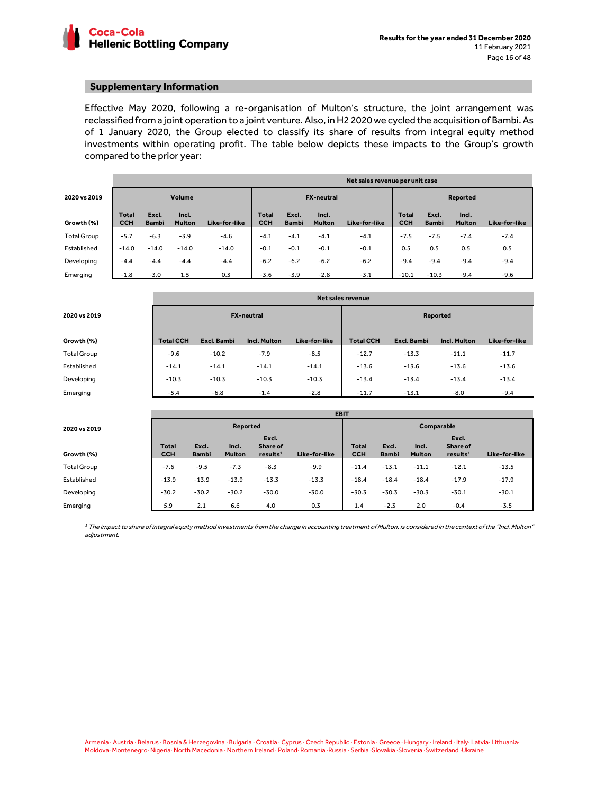

#### **Supplementary Information**

Effective May 2020, following a re-organisation of Multon's structure, the joint arrangement was reclassified from a joint operation to a joint venture. Also, in H2 2020 we cycled the acquisition of Bambi. As of 1 January 2020, the Group elected to classify its share of results from integral equity method investments within operating profit. The table below depicts these impacts to the Group's growth compared to the prior year:

|                    | Net sales revenue per unit case |                       |                        |               |                            |                       |                        |               |                     |                       |                        |               |  |
|--------------------|---------------------------------|-----------------------|------------------------|---------------|----------------------------|-----------------------|------------------------|---------------|---------------------|-----------------------|------------------------|---------------|--|
| 2020 vs 2019       | Volume                          |                       |                        |               |                            | <b>FX-neutral</b>     |                        |               |                     | Reported              |                        |               |  |
| Growth (%)         | <b>Total</b><br><b>CCH</b>      | Excl.<br><b>Bambi</b> | Incl.<br><b>Multon</b> | Like-for-like | <b>Total</b><br><b>CCH</b> | Excl.<br><b>Bambi</b> | Incl.<br><b>Multon</b> | Like-for-like | Total<br><b>CCH</b> | Excl.<br><b>Bambi</b> | Incl.<br><b>Multon</b> | Like-for-like |  |
| <b>Total Group</b> | $-5.7$                          | $-6.3$                | $-3.9$                 | $-4.6$        | $-4.1$                     | $-4.1$                | $-4.1$                 | $-4.1$        | $-7.5$              | $-7.5$                | $-7.4$                 | $-7.4$        |  |
| Established        | $-14.0$                         | $-14.0$               | $-14.0$                | $-14.0$       | $-0.1$                     | $-0.1$                | $-0.1$                 | $-0.1$        | 0.5                 | 0.5                   | 0.5                    | 0.5           |  |
| Developing         | $-4.4$                          | $-4.4$                | $-4.4$                 | $-4.4$        | $-6.2$                     | $-6.2$                | $-6.2$                 | $-6.2$        | $-9.4$              | $-9.4$                | $-9.4$                 | $-9.4$        |  |
| Emerging           | $-1.8$                          | $-3.0$                | 1.5                    | 0.3           | $-3.6$                     | $-3.9$                | $-2.8$                 | $-3.1$        | $-10.1$             | $-10.3$               | $-9.4$                 | $-9.6$        |  |

|                    | Net sales revenue |             |                     |               |                  |             |                     |               |  |  |  |
|--------------------|-------------------|-------------|---------------------|---------------|------------------|-------------|---------------------|---------------|--|--|--|
| 2020 vs 2019       |                   |             | <b>FX-neutral</b>   |               | Reported         |             |                     |               |  |  |  |
| Growth (%)         | <b>Total CCH</b>  | Excl. Bambi | <b>Incl. Multon</b> | Like-for-like | <b>Total CCH</b> | Excl. Bambi | <b>Incl. Multon</b> | Like-for-like |  |  |  |
| <b>Total Group</b> | $-9.6$            | $-10.2$     | $-7.9$              | $-8.5$        | $-12.7$          | $-13.3$     | $-11.1$             | $-11.7$       |  |  |  |
| Established        | $-14.1$           | $-14.1$     | $-14.1$             | $-14.1$       | $-13.6$          | $-13.6$     | $-13.6$             | $-13.6$       |  |  |  |
| Developing         | $-10.3$           | $-10.3$     | $-10.3$             | $-10.3$       | $-13.4$          | $-13.4$     | $-13.4$             | $-13.4$       |  |  |  |
| Emerging           | $-5.4$            | $-6.8$      | $-1.4$              | $-2.8$        | $-11.7$          | $-13.1$     | $-8.0$              | $-9.4$        |  |  |  |

|                    | <b>EBIT</b>                |                       |                        |                                           |               |                            |                       |                        |                                           |               |  |  |
|--------------------|----------------------------|-----------------------|------------------------|-------------------------------------------|---------------|----------------------------|-----------------------|------------------------|-------------------------------------------|---------------|--|--|
| 2020 vs 2019       |                            |                       | Reported               |                                           |               | Comparable                 |                       |                        |                                           |               |  |  |
| Growth (%)         | <b>Total</b><br><b>CCH</b> | Excl.<br><b>Bambi</b> | Incl.<br><b>Multon</b> | Excl.<br>Share of<br>results <sup>1</sup> | Like-for-like | <b>Total</b><br><b>CCH</b> | Excl.<br><b>Bambi</b> | Incl.<br><b>Multon</b> | Excl.<br>Share of<br>results <sup>1</sup> | Like-for-like |  |  |
| <b>Total Group</b> | $-7.6$                     | $-9.5$                | $-7.3$                 | $-8.3$                                    | $-9.9$        | $-11.4$                    | $-13.1$               | $-11.1$                | $-12.1$                                   | $-13.5$       |  |  |
| Established        | $-13.9$                    | $-13.9$               | $-13.9$                | $-13.3$                                   | $-13.3$       | $-18.4$                    | $-18.4$               | $-18.4$                | $-17.9$                                   | $-17.9$       |  |  |
| Developing         | $-30.2$                    | $-30.2$               | $-30.2$                | $-30.0$                                   | $-30.0$       | $-30.3$                    | $-30.3$               | $-30.3$                | $-30.1$                                   | $-30.1$       |  |  |
| Emerging           | 5.9                        | 2.1                   | 6.6                    | 4.0                                       | 0.3           | 1.4                        | $-2.3$                | 2.0                    | $-0.4$                                    | $-3.5$        |  |  |

 $^{\rm I}$  The impact to share of integral equity method investments from the change in accounting treatment of Multon, is considered in the context of the "Incl. Multon" adjustment.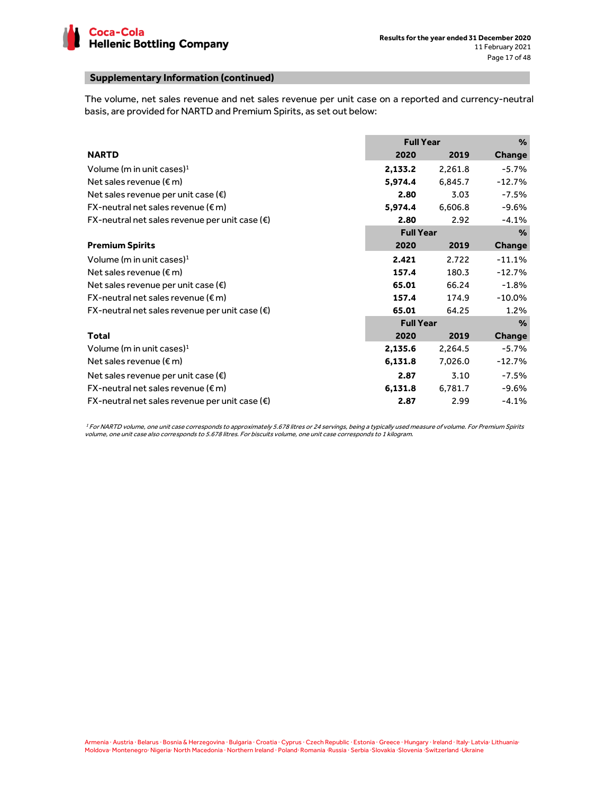

# **Supplementary Information (continued)**

The volume, net sales revenue and net sales revenue per unit case on a reported and currency-neutral basis, are provided for NARTD and Premium Spirits, as set out below:

|                                                         | <b>Full Year</b> |         | %         |
|---------------------------------------------------------|------------------|---------|-----------|
| <b>NARTD</b>                                            | 2020             | 2019    | Change    |
| Volume (m in unit cases) <sup>1</sup>                   | 2,133.2          | 2,261.8 | $-5.7\%$  |
| Net sales revenue ( $\epsilon$ m)                       | 5,974.4          | 6,845.7 | $-12.7%$  |
| Net sales revenue per unit case $(\epsilon)$            | 2.80             | 3.03    | $-7.5%$   |
| $FX$ -neutral net sales revenue ( $\epsilon$ m)         | 5,974.4          | 6,606.8 | $-9.6%$   |
| FX-neutral net sales revenue per unit case $(\epsilon)$ | 2.80             | 2.92    | $-4.1%$   |
|                                                         | <b>Full Year</b> |         | $\%$      |
| <b>Premium Spirits</b>                                  | 2020             | 2019    | Change    |
| Volume (m in unit cases) $1$                            | 2.421            | 2.722   | $-11.1%$  |
| Net sales revenue ( $\epsilon$ m)                       | 157.4            | 180.3   | $-12.7%$  |
| Net sales revenue per unit case $(\epsilon)$            | 65.01            | 66.24   | $-1.8%$   |
| $FX$ -neutral net sales revenue ( $\epsilon$ m)         | 157.4            | 174.9   | $-10.0\%$ |
| FX-neutral net sales revenue per unit case $(\epsilon)$ | 65.01            | 64.25   | 1.2%      |
|                                                         | <b>Full Year</b> |         | $\%$      |
| Total                                                   | 2020             | 2019    | Change    |
| Volume (m in unit cases) <sup>1</sup>                   | 2,135.6          | 2,264.5 | $-5.7\%$  |
| Net sales revenue ( $\epsilon$ m)                       | 6,131.8          | 7,026.0 | $-12.7%$  |
| Net sales revenue per unit case $(\epsilon)$            | 2.87             | 3.10    | $-7.5%$   |
| $FX$ -neutral net sales revenue ( $\epsilon$ m)         | 6,131.8          | 6,781.7 | $-9.6%$   |
| FX-neutral net sales revenue per unit case $(\epsilon)$ | 2.87             | 2.99    | $-4.1%$   |

<sup>1</sup>For NARTD volume, one unit case corresponds to approximately 5.678 litres or 24 servings, being a typically used measure of volume. For Premium Spirits volume, one unit case also corresponds to 5.678 litres. For biscuits volume, one unit case corresponds to 1 kilogram.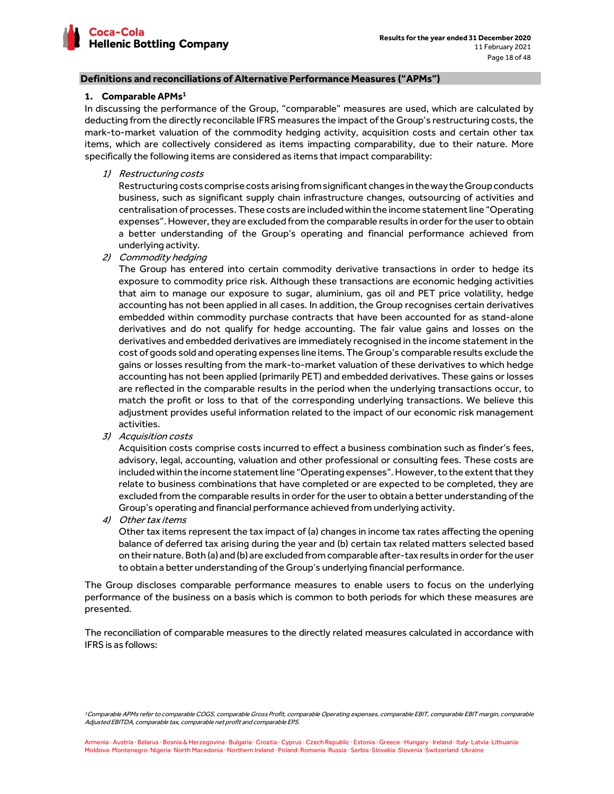

# **1. Comparable APMs<sup>1</sup>**

In discussing the performance of the Group, "comparable" measures are used, which are calculated by deducting from the directly reconcilable IFRS measures the impact of the Group's restructuring costs, the mark-to-market valuation of the commodity hedging activity, acquisition costs and certain other tax items, which are collectively considered as items impacting comparability, due to their nature. More specifically the following items are considered as items that impact comparability:

1) Restructuring costs

Restructuring costs comprise costs arising from significant changes in the way the Group conducts business, such as significant supply chain infrastructure changes, outsourcing of activities and centralisation of processes. These costs are included within the income statement line "Operating expenses". However, they are excluded from the comparable results in order for the user to obtain a better understanding of the Group's operating and financial performance achieved from underlying activity.

2) Commodity hedging

The Group has entered into certain commodity derivative transactions in order to hedge its exposure to commodity price risk. Although these transactions are economic hedging activities that aim to manage our exposure to sugar, aluminium, gas oil and PET price volatility, hedge accounting has not been applied in all cases. In addition, the Group recognises certain derivatives embedded within commodity purchase contracts that have been accounted for as stand-alone derivatives and do not qualify for hedge accounting. The fair value gains and losses on the derivatives and embedded derivatives are immediately recognised in the income statement in the cost of goods sold and operating expenses line items. The Group's comparable results exclude the gains or losses resulting from the mark-to-market valuation of these derivatives to which hedge accounting has not been applied (primarily PET) and embedded derivatives. These gains or losses are reflected in the comparable results in the period when the underlying transactions occur, to match the profit or loss to that of the corresponding underlying transactions. We believe this adjustment provides useful information related to the impact of our economic risk management activities.

3) Acquisition costs

Acquisition costs comprise costs incurred to effect a business combination such as finder's fees, advisory, legal, accounting, valuation and other professional or consulting fees. These costs are included within the income statement line "Operating expenses". However, to the extent that they relate to business combinations that have completed or are expected to be completed, they are excluded from the comparable results in order for the user to obtain a better understanding of the Group's operating and financial performance achieved from underlying activity.

4) Other tax items

Other tax items represent the tax impact of (a) changes in income tax rates affecting the opening balance of deferred tax arising during the year and (b) certain tax related matters selected based on their nature. Both (a) and (b) are excluded from comparable after-tax results in order for the user to obtain a better understanding of the Group's underlying financial performance.

The Group discloses comparable performance measures to enable users to focus on the underlying performance of the business on a basis which is common to both periods for which these measures are presented.

The reconciliation of comparable measures to the directly related measures calculated in accordance with IFRS is as follows:

<sup>1</sup>Comparable APMs refer to comparable COGS, comparable Gross Profit, comparable Operating expenses, comparable EBIT, comparable EBIT margin, comparable Adjusted EBITDA, comparable tax, comparable net profit and comparable EPS.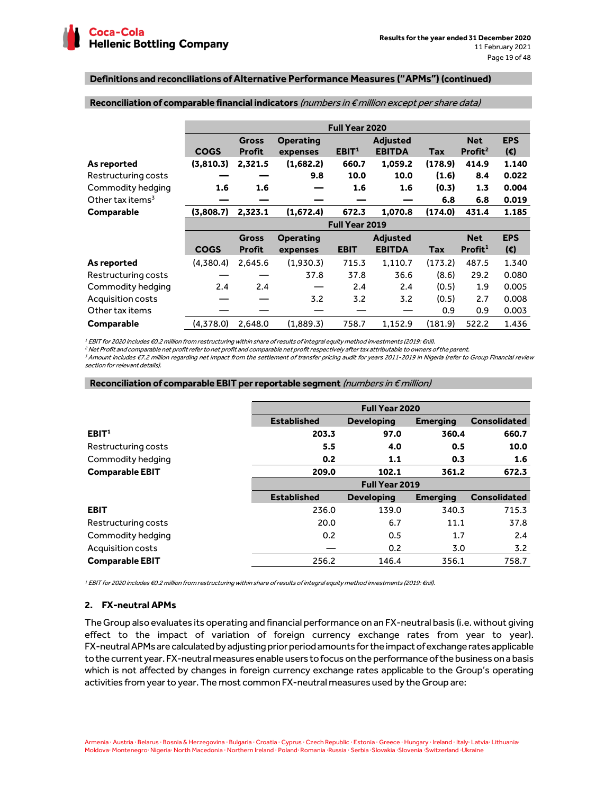|                              |             | Full Year 2020                |                              |                   |                                  |         |                                   |                            |  |  |  |  |
|------------------------------|-------------|-------------------------------|------------------------------|-------------------|----------------------------------|---------|-----------------------------------|----------------------------|--|--|--|--|
|                              | <b>COGS</b> | <b>Gross</b><br><b>Profit</b> | <b>Operating</b><br>expenses | EBIT <sup>1</sup> | <b>Adjusted</b><br><b>EBITDA</b> | Tax     | <b>Net</b><br>Profit <sup>2</sup> | <b>EPS</b><br>$(\epsilon)$ |  |  |  |  |
| As reported                  | (3,810.3)   | 2,321.5                       | (1,682.2)                    | 660.7             | 1,059.2                          | (178.9) | 414.9                             | 1.140                      |  |  |  |  |
| Restructuring costs          |             |                               | 9.8                          | 10.0              | 10.0                             | (1.6)   | 8.4                               | 0.022                      |  |  |  |  |
| Commodity hedging            | 1.6         | 1.6                           |                              | 1.6               | 1.6                              | (0.3)   | 1.3                               | 0.004                      |  |  |  |  |
| Other tax items <sup>3</sup> |             |                               |                              |                   |                                  | 6.8     | 6.8                               | 0.019                      |  |  |  |  |
| Comparable                   | (3,808.7)   | 2,323.1                       | (1,672.4)                    | 672.3             | 1,070.8                          | (174.0) | 431.4                             | 1.185                      |  |  |  |  |
|                              |             |                               |                              | Full Year 2019    |                                  |         |                                   |                            |  |  |  |  |
|                              |             | <b>Gross</b>                  | Operating                    |                   | <b>Adjusted</b>                  |         | <b>Net</b>                        | <b>EPS</b>                 |  |  |  |  |
|                              | <b>COGS</b> | <b>Profit</b>                 | expenses                     | <b>EBIT</b>       | <b>EBITDA</b>                    | Tax     | Profit <sup>1</sup>               | $(\epsilon)$               |  |  |  |  |
| As reported                  | (4,380.4)   | 2,645.6                       | (1,930.3)                    | 715.3             | 1,110.7                          | (173.2) | 487.5                             | 1.340                      |  |  |  |  |
| Restructuring costs          |             |                               | 37.8                         | 37.8              | 36.6                             | (8.6)   | 29.2                              | 0.080                      |  |  |  |  |
| Commodity hedging            | 2.4         | 2.4                           |                              | 2.4               | 2.4                              | (0.5)   | 1.9                               | 0.005                      |  |  |  |  |
| Acquisition costs            |             |                               | 3.2                          | 3.2               | 3.2                              | (0.5)   | 2.7                               | 0.008                      |  |  |  |  |
| Other tax items              |             |                               |                              |                   |                                  | 0.9     | 0.9                               | 0.003                      |  |  |  |  |
| <b>Comparable</b>            | (4,378.0)   | 2.648.0                       | (1.889.3)                    | 758.7             | 1.152.9                          | (181.9) | 522.2                             | 1.436                      |  |  |  |  |

#### **Reconciliation of comparable financial indicators** (numbers in € million except per share data)

1 EBIT for 2020 includes €0.2 million from restructuring within share of results of integral equity method investments (2019: €nil).

2 Net Profit and comparable net profit refer to net profit and comparable net profit respectively after tax attributable to owners of the parent.

<sup>3</sup>Amount includes €7.2 million regarding net impact from the settlement of transfer pricing audit for years 2011-2019 in Nigeria (refer to Group Financial review section for relevant details).

#### **Reconciliation of comparable EBIT per reportable segment** (numbers in € million)

|                        | <b>Full Year 2020</b> |                                      |                 |                     |  |  |  |
|------------------------|-----------------------|--------------------------------------|-----------------|---------------------|--|--|--|
|                        | <b>Established</b>    | <b>Developing</b><br><b>Emerging</b> |                 |                     |  |  |  |
| EBIT <sup>1</sup>      | 203.3                 | 97.0                                 | 360.4           | 660.7               |  |  |  |
| Restructuring costs    | 5.5                   | 4.0                                  | 0.5             | 10.0                |  |  |  |
| Commodity hedging      | 0.2                   | 1.1                                  | 0.3             | 1.6                 |  |  |  |
| <b>Comparable EBIT</b> | 209.0                 | 102.1                                | 361.2           | 672.3               |  |  |  |
|                        | Full Year 2019        |                                      |                 |                     |  |  |  |
|                        | <b>Established</b>    | <b>Developing</b>                    | <b>Emerging</b> | <b>Consolidated</b> |  |  |  |
| <b>EBIT</b>            | 236.0                 | 139.0                                | 340.3           | 715.3               |  |  |  |
| Restructuring costs    | 20.0                  | 6.7                                  | 11.1            | 37.8                |  |  |  |
| Commodity hedging      | 0.2                   | 0.5                                  | 1.7             | 2.4                 |  |  |  |
| Acquisition costs      |                       | 0.2                                  | 3.0             | 3.2                 |  |  |  |
| <b>Comparable EBIT</b> | 256.2                 | 146.4                                | 356.1           | 758.7               |  |  |  |

1 EBIT for 2020 includes €0.2 million from restructuring within share of results of integral equity method investments (2019: €nil).

# **2. FX-neutral APMs**

The Group also evaluates its operating and financial performance on an FX-neutral basis (i.e. without giving effect to the impact of variation of foreign currency exchange rates from year to year). FX-neutral APMs are calculated by adjusting prior period amounts for the impact of exchange rates applicable to the current year. FX-neutral measures enable users to focus on the performance of the business on a basis which is not affected by changes in foreign currency exchange rates applicable to the Group's operating activities from year to year. The most common FX-neutral measures used by the Group are: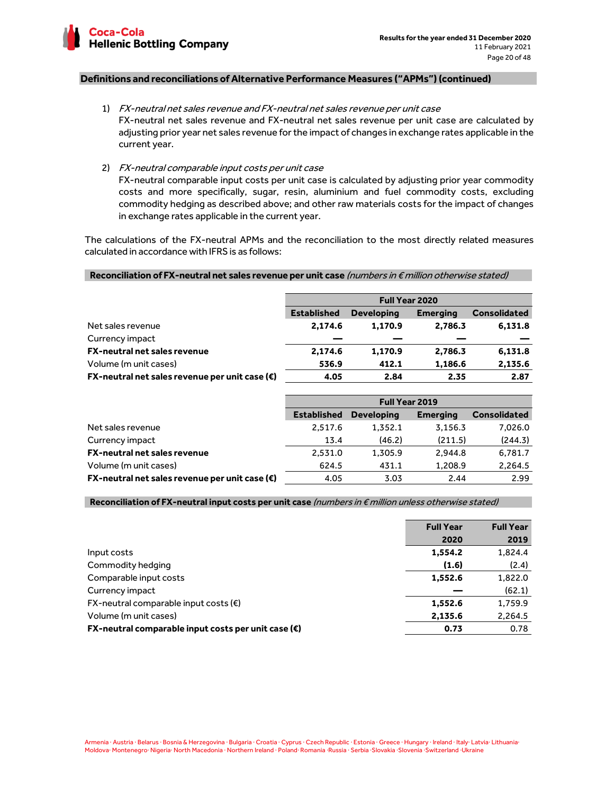

1) FX-neutral net sales revenue and FX-neutral net sales revenue per unit case FX-neutral net sales revenue and FX-neutral net sales revenue per unit case are calculated by adjusting prior year net sales revenue for the impact of changes in exchange rates applicable in the current year.

2) FX-neutral comparable input costs per unit case

FX-neutral comparable input costs per unit case is calculated by adjusting prior year commodity costs and more specifically, sugar, resin, aluminium and fuel commodity costs, excluding commodity hedging as described above; and other raw materials costs for the impact of changes in exchange rates applicable in the current year.

The calculations of the FX-neutral APMs and the reconciliation to the most directly related measures calculated in accordance with IFRS is as follows:

# **Reconciliation of FX-neutral net sales revenue per unit case** (numbers in € million otherwise stated)

|                                                         | <b>Full Year 2020</b> |                   |                 |                     |  |  |  |
|---------------------------------------------------------|-----------------------|-------------------|-----------------|---------------------|--|--|--|
|                                                         | <b>Established</b>    | <b>Developing</b> | <b>Emerging</b> | <b>Consolidated</b> |  |  |  |
| Net sales revenue                                       | 2,174.6               | 1.170.9           | 2.786.3         | 6,131.8             |  |  |  |
| Currency impact                                         |                       |                   |                 |                     |  |  |  |
| <b>FX-neutral net sales revenue</b>                     | 2,174.6               | 1,170.9           | 2,786.3         | 6,131.8             |  |  |  |
| Volume (m unit cases)                                   | 536.9                 | 412.1             | 1,186.6         | 2,135.6             |  |  |  |
| FX-neutral net sales revenue per unit case $(\epsilon)$ | 4.05                  | 2.84              | 2.35            | 2.87                |  |  |  |

|                                                                           | <b>Full Year 2019</b> |                   |                 |                     |  |  |  |
|---------------------------------------------------------------------------|-----------------------|-------------------|-----------------|---------------------|--|--|--|
|                                                                           | <b>Established</b>    | <b>Developing</b> | <b>Emerging</b> | <b>Consolidated</b> |  |  |  |
| Net sales revenue                                                         | 2.517.6               | 1.352.1           | 3,156.3         | 7,026.0             |  |  |  |
| Currency impact                                                           | 13.4                  | (46.2)            | (211.5)         | (244.3)             |  |  |  |
| <b>FX-neutral net sales revenue</b>                                       | 2,531.0               | 1,305.9           | 2.944.8         | 6,781.7             |  |  |  |
| Volume (m unit cases)                                                     | 624.5                 | 431.1             | 1.208.9         | 2,264.5             |  |  |  |
| <b>FX-neutral net sales revenue per unit case (<math>\epsilon</math>)</b> | 4.05                  | 3.03              | 2.44            | 2.99                |  |  |  |

#### **Reconciliation of FX-neutral input costs per unit case** (numbers in € million unless otherwise stated)

|                                                              | <b>Full Year</b> | <b>Full Year</b> |
|--------------------------------------------------------------|------------------|------------------|
|                                                              | 2020             | 2019             |
| Input costs                                                  | 1,554.2          | 1,824.4          |
| Commodity hedging                                            | (1.6)            | (2.4)            |
| Comparable input costs                                       | 1,552.6          | 1,822.0          |
| Currency impact                                              |                  | (62.1)           |
| $FX$ -neutral comparable input costs ( $\varepsilon$ )       | 1,552.6          | 1,759.9          |
| Volume (m unit cases)                                        | 2,135.6          | 2,264.5          |
| FX-neutral comparable input costs per unit case $(\epsilon)$ | 0.73             | 0.78             |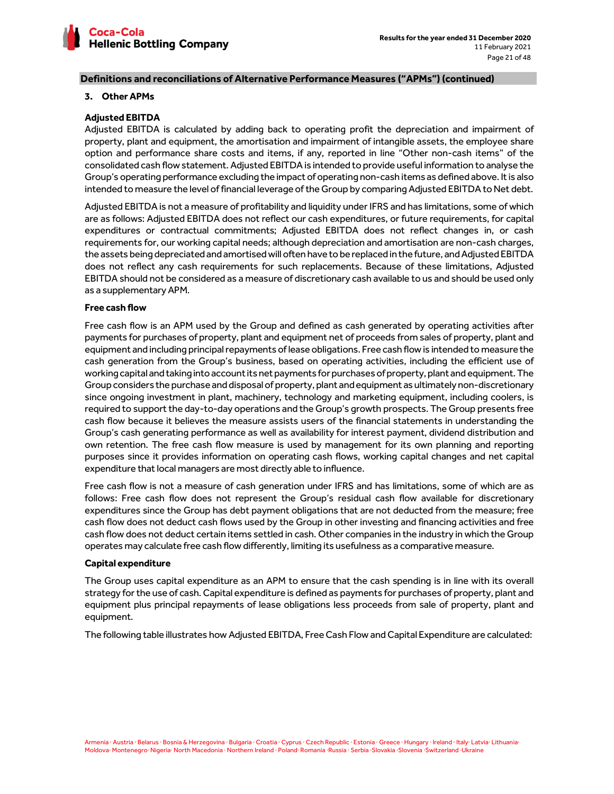

## **3. Other APMs**

# **Adjusted EBITDA**

Adjusted EBITDA is calculated by adding back to operating profit the depreciation and impairment of property, plant and equipment, the amortisation and impairment of intangible assets, the employee share option and performance share costs and items, if any, reported in line "Other non-cash items" of the consolidated cash flow statement. Adjusted EBITDA is intended to provide useful information to analyse the Group's operating performance excluding the impact of operating non-cash items as defined above. It is also intended to measure the level of financial leverage of the Group by comparing Adjusted EBITDA to Net debt.

Adjusted EBITDA is not a measure of profitability and liquidity under IFRS and has limitations, some of which are as follows: Adjusted EBITDA does not reflect our cash expenditures, or future requirements, for capital expenditures or contractual commitments; Adjusted EBITDA does not reflect changes in, or cash requirements for, our working capital needs; although depreciation and amortisation are non-cash charges, the assets being depreciated and amortised will often have to be replaced in the future, and Adjusted EBITDA does not reflect any cash requirements for such replacements. Because of these limitations, Adjusted EBITDA should not be considered as a measure of discretionary cash available to us and should be used only as a supplementary APM.

# **Free cash flow**

Free cash flow is an APM used by the Group and defined as cash generated by operating activities after payments for purchases of property, plant and equipment net of proceeds from sales of property, plant and equipment and including principal repayments of lease obligations. Free cash flow is intended to measure the cash generation from the Group's business, based on operating activities, including the efficient use of working capital and taking into account its net payments for purchases of property, plant and equipment. The Group considers the purchase and disposal of property, plant and equipment as ultimately non-discretionary since ongoing investment in plant, machinery, technology and marketing equipment, including coolers, is required to support the day-to-day operations and the Group's growth prospects. The Group presents free cash flow because it believes the measure assists users of the financial statements in understanding the Group's cash generating performance as well as availability for interest payment, dividend distribution and own retention. The free cash flow measure is used by management for its own planning and reporting purposes since it provides information on operating cash flows, working capital changes and net capital expenditure that local managers are most directly able to influence.

Free cash flow is not a measure of cash generation under IFRS and has limitations, some of which are as follows: Free cash flow does not represent the Group's residual cash flow available for discretionary expenditures since the Group has debt payment obligations that are not deducted from the measure; free cash flow does not deduct cash flows used by the Group in other investing and financing activities and free cash flow does not deduct certain items settled in cash. Other companies in the industry in which the Group operates may calculate free cash flow differently, limiting its usefulness as a comparative measure.

### **Capital expenditure**

The Group uses capital expenditure as an APM to ensure that the cash spending is in line with its overall strategy for the use of cash. Capital expenditure is defined as payments for purchases of property, plant and equipment plus principal repayments of lease obligations less proceeds from sale of property, plant and equipment.

The following table illustrates how Adjusted EBITDA, Free Cash Flow and Capital Expenditure are calculated: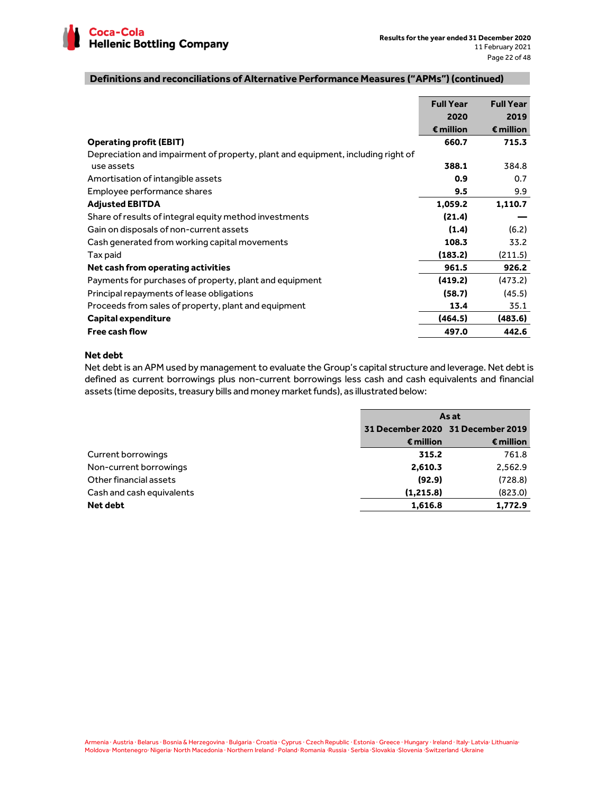

|                                                                                  | <b>Full Year</b>   | <b>Full Year</b>   |
|----------------------------------------------------------------------------------|--------------------|--------------------|
|                                                                                  | 2020               | 2019               |
|                                                                                  | $\epsilon$ million | $\epsilon$ million |
| <b>Operating profit (EBIT)</b>                                                   | 660.7              | 715.3              |
| Depreciation and impairment of property, plant and equipment, including right of |                    |                    |
| use assets                                                                       | 388.1              | 384.8              |
| Amortisation of intangible assets                                                | 0.9                | 0.7                |
| Employee performance shares                                                      | 9.5                | 9.9                |
| <b>Adjusted EBITDA</b>                                                           | 1,059.2            | 1,110.7            |
| Share of results of integral equity method investments                           | (21.4)             |                    |
| Gain on disposals of non-current assets                                          | (1.4)              | (6.2)              |
| Cash generated from working capital movements                                    | 108.3              | 33.2               |
| Tax paid                                                                         | (183.2)            | (211.5)            |
| Net cash from operating activities                                               | 961.5              | 926.2              |
| Payments for purchases of property, plant and equipment                          | (419.2)            | (473.2)            |
| Principal repayments of lease obligations                                        | (58.7)             | (45.5)             |
| Proceeds from sales of property, plant and equipment                             | 13.4               | 35.1               |
| <b>Capital expenditure</b>                                                       | (464.5)            | (483.6)            |
| <b>Free cash flow</b>                                                            | 497.0              | 442.6              |

# **Net debt**

Net debt is an APM used by management to evaluate the Group's capital structure and leverage. Net debt is defined as current borrowings plus non-current borrowings less cash and cash equivalents and financial assets (time deposits, treasury bills and money market funds), as illustrated below:

|                           | As at              |                                   |  |  |
|---------------------------|--------------------|-----------------------------------|--|--|
|                           |                    | 31 December 2020 31 December 2019 |  |  |
|                           | $\epsilon$ million | $\epsilon$ million                |  |  |
| Current borrowings        | 315.2              | 761.8                             |  |  |
| Non-current borrowings    | 2,610.3            | 2,562.9                           |  |  |
| Other financial assets    | (92.9)             | (728.8)                           |  |  |
| Cash and cash equivalents | (1, 215.8)         | (823.0)                           |  |  |
| Net debt                  | 1,616.8            | 1,772.9                           |  |  |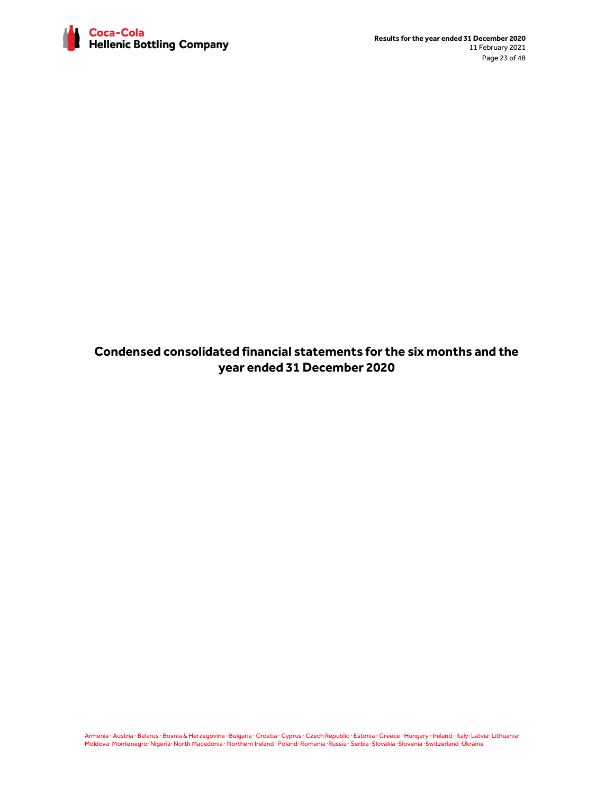

**Condensed consolidated financial statements for the six months and the year ended 31 December 2020**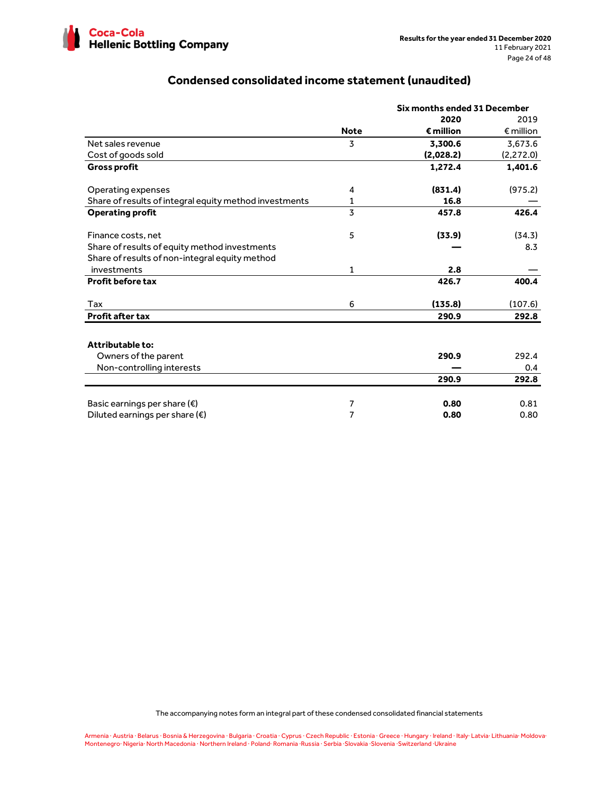

# **Condensed consolidated income statement (unaudited)**

|                                                        |             | Six months ended 31 December |                    |  |  |
|--------------------------------------------------------|-------------|------------------------------|--------------------|--|--|
|                                                        |             | 2020                         | 2019               |  |  |
|                                                        | <b>Note</b> | $\epsilon$ million           | $\epsilon$ million |  |  |
| Net sales revenue                                      | 3           | 3,300.6                      | 3,673.6            |  |  |
| Cost of goods sold                                     |             | (2,028.2)                    | (2, 272.0)         |  |  |
| <b>Gross profit</b>                                    |             | 1,272.4                      | 1,401.6            |  |  |
| Operating expenses                                     | 4           | (831.4)                      | (975.2)            |  |  |
| Share of results of integral equity method investments | 1           | 16.8                         |                    |  |  |
| <b>Operating profit</b>                                | 3           | 457.8                        | 426.4              |  |  |
| Finance costs, net                                     | 5           | (33.9)                       | (34.3)             |  |  |
| Share of results of equity method investments          |             |                              | 8.3                |  |  |
| Share of results of non-integral equity method         |             |                              |                    |  |  |
| investments                                            | 1           | 2.8                          |                    |  |  |
| <b>Profit before tax</b>                               |             | 426.7                        | 400.4              |  |  |
| Tax                                                    | 6           | (135.8)                      | (107.6)            |  |  |
| <b>Profit after tax</b>                                |             | 290.9                        | 292.8              |  |  |
| Attributable to:                                       |             |                              |                    |  |  |
| Owners of the parent                                   |             | 290.9                        | 292.4              |  |  |
| Non-controlling interests                              |             |                              | 0.4                |  |  |
|                                                        |             | 290.9                        | 292.8              |  |  |
| Basic earnings per share $(\epsilon)$                  | 7           | 0.80                         | 0.81               |  |  |
| Diluted earnings per share $(\epsilon)$                | 7           | 0.80                         | 0.80               |  |  |

The accompanying notes form an integral part of these condensed consolidated financial statements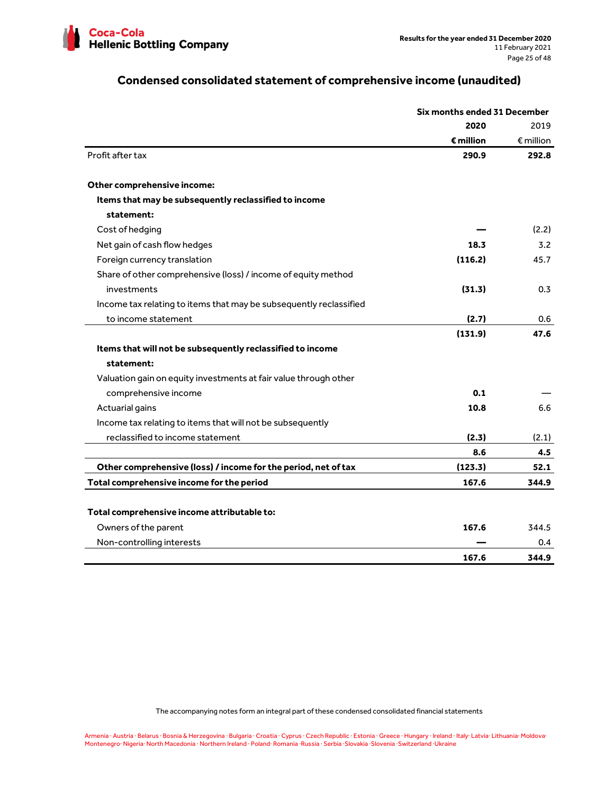

# **Condensed consolidated statement of comprehensive income (unaudited)**

|                                                                    | Six months ended 31 December |                    |
|--------------------------------------------------------------------|------------------------------|--------------------|
|                                                                    | 2020                         | 2019               |
|                                                                    | $\epsilon$ million           | $\epsilon$ million |
| Profit after tax                                                   | 290.9                        | 292.8              |
| Other comprehensive income:                                        |                              |                    |
| Items that may be subsequently reclassified to income              |                              |                    |
| statement:                                                         |                              |                    |
| Cost of hedging                                                    |                              | (2.2)              |
| Net gain of cash flow hedges                                       | 18.3                         | 3.2                |
| Foreign currency translation                                       | (116.2)                      | 45.7               |
| Share of other comprehensive (loss) / income of equity method      |                              |                    |
| investments                                                        | (31.3)                       | 0.3                |
| Income tax relating to items that may be subsequently reclassified |                              |                    |
| to income statement                                                | (2.7)                        | 0.6                |
|                                                                    | (131.9)                      | 47.6               |
| Items that will not be subsequently reclassified to income         |                              |                    |
| statement:                                                         |                              |                    |
| Valuation gain on equity investments at fair value through other   |                              |                    |
| comprehensive income                                               | 0.1                          |                    |
| Actuarial gains                                                    | 10.8                         | 6.6                |
| Income tax relating to items that will not be subsequently         |                              |                    |
| reclassified to income statement                                   | (2.3)                        | (2.1)              |
|                                                                    | 8.6                          | 4.5                |
| Other comprehensive (loss) / income for the period, net of tax     | (123.3)                      | 52.1               |
| Total comprehensive income for the period                          | 167.6                        | 344.9              |
|                                                                    |                              |                    |
| Total comprehensive income attributable to:                        |                              |                    |
| Owners of the parent                                               | 167.6                        | 344.5              |
| Non-controlling interests                                          |                              | 0.4                |
|                                                                    | 167.6                        | 344.9              |

The accompanying notes form an integral part of these condensed consolidated financial statements

Armenia · Austria · Belarus · Bosnia & Herzegovina · Bulgaria · Croatia · Cyprus · Czech Republic · Estonia · Greece · Hungary · Ireland · Italy· Latvia· Lithuania· Moldova· Montenegro· Nigeria· North Macedonia · Northern Ireland · Poland· Romania ·Russia · Serbia ·Slovakia ·Slovenia ·Switzerland ·Ukraine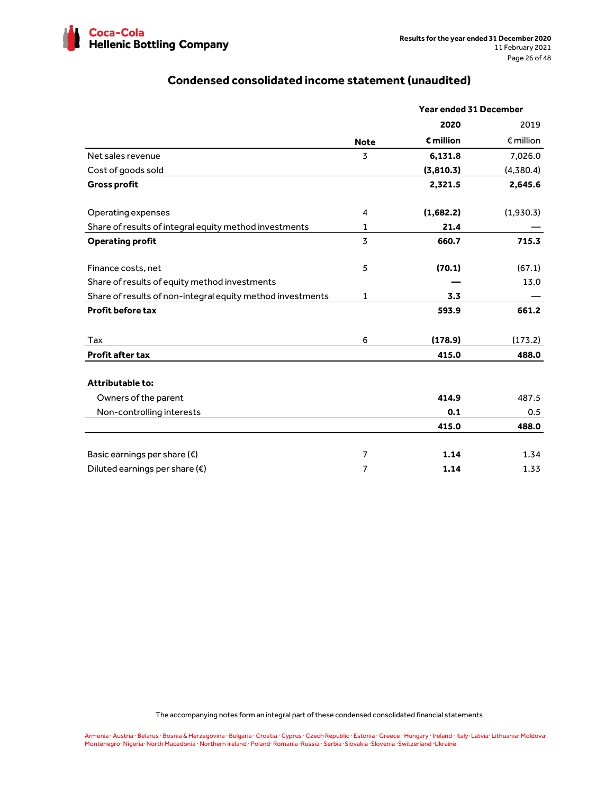

# **Condensed consolidated income statement (unaudited)**

|                                                            |             | Year ended 31 December |                    |
|------------------------------------------------------------|-------------|------------------------|--------------------|
|                                                            |             | 2020                   | 2019               |
|                                                            | <b>Note</b> | $\epsilon$ million     | $\epsilon$ million |
| Net sales revenue                                          | 3           | 6,131.8                | 7,026.0            |
| Cost of goods sold                                         |             | (3,810.3)              | (4,380.4)          |
| <b>Gross profit</b>                                        |             | 2,321.5                | 2,645.6            |
| Operating expenses                                         | 4           | (1,682.2)              | (1,930.3)          |
| Share of results of integral equity method investments     | 1           | 21.4                   |                    |
| <b>Operating profit</b>                                    | 3           | 660.7                  | 715.3              |
| Finance costs, net                                         | 5           | (70.1)                 | (67.1)             |
| Share of results of equity method investments              |             |                        | 13.0               |
| Share of results of non-integral equity method investments | 1           | 3.3                    |                    |
| <b>Profit before tax</b>                                   |             | 593.9                  | 661.2              |
| Tax                                                        | 6           | (178.9)                | (173.2)            |
| <b>Profit after tax</b>                                    |             | 415.0                  | 488.0              |
| <b>Attributable to:</b>                                    |             |                        |                    |
| Owners of the parent                                       |             | 414.9                  | 487.5              |
| Non-controlling interests                                  |             | 0.1                    | 0.5                |
|                                                            |             | 415.0                  | 488.0              |
| Basic earnings per share $(\epsilon)$                      | 7           | 1.14                   | 1.34               |
| Diluted earnings per share $(\epsilon)$                    | 7           | 1.14                   | 1.33               |

The accompanying notes form an integral part of these condensed consolidated financial statements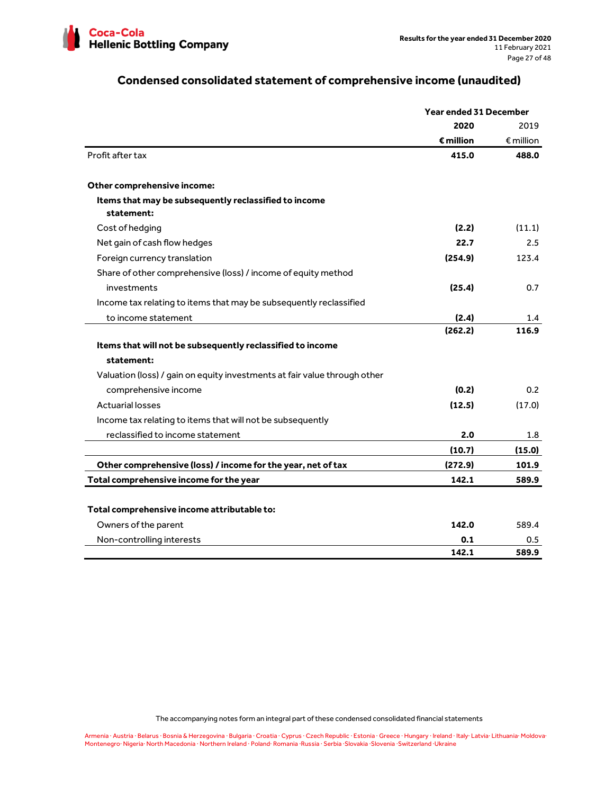

# **Condensed consolidated statement of comprehensive income (unaudited)**

|                                                                           | <b>Year ended 31 December</b> |                          |
|---------------------------------------------------------------------------|-------------------------------|--------------------------|
|                                                                           | 2020                          | 2019                     |
|                                                                           | $\epsilon$ million            | $\pmb{\epsilon}$ million |
| Profit after tax                                                          | 415.0                         | 488.0                    |
| Other comprehensive income:                                               |                               |                          |
| Items that may be subsequently reclassified to income<br>statement:       |                               |                          |
| Cost of hedging                                                           | (2.2)                         | (11.1)                   |
| Net gain of cash flow hedges                                              | 22.7                          | 2.5                      |
| Foreign currency translation                                              | (254.9)                       | 123.4                    |
| Share of other comprehensive (loss) / income of equity method             |                               |                          |
| investments                                                               | (25.4)                        | 0.7                      |
| Income tax relating to items that may be subsequently reclassified        |                               |                          |
| to income statement                                                       | (2.4)                         | 1.4                      |
|                                                                           | (262.2)                       | 116.9                    |
| Items that will not be subsequently reclassified to income                |                               |                          |
| statement:                                                                |                               |                          |
| Valuation (loss) / gain on equity investments at fair value through other |                               |                          |
| comprehensive income                                                      | (0.2)                         | 0.2                      |
| <b>Actuarial losses</b>                                                   | (12.5)                        | (17.0)                   |
| Income tax relating to items that will not be subsequently                |                               |                          |
| reclassified to income statement                                          | 2.0                           | 1.8                      |
|                                                                           | (10.7)                        | (15.0)                   |
| Other comprehensive (loss) / income for the year, net of tax              | (272.9)                       | 101.9                    |
| Total comprehensive income for the year                                   | 142.1                         | 589.9                    |
|                                                                           |                               |                          |
| Total comprehensive income attributable to:                               |                               |                          |
| Owners of the parent                                                      | 142.0                         | 589.4                    |
| Non-controlling interests                                                 | 0.1                           | 0.5                      |
|                                                                           | 142.1                         | 589.9                    |

The accompanying notes form an integral part of these condensed consolidated financial statements

Armenia · Austria · Belarus · Bosnia & Herzegovina · Bulgaria · Croatia · Cyprus · Czech Republic · Estonia · Greece · Hungary · Ireland · Italy· Latvia· Lithuania· Moldova· Montenegro· Nigeria· North Macedonia · Northern Ireland · Poland· Romania ·Russia · Serbia ·Slovakia ·Slovenia ·Switzerland ·Ukraine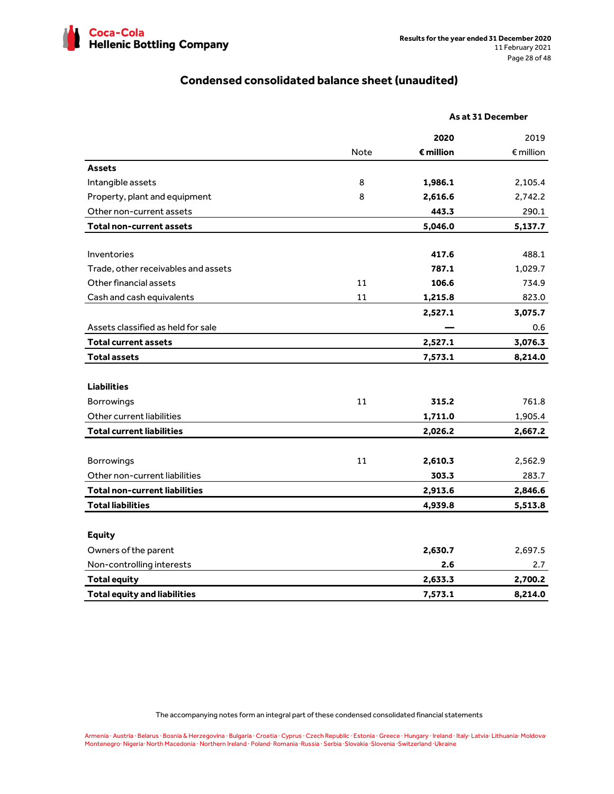

# **Condensed consolidated balance sheet (unaudited)**

|                                      |             |                    | As at 31 December  |
|--------------------------------------|-------------|--------------------|--------------------|
|                                      |             | 2020               | 2019               |
|                                      | <b>Note</b> | $\epsilon$ million | $\epsilon$ million |
| <b>Assets</b>                        |             |                    |                    |
| Intangible assets                    | 8           | 1,986.1            | 2,105.4            |
| Property, plant and equipment        | 8           | 2,616.6            | 2,742.2            |
| Other non-current assets             |             | 443.3              | 290.1              |
| <b>Total non-current assets</b>      |             | 5,046.0            | 5,137.7            |
|                                      |             |                    |                    |
| Inventories                          |             | 417.6              | 488.1              |
| Trade, other receivables and assets  |             | 787.1              | 1,029.7            |
| Other financial assets               | 11          | 106.6              | 734.9              |
| Cash and cash equivalents            | 11          | 1,215.8            | 823.0              |
|                                      |             | 2,527.1            | 3,075.7            |
| Assets classified as held for sale   |             |                    | 0.6                |
| <b>Total current assets</b>          |             | 2,527.1            | 3,076.3            |
| <b>Total assets</b>                  |             | 7,573.1            | 8,214.0            |
|                                      |             |                    |                    |
| <b>Liabilities</b>                   |             |                    |                    |
| Borrowings                           | 11          | 315.2              | 761.8              |
| Other current liabilities            |             | 1,711.0            | 1,905.4            |
| <b>Total current liabilities</b>     |             | 2,026.2            | 2,667.2            |
| Borrowings                           | 11          | 2,610.3            | 2,562.9            |
| Other non-current liabilities        |             | 303.3              | 283.7              |
| <b>Total non-current liabilities</b> |             |                    |                    |
|                                      |             | 2,913.6            | 2,846.6            |
| <b>Total liabilities</b>             |             | 4,939.8            | 5,513.8            |
| <b>Equity</b>                        |             |                    |                    |
| Owners of the parent                 |             | 2,630.7            | 2,697.5            |
| Non-controlling interests            |             | 2.6                | 2.7                |
| <b>Total equity</b>                  |             | 2,633.3            | 2,700.2            |
| <b>Total equity and liabilities</b>  |             | 7,573.1            | 8,214.0            |

The accompanying notes form an integral part of these condensed consolidated financial statements

Armenia · Austria · Belarus · Bosnia & Herzegovina · Bulgaria · Croatia · Cyprus · Czech Republic · Estonia · Greece · Hungary · Ireland · Italy· Latvia· Lithuania· Moldova·<br>Montenegro· Nigeria· North Macedonia · Northern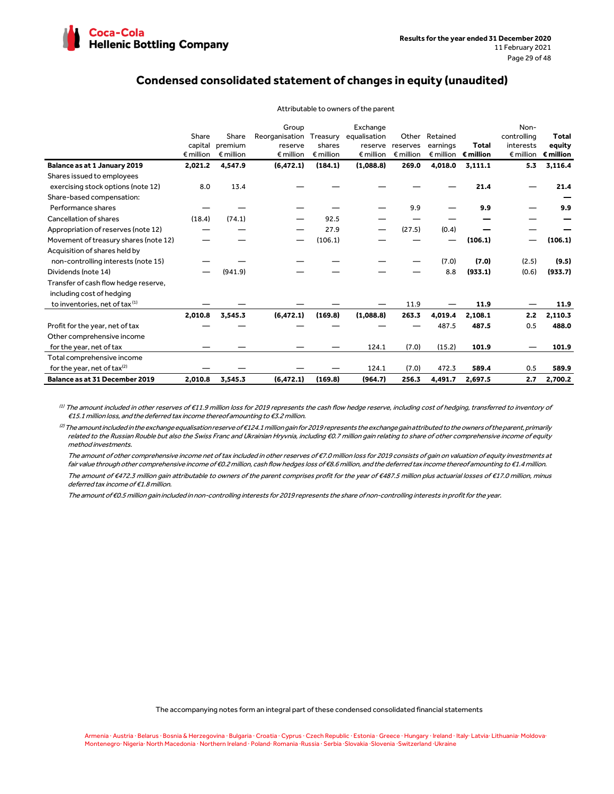

# **Condensed consolidated statement of changes in equity (unaudited)**

|                                           | Share<br>capital<br>$\notin$ million | Share<br>premium<br>$\epsilon$ million | Group<br>Reorganisation<br>reserve<br>$\n  emillion\n$ | Treasury<br>shares<br>$\n  emillion\n$ | Exchange<br>equalisation<br>$\n  emillion\n$ | Other<br>reserve reserves<br>$\epsilon$ million | Retained<br>earnings | Total<br>€ million € million | Non-<br>controlling<br>interests<br>$\epsilon$ million | Total<br>equity<br>$\epsilon$ million |
|-------------------------------------------|--------------------------------------|----------------------------------------|--------------------------------------------------------|----------------------------------------|----------------------------------------------|-------------------------------------------------|----------------------|------------------------------|--------------------------------------------------------|---------------------------------------|
| Balance as at 1 January 2019              | 2,021.2                              | 4,547.9                                | (6, 472.1)                                             | (184.1)                                | (1,088.8)                                    | 269.0                                           | 4,018.0              | 3,111.1                      | 5.3                                                    | 3,116.4                               |
| Shares issued to employees                |                                      |                                        |                                                        |                                        |                                              |                                                 |                      |                              |                                                        |                                       |
| exercising stock options (note 12)        | 8.0                                  | 13.4                                   |                                                        |                                        |                                              |                                                 |                      | 21.4                         |                                                        | 21.4                                  |
| Share-based compensation:                 |                                      |                                        |                                                        |                                        |                                              |                                                 |                      |                              |                                                        |                                       |
| Performance shares                        |                                      |                                        |                                                        |                                        |                                              | 9.9                                             |                      | 9.9                          |                                                        | 9.9                                   |
| Cancellation of shares                    | (18.4)                               | (74.1)                                 |                                                        | 92.5                                   |                                              |                                                 |                      |                              |                                                        |                                       |
| Appropriation of reserves (note 12)       |                                      |                                        |                                                        | 27.9                                   |                                              | (27.5)                                          | (0.4)                |                              |                                                        |                                       |
| Movement of treasury shares (note 12)     |                                      |                                        |                                                        | (106.1)                                |                                              |                                                 |                      | (106.1)                      |                                                        | (106.1)                               |
| Acquisition of shares held by             |                                      |                                        |                                                        |                                        |                                              |                                                 |                      |                              |                                                        |                                       |
| non-controlling interests (note 15)       |                                      |                                        |                                                        |                                        |                                              |                                                 | (7.0)                | (7.0)                        | (2.5)                                                  | (9.5)                                 |
| Dividends (note 14)                       |                                      | (941.9)                                |                                                        |                                        |                                              |                                                 | 8.8                  | (933.1)                      | (0.6)                                                  | (933.7)                               |
| Transfer of cash flow hedge reserve,      |                                      |                                        |                                                        |                                        |                                              |                                                 |                      |                              |                                                        |                                       |
| including cost of hedging                 |                                      |                                        |                                                        |                                        |                                              |                                                 |                      |                              |                                                        |                                       |
| to inventories, net of tax <sup>(1)</sup> |                                      |                                        |                                                        |                                        |                                              | 11.9                                            |                      | 11.9                         |                                                        | 11.9                                  |
|                                           | 2,010.8                              | 3,545.3                                | (6, 472.1)                                             | (169.8)                                | (1,088.8)                                    | 263.3                                           | 4,019.4              | 2,108.1                      | 2.2                                                    | 2,110.3                               |
| Profit for the year, net of tax           |                                      |                                        |                                                        |                                        |                                              |                                                 | 487.5                | 487.5                        | 0.5                                                    | 488.0                                 |
| Other comprehensive income                |                                      |                                        |                                                        |                                        |                                              |                                                 |                      |                              |                                                        |                                       |
| for the year, net of tax                  |                                      |                                        |                                                        |                                        | 124.1                                        | (7.0)                                           | (15.2)               | 101.9                        |                                                        | 101.9                                 |
| Total comprehensive income                |                                      |                                        |                                                        |                                        |                                              |                                                 |                      |                              |                                                        |                                       |
| for the year, net of tax <sup>(2)</sup>   |                                      |                                        |                                                        |                                        | 124.1                                        | (7.0)                                           | 472.3                | 589.4                        | 0.5                                                    | 589.9                                 |
| Balance as at 31 December 2019            | 2,010.8                              | 3,545.3                                | (6, 472.1)                                             | (169.8)                                | (964.7)                                      | 256.3                                           | 4,491.7              | 2.697.5                      | 2.7                                                    | 2.700.2                               |

#### Attributable to owners of the parent

 $^{\left( 1\right) }$  The amount included in other reserves of €11.9 million loss for 2019 represents the cash flow hedge reserve, including cost of hedging, transferred to inventory of €15.1 million loss, and the deferred tax income thereof amounting to €3.2 million.

 ${}^{(2)}$ The amount included in the exchange equalisation reserve of €124.1 million gain for 2019 represents the exchange gain attributed to the owners of the parent, primarily related to the Russian Rouble but also the Swiss Franc and Ukrainian Hryvnia, including €0.7 million gain relating to share of other comprehensive income of equity method investments.

The amount of other comprehensive income net of tax included in other reserves of €7.0 million loss for 2019 consists of gain on valuation of equity investments at fair value through other comprehensive income of €0.2 million, cash flow hedges loss of €8.6 million, and the deferred tax income thereof amounting to €1.4 million. The amount of €472.3 million gain attributable to owners of the parent comprises profit for the year of €487.5 million plus actuarial losses of €17.0 million, minus deferred tax income of €1.8 million.

The amount of €0.5 million gain included in non-controlling interests for 2019 represents the share of non-controlling interests in profit for the year.

The accompanying notes form an integral part of these condensed consolidated financial statements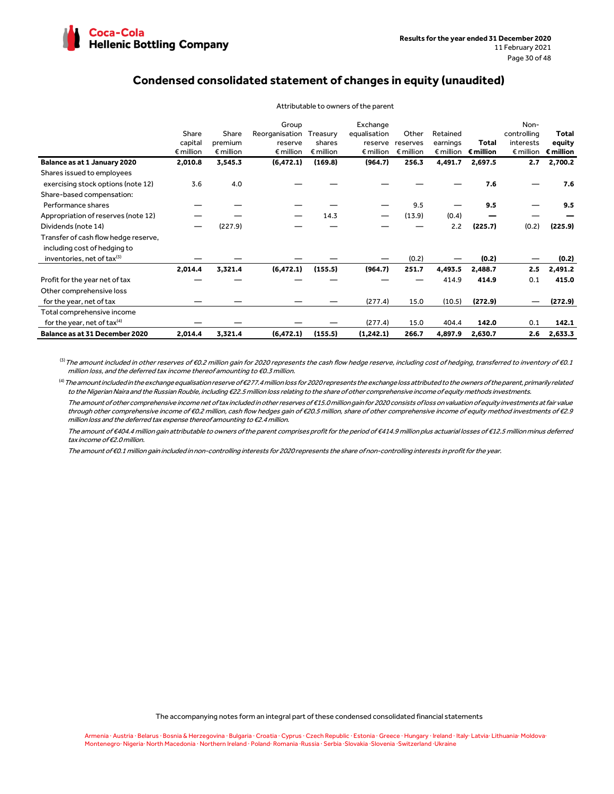

# **Condensed consolidated statement of changes in equity (unaudited)**

|                                        | Share<br>capital<br>$\n  emillion\n$ | Share<br>premium<br>$\epsilon$ million | Group<br>Reorganisation<br>reserve<br>$\notin$ million | Treasury<br>shares<br>$\epsilon$ million | Exchange<br>equalisation<br>reserve<br>$\epsilon$ million | Other<br>reserves<br>$\epsilon$ million | Retained<br>earnings<br>$\epsilon$ million | <b>Total</b><br>$\epsilon$ million | Non-<br>controlling<br>interests<br>$\epsilon$ million | Total<br>equity<br>$\epsilon$ million |
|----------------------------------------|--------------------------------------|----------------------------------------|--------------------------------------------------------|------------------------------------------|-----------------------------------------------------------|-----------------------------------------|--------------------------------------------|------------------------------------|--------------------------------------------------------|---------------------------------------|
| Balance as at 1 January 2020           | 2,010.8                              | 3,545.3                                | (6, 472.1)                                             | (169.8)                                  | (964.7)                                                   | 256.3                                   | 4,491.7                                    | 2,697.5                            | 2.7                                                    | 2,700.2                               |
| Shares issued to employees             |                                      |                                        |                                                        |                                          |                                                           |                                         |                                            |                                    |                                                        |                                       |
| exercising stock options (note 12)     | 3.6                                  | 4.0                                    |                                                        |                                          |                                                           |                                         |                                            | 7.6                                |                                                        | 7.6                                   |
| Share-based compensation:              |                                      |                                        |                                                        |                                          |                                                           |                                         |                                            |                                    |                                                        |                                       |
| Performance shares                     |                                      |                                        |                                                        |                                          |                                                           | 9.5                                     |                                            | 9.5                                |                                                        | 9.5                                   |
| Appropriation of reserves (note 12)    |                                      |                                        |                                                        | 14.3                                     |                                                           | (13.9)                                  | (0.4)                                      |                                    |                                                        |                                       |
| Dividends (note 14)                    |                                      | (227.9)                                |                                                        |                                          |                                                           |                                         | 2.2                                        | (225.7)                            | (0.2)                                                  | (225.9)                               |
| Transfer of cash flow hedge reserve,   |                                      |                                        |                                                        |                                          |                                                           |                                         |                                            |                                    |                                                        |                                       |
| including cost of hedging to           |                                      |                                        |                                                        |                                          |                                                           |                                         |                                            |                                    |                                                        |                                       |
| inventories, net of tax <sup>(3)</sup> |                                      |                                        |                                                        |                                          |                                                           | (0.2)                                   |                                            | (0.2)                              |                                                        | (0.2)                                 |
|                                        | 2,014.4                              | 3,321.4                                | (6, 472.1)                                             | (155.5)                                  | (964.7)                                                   | 251.7                                   | 4,493.5                                    | 2,488.7                            | 2.5                                                    | 2,491.2                               |
| Profit for the year net of tax         |                                      |                                        |                                                        |                                          |                                                           |                                         | 414.9                                      | 414.9                              | 0.1                                                    | 415.0                                 |
| Other comprehensive loss               |                                      |                                        |                                                        |                                          |                                                           |                                         |                                            |                                    |                                                        |                                       |
| for the year, net of tax               |                                      |                                        |                                                        |                                          | (277.4)                                                   | 15.0                                    | (10.5)                                     | (272.9)                            | -                                                      | (272.9)                               |
| Total comprehensive income             |                                      |                                        |                                                        |                                          |                                                           |                                         |                                            |                                    |                                                        |                                       |
| for the year, net of tax $(4)$         |                                      |                                        |                                                        |                                          | (277.4)                                                   | 15.0                                    | 404.4                                      | 142.0                              | 0.1                                                    | 142.1                                 |
| Balance as at 31 December 2020         | 2,014.4                              | 3,321.4                                | (6, 472.1)                                             | (155.5)                                  | (1,242.1)                                                 | 266.7                                   | 4,897.9                                    | 2,630.7                            | 2.6                                                    | 2,633.3                               |

Attributable to owners of the parent

 $^{(3)}$  The amount included in other reserves of €0.2 million gain for 2020 represents the cash flow hedge reserve, including cost of hedging, transferred to inventory of €0.1 million loss, and the deferred tax income thereof amounting to €0.3 million.

 $^{(4)}$  The amount included in the exchange equalisation reserve of €277.4 million loss for 2020 represents the exchange loss attributed to the owners of the parent, primarily related to the Nigerian Naira and the Russian Rouble, including €22.5 million loss relating to the share of other comprehensive income of equity methods investments.

 The amount of other comprehensive income net of tax included in other reserves of €15.0 million gain for 2020 consists of loss on valuation of equity investments at fair value through other comprehensive income of €0.2 million, cash flow hedges gain of €20.5 million, share of other comprehensive income of equity method investments of €2.9 million loss and the deferred tax expense thereof amounting to €2.4 million.

 The amount of €404.4 million gain attributable to owners of the parent comprises profit for the period of €414.9 million plus actuarial losses of €12.5 million minus deferred tax income of €2.0 million.

The amount of €0.1 million gain included in non-controlling interests for 2020 represents the share of non-controlling interests in profit for the year.

The accompanying notes form an integral part of these condensed consolidated financial statements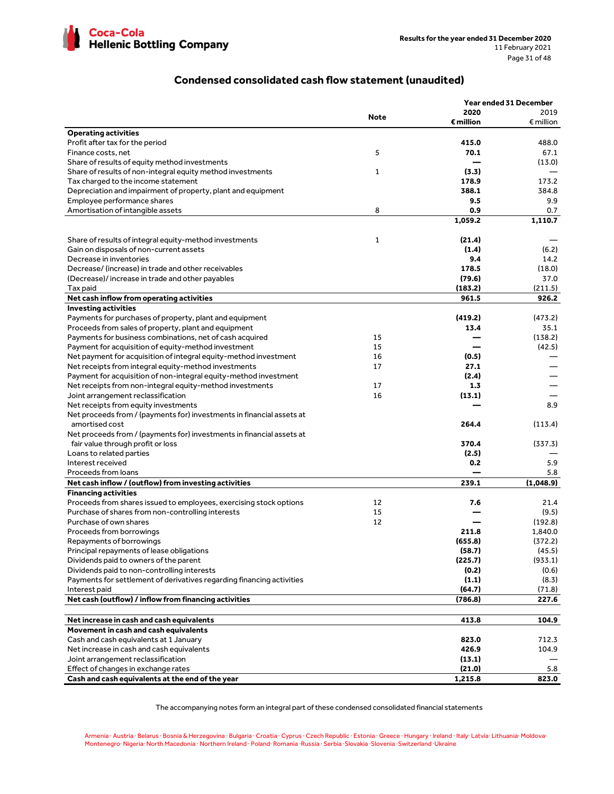

# **Condensed consolidated cash flow statement (unaudited)**

|                                                                                    |              |                    | Year ended 31 December |
|------------------------------------------------------------------------------------|--------------|--------------------|------------------------|
|                                                                                    | <b>Note</b>  | 2020               | 2019                   |
|                                                                                    |              | $\epsilon$ million | $\epsilon$ million     |
| <b>Operating activities</b>                                                        |              |                    |                        |
| Profit after tax for the period                                                    |              | 415.0              | 488.0                  |
| Finance costs, net                                                                 | 5            | 70.1               | 67.1                   |
| Share of results of equity method investments                                      |              |                    | (13.0)                 |
| Share of results of non-integral equity method investments                         | $\mathbf{1}$ | (3.3)              |                        |
| Tax charged to the income statement                                                |              | 178.9              | 173.2                  |
| Depreciation and impairment of property, plant and equipment                       |              | 388.1              | 384.8                  |
| Employee performance shares                                                        |              | 9.5                | 9.9                    |
| Amortisation of intangible assets                                                  | 8            | 0.9                | 0.7                    |
|                                                                                    |              | 1,059.2            | 1,110.7                |
|                                                                                    |              |                    |                        |
| Share of results of integral equity-method investments                             | 1            | (21.4)             |                        |
| Gain on disposals of non-current assets                                            |              | (1.4)              | (6.2)                  |
| Decrease in inventories                                                            |              | 9.4                | 14.2                   |
| Decrease/(increase) in trade and other receivables                                 |              | 178.5              | (18.0)                 |
| (Decrease)/increase in trade and other payables                                    |              | (79.6)             | 37.0                   |
| Tax paid                                                                           |              | (183.2)            | (211.5)                |
| Net cash inflow from operating activities                                          |              | 961.5              | 926.2                  |
| <b>Investing activities</b>                                                        |              |                    |                        |
| Payments for purchases of property, plant and equipment                            |              | (419.2)            | (473.2)                |
| Proceeds from sales of property, plant and equipment                               |              | 13.4               | 35.1                   |
| Payments for business combinations, net of cash acquired                           | 15           |                    | (138.2)                |
| Payment for acquisition of equity-method investment                                | 15           |                    | (42.5)                 |
| Net payment for acquisition of integral equity-method investment                   | 16           | (0.5)              |                        |
| Net receipts from integral equity-method investments                               | 17           | 27.1               |                        |
| Payment for acquisition of non-integral equity-method investment                   |              | (2.4)              |                        |
| Net receipts from non-integral equity-method investments                           | 17           | 1.3                |                        |
| Joint arrangement reclassification                                                 | 16           | (13.1)             |                        |
| Net receipts from equity investments                                               |              |                    | 8.9                    |
| Net proceeds from / (payments for) investments in financial assets at              |              |                    |                        |
| amortised cost                                                                     |              | 264.4              | (113.4)                |
| Net proceeds from / (payments for) investments in financial assets at              |              |                    |                        |
| fair value through profit or loss                                                  |              | 370.4              | (337.3)                |
| Loans to related parties                                                           |              | (2.5)              |                        |
| Interest received                                                                  |              | 0.2                | 5.9                    |
| Proceeds from loans                                                                |              |                    | 5.8                    |
|                                                                                    |              | 239.1              |                        |
| Net cash inflow / (outflow) from investing activities                              |              |                    | (1,048.9)              |
| <b>Financing activities</b>                                                        |              |                    |                        |
| Proceeds from shares issued to employees, exercising stock options                 | 12           | 7.6                | 21.4                   |
| Purchase of shares from non-controlling interests                                  | 15           |                    | (9.5)                  |
| Purchase of own shares                                                             | 12           |                    | (192.8)                |
| Proceeds from borrowings                                                           |              | 211.8              | 1,840.0                |
| Repayments of borrowings                                                           |              | (655.8)            | (372.2)                |
| Principal repayments of lease obligations                                          |              | (58.7)             | (45.5)                 |
| Dividends paid to owners of the parent                                             |              | (225.7)            | (933.1)                |
| Dividends paid to non-controlling interests                                        |              | (0.2)              | (0.6)                  |
| Payments for settlement of derivatives regarding financing activities              |              | (1.1)              | (8.3)                  |
| Interest paid                                                                      |              | (64.7)             | (71.8)                 |
| Net cash (outflow) / inflow from financing activities                              |              | (786.8)            | 227.6                  |
|                                                                                    |              |                    |                        |
| Net increase in cash and cash equivalents<br>Movement in cash and cash equivalents |              | 413.8              | 104.9                  |
| Cash and cash equivalents at 1 January                                             |              | 823.0              | 712.3                  |
|                                                                                    |              | 426.9              |                        |
| Net increase in cash and cash equivalents                                          |              |                    | 104.9                  |
| Joint arrangement reclassification                                                 |              | (13.1)             |                        |
| Effect of changes in exchange rates                                                |              | (21.0)             | 5.8                    |
| Cash and cash equivalents at the end of the year                                   |              | 1,215.8            | 823.0                  |

The accompanying notes form an integral part of these condensed consolidated financial statements

Armenia · Austria · Belarus · Bosnia & Herzegovina · Bulgaria · Croatia · Cyprus · Czech Republic · Estonia · Greece · Hungary · Ireland · Italy· Latvia· Lithuania· Moldova· Montenegro· Nigeria· North Macedonia · Northern Ireland · Poland· Romania ·Russia · Serbia ·Slovakia ·Slovenia ·Switzerland ·Ukraine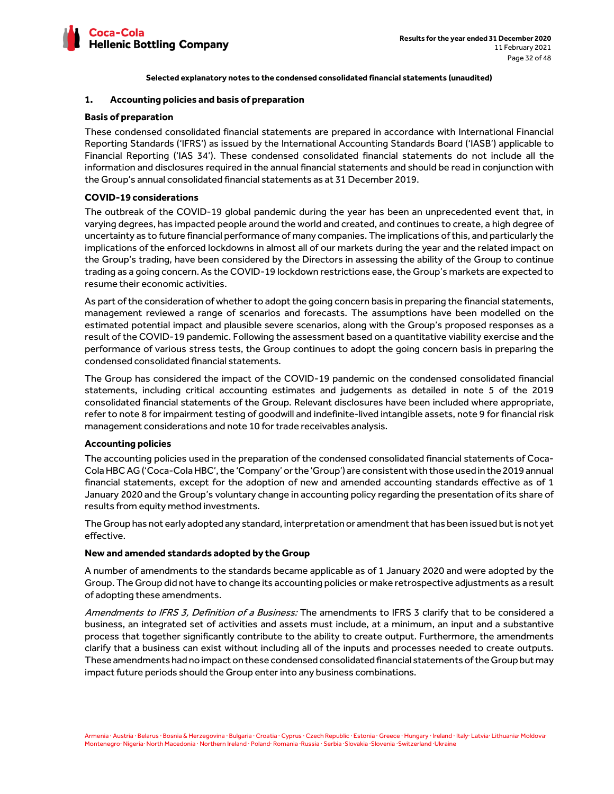

# **1. Accounting policies and basis of preparation**

## **Basis of preparation**

These condensed consolidated financial statements are prepared in accordance with International Financial Reporting Standards ('IFRS') as issued by the International Accounting Standards Board ('IASB') applicable to Financial Reporting ('IAS 34'). These condensed consolidated financial statements do not include all the information and disclosures required in the annual financial statements and should be read in conjunction with the Group's annual consolidated financial statements as at 31 December 2019.

# **COVID-19 considerations**

The outbreak of the COVID-19 global pandemic during the year has been an unprecedented event that, in varying degrees, has impacted people around the world and created, and continues to create, a high degree of uncertainty as to future financial performance of many companies. The implications of this, and particularly the implications of the enforced lockdowns in almost all of our markets during the year and the related impact on the Group's trading, have been considered by the Directors in assessing the ability of the Group to continue trading as a going concern. As the COVID-19 lockdown restrictions ease, the Group's markets are expected to resume their economic activities.

As part of the consideration of whether to adopt the going concern basis in preparing the financial statements, management reviewed a range of scenarios and forecasts. The assumptions have been modelled on the estimated potential impact and plausible severe scenarios, along with the Group's proposed responses as a result of the COVID-19 pandemic. Following the assessment based on a quantitative viability exercise and the performance of various stress tests, the Group continues to adopt the going concern basis in preparing the condensed consolidated financial statements.

The Group has considered the impact of the COVID-19 pandemic on the condensed consolidated financial statements, including critical accounting estimates and judgements as detailed in note 5 of the 2019 consolidated financial statements of the Group. Relevant disclosures have been included where appropriate, refer to note 8 for impairment testing of goodwill and indefinite-lived intangible assets, note 9 for financial risk management considerations and note 10 for trade receivables analysis.

# **Accounting policies**

The accounting policies used in the preparation of the condensed consolidated financial statements of Coca-Cola HBC AG ('Coca-Cola HBC', the 'Company' or the 'Group') are consistent with those used in the 2019 annual financial statements, except for the adoption of new and amended accounting standards effective as of 1 January 2020 and the Group's voluntary change in accounting policy regarding the presentation of its share of results from equity method investments.

The Group has not early adopted any standard, interpretation or amendment that has been issued but is not yet effective.

#### **New and amended standards adopted by the Group**

A number of amendments to the standards became applicable as of 1 January 2020 and were adopted by the Group. The Group did not have to change its accounting policies or make retrospective adjustments as a result of adopting these amendments.

Amendments to IFRS 3, Definition of a Business: The amendments to IFRS 3 clarify that to be considered a business, an integrated set of activities and assets must include, at a minimum, an input and a substantive process that together significantly contribute to the ability to create output. Furthermore, the amendments clarify that a business can exist without including all of the inputs and processes needed to create outputs. These amendments had no impact on these condensed consolidated financial statements of the Group but may impact future periods should the Group enter into any business combinations.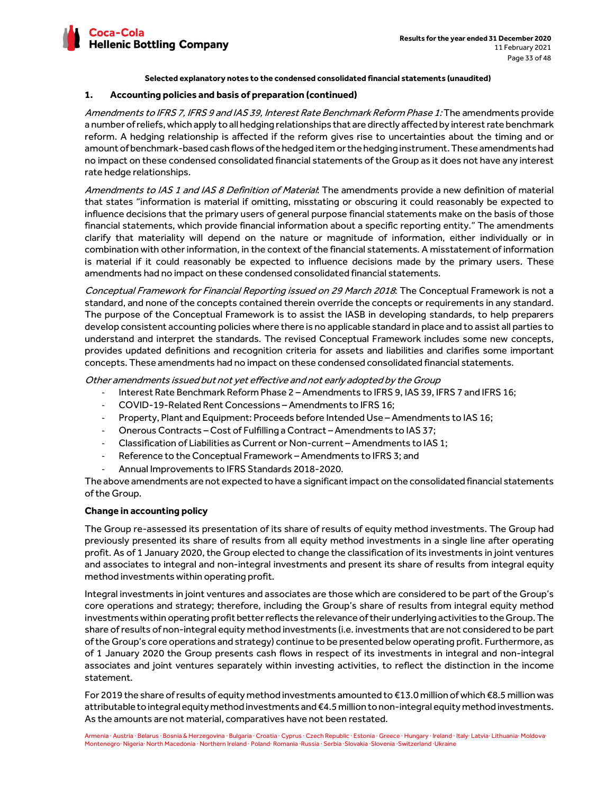

# **1. Accounting policies and basis of preparation (continued)**

Amendments to IFRS 7, IFRS 9 and IAS 39, Interest Rate Benchmark Reform Phase 1: The amendments provide a number of reliefs, which apply to all hedging relationships that are directly affected by interest rate benchmark reform. A hedging relationship is affected if the reform gives rise to uncertainties about the timing and or amount of benchmark-based cash flows of the hedged item or the hedging instrument. These amendments had no impact on these condensed consolidated financial statements of the Group as it does not have any interest rate hedge relationships.

Amendments to IAS 1 and IAS 8 Definition of Material: The amendments provide a new definition of material that states "information is material if omitting, misstating or obscuring it could reasonably be expected to influence decisions that the primary users of general purpose financial statements make on the basis of those financial statements, which provide financial information about a specific reporting entity." The amendments clarify that materiality will depend on the nature or magnitude of information, either individually or in combination with other information, in the context of the financial statements. A misstatement of information is material if it could reasonably be expected to influence decisions made by the primary users. These amendments had no impact on these condensed consolidated financial statements.

Conceptual Framework for Financial Reporting issued on 29 March 2018. The Conceptual Framework is not a standard, and none of the concepts contained therein override the concepts or requirements in any standard. The purpose of the Conceptual Framework is to assist the IASB in developing standards, to help preparers develop consistent accounting policies where there is no applicable standard in place and to assist all parties to understand and interpret the standards. The revised Conceptual Framework includes some new concepts, provides updated definitions and recognition criteria for assets and liabilities and clarifies some important concepts. These amendments had no impact on these condensed consolidated financial statements.

Other amendments issued but not yet effective and not early adopted by the Group

- Interest Rate Benchmark Reform Phase 2 Amendments to IFRS 9, IAS 39, IFRS 7 and IFRS 16;
- COVID-19-Related Rent Concessions Amendments to IFRS 16;
- Property, Plant and Equipment: Proceeds before Intended Use Amendments to IAS 16;
- Onerous Contracts Cost of Fulfilling a Contract Amendments to IAS 37;
- Classification of Liabilities as Current or Non-current Amendments to IAS 1;
- Reference to the Conceptual Framework Amendments to IFRS 3; and
- Annual Improvements to IFRS Standards 2018-2020.

The above amendments are not expected to have a significant impact on the consolidated financial statements of the Group.

# **Change in accounting policy**

The Group re-assessed its presentation of its share of results of equity method investments. The Group had previously presented its share of results from all equity method investments in a single line after operating profit. As of 1 January 2020, the Group elected to change the classification of its investments in joint ventures and associates to integral and non-integral investments and present its share of results from integral equity method investments within operating profit.

Integral investments in joint ventures and associates are those which are considered to be part of the Group's core operations and strategy; therefore, including the Group's share of results from integral equity method investments within operating profit better reflects the relevance of their underlying activities to the Group. The share of results of non-integral equity method investments (i.e. investments that are not considered to be part of the Group's core operations and strategy) continue to be presented below operating profit. Furthermore, as of 1 January 2020 the Group presents cash flows in respect of its investments in integral and non-integral associates and joint ventures separately within investing activities, to reflect the distinction in the income statement.

For 2019 the share of results of equity method investments amounted to €13.0 million of which €8.5 million was attributable to integral equity method investments and €4.5 million to non-integral equity method investments. As the amounts are not material, comparatives have not been restated.

Armenia · Austria · Belarus · Bosnia & Herzegovina · Bulgaria · Croatia · Cyprus · Czech Republic · Estonia · Greece · Hungary · Ireland · Italy· Latvia· Lithuania· Moldova· Montenegro· Nigeria· North Macedonia · Northern Ireland · Poland· Romania ·Russia · Serbia ·Slovakia ·Slovenia ·Switzerland ·Ukraine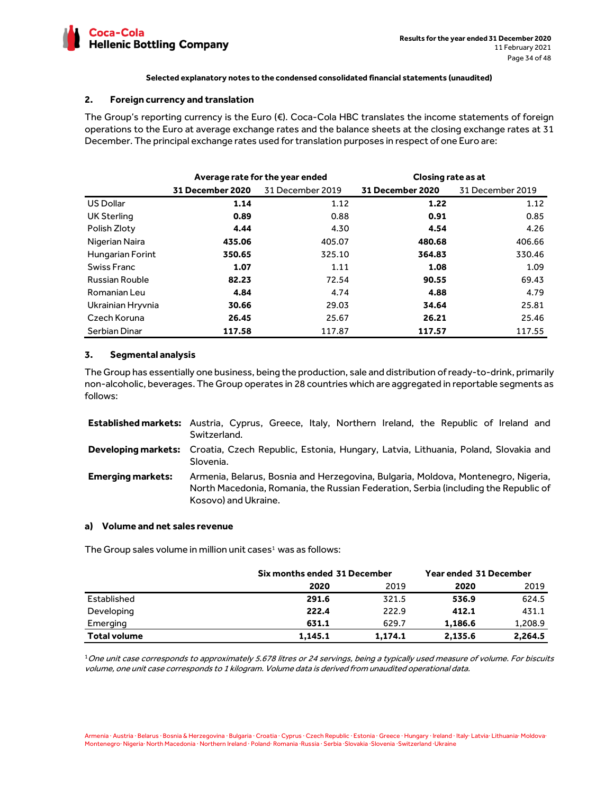

# **2. Foreign currency and translation**

The Group's reporting currency is the Euro (€). Coca-Cola HBC translates the income statements of foreign operations to the Euro at average exchange rates and the balance sheets at the closing exchange rates at 31 December. The principal exchange rates used for translation purposes in respect of one Euro are:

|                       | Average rate for the year ended |                  | Closing rate as at |                  |
|-----------------------|---------------------------------|------------------|--------------------|------------------|
|                       | 31 December 2020                | 31 December 2019 | 31 December 2020   | 31 December 2019 |
| <b>US Dollar</b>      | 1.14                            | 1.12             | 1.22               | 1.12             |
| <b>UK Sterling</b>    | 0.89                            | 0.88             | 0.91               | 0.85             |
| Polish Zloty          | 4.44                            | 4.30             | 4.54               | 4.26             |
| Nigerian Naira        | 435.06                          | 405.07           | 480.68             | 406.66           |
| Hungarian Forint      | 350.65                          | 325.10           | 364.83             | 330.46           |
| Swiss Franc           | 1.07                            | 1.11             | 1.08               | 1.09             |
| <b>Russian Rouble</b> | 82.23                           | 72.54            | 90.55              | 69.43            |
| Romanian Leu          | 4.84                            | 4.74             | 4.88               | 4.79             |
| Ukrainian Hryvnia     | 30.66                           | 29.03            | 34.64              | 25.81            |
| Czech Koruna          | 26.45                           | 25.67            | 26.21              | 25.46            |
| Serbian Dinar         | 117.58                          | 117.87           | 117.57             | 117.55           |

# **3. Segmental analysis**

The Group has essentially one business, being the production, sale and distribution of ready-to-drink, primarily non-alcoholic, beverages. The Group operates in 28 countries which are aggregated in reportable segments as follows:

|                          | Established markets: Austria, Cyprus, Greece, Italy, Northern Ireland, the Republic of Ireland and<br>Switzerland.                                                                               |
|--------------------------|--------------------------------------------------------------------------------------------------------------------------------------------------------------------------------------------------|
|                          | Developing markets: Croatia, Czech Republic, Estonia, Hungary, Latvia, Lithuania, Poland, Slovakia and<br>Slovenia.                                                                              |
| <b>Emerging markets:</b> | Armenia, Belarus, Bosnia and Herzegovina, Bulgaria, Moldova, Montenegro, Nigeria,<br>North Macedonia, Romania, the Russian Federation, Serbia (including the Republic of<br>Kosovo) and Ukraine. |

### **a) Volume and net sales revenue**

The Group sales volume in million unit cases<sup>1</sup> was as follows:

|                     |         | Six months ended 31 December |         | Year ended 31 December |  |
|---------------------|---------|------------------------------|---------|------------------------|--|
|                     | 2020    | 2019                         | 2020    | 2019                   |  |
| Established         | 291.6   | 321.5                        | 536.9   | 624.5                  |  |
| Developing          | 222.4   | 222.9                        | 412.1   | 431.1                  |  |
| Emerging            | 631.1   | 629.7                        | 1.186.6 | 1,208.9                |  |
| <b>Total volume</b> | 1.145.1 | 1.174.1                      | 2,135.6 | 2,264.5                |  |

 $1$ One unit case corresponds to approximately 5.678 litres or 24 servings, being a typically used measure of volume. For biscuits volume, one unit case corresponds to 1 kilogram. Volume data is derived from unaudited operational data.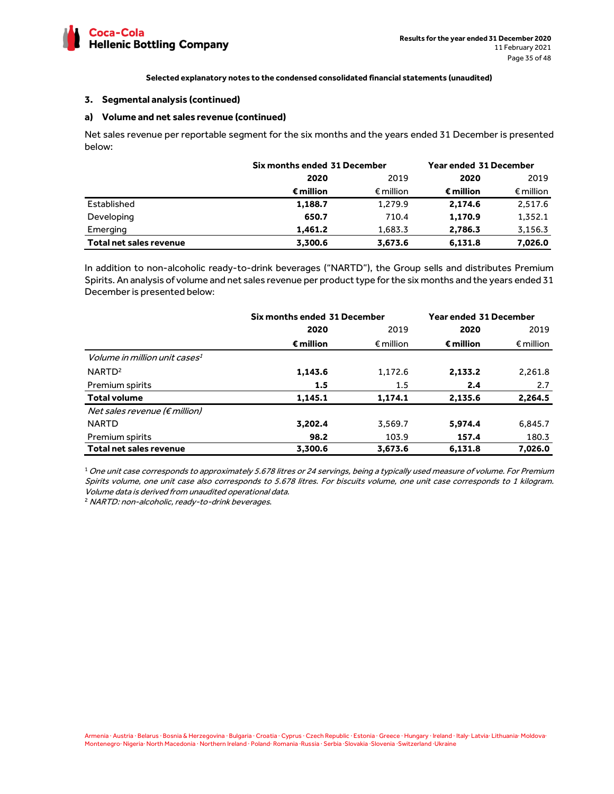

#### **3. Segmental analysis (continued)**

## **a) Volume and net sales revenue (continued)**

Net sales revenue per reportable segment for the six months and the years ended 31 December is presented below:

|                         | Six months ended 31 December |                    | <b>Year ended 31 December</b> |                    |
|-------------------------|------------------------------|--------------------|-------------------------------|--------------------|
|                         | 2020                         | 2019               |                               | 2019               |
|                         | € million                    | $\epsilon$ million | € million                     | $\epsilon$ million |
| Established             | 1,188.7                      | 1,279.9            | 2,174.6                       | 2,517.6            |
| Developing              | 650.7                        | 710.4              | 1,170.9                       | 1,352.1            |
| Emerging                | 1,461.2                      | 1,683.3            | 2,786.3                       | 3,156.3            |
| Total net sales revenue | 3,300.6                      | 3,673.6            | 6,131.8                       | 7,026.0            |

In addition to non-alcoholic ready-to-drink beverages ("NARTD"), the Group sells and distributes Premium Spirits. An analysis of volume and net sales revenue per product type for the six months and the years ended 31 December is presented below:

|                                                 | Six months ended 31 December |                    | <b>Year ended 31 December</b> |                    |
|-------------------------------------------------|------------------------------|--------------------|-------------------------------|--------------------|
|                                                 | 2020                         | 2019               | 2020                          | 2019               |
|                                                 | € million                    | $\epsilon$ million | $\epsilon$ million            | $\epsilon$ million |
| <i>Volume in million unit cases<sup>1</sup></i> |                              |                    |                               |                    |
| NARTD <sup>2</sup>                              | 1,143.6                      | 1,172.6            | 2,133.2                       | 2,261.8            |
| Premium spirits                                 | $1.5\,$                      | $1.5\,$            | 2.4                           | 2.7                |
| <b>Total volume</b>                             | 1,145.1                      | 1,174.1            | 2,135.6                       | 2,264.5            |
| Net sales revenue ( $\notin$ million)           |                              |                    |                               |                    |
| <b>NARTD</b>                                    | 3,202.4                      | 3,569.7            | 5,974.4                       | 6,845.7            |
| Premium spirits                                 | 98.2                         | 103.9              | 157.4                         | 180.3              |
| Total net sales revenue                         | 3.300.6                      | 3.673.6            | 6.131.8                       | 7.026.0            |

 $1$  One unit case corresponds to approximately 5.678 litres or 24 servings, being a typically used measure of volume. For Premium Spirits volume, one unit case also corresponds to 5.678 litres. For biscuits volume, one unit case corresponds to 1 kilogram. Volume data is derived from unaudited operational data.

<sup>2</sup> NARTD: non-alcoholic, ready-to-drink beverages.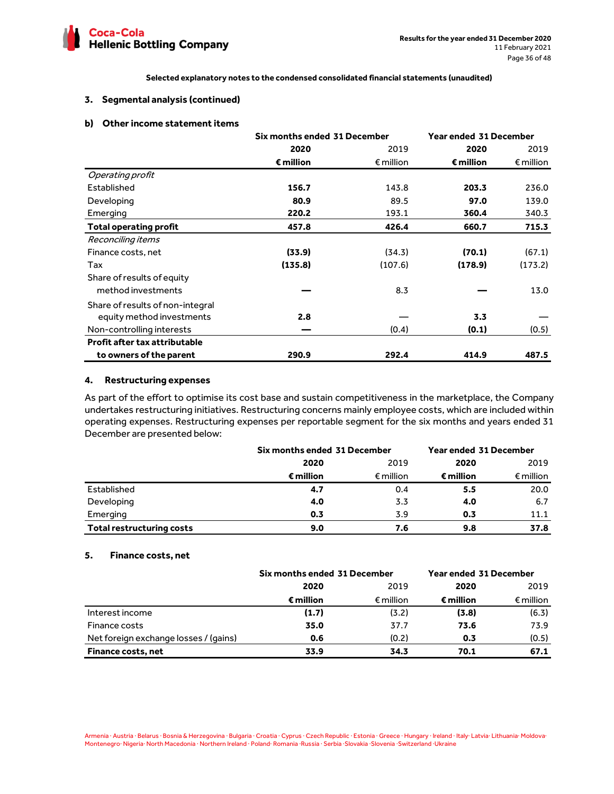

### **3. Segmental analysis (continued)**

### **b) Other income statement items**

|                                      | Six months ended 31 December |                    | <b>Year ended 31 December</b> |                    |
|--------------------------------------|------------------------------|--------------------|-------------------------------|--------------------|
|                                      | 2020                         | 2019               | 2020                          | 2019               |
|                                      | $\epsilon$ million           | $\epsilon$ million | $\epsilon$ million            | $\epsilon$ million |
| Operating profit                     |                              |                    |                               |                    |
| Established                          | 156.7                        | 143.8              | 203.3                         | 236.0              |
| Developing                           | 80.9                         | 89.5               | 97.0                          | 139.0              |
| Emerging                             | 220.2                        | 193.1              | 360.4                         | 340.3              |
| <b>Total operating profit</b>        | 457.8                        | 426.4              | 660.7                         | 715.3              |
| Reconciling items                    |                              |                    |                               |                    |
| Finance costs, net                   | (33.9)                       | (34.3)             | (70.1)                        | (67.1)             |
| Tax                                  | (135.8)                      | (107.6)            | (178.9)                       | (173.2)            |
| Share of results of equity           |                              |                    |                               |                    |
| method investments                   |                              | 8.3                |                               | 13.0               |
| Share of results of non-integral     |                              |                    |                               |                    |
| equity method investments            | 2.8                          |                    | 3.3                           |                    |
| Non-controlling interests            |                              | (0.4)              | (0.1)                         | (0.5)              |
| <b>Profit after tax attributable</b> |                              |                    |                               |                    |
| to owners of the parent              | 290.9                        | 292.4              | 414.9                         | 487.5              |

### **4. Restructuring expenses**

As part of the effort to optimise its cost base and sustain competitiveness in the marketplace, the Company undertakes restructuring initiatives. Restructuring concerns mainly employee costs, which are included within operating expenses. Restructuring expenses per reportable segment for the six months and years ended 31 December are presented below:

|                                  | Six months ended 31 December |                    | Year ended 31 December |                    |
|----------------------------------|------------------------------|--------------------|------------------------|--------------------|
|                                  | 2020                         | 2019               |                        | 2019               |
|                                  | € million                    | $\epsilon$ million | € million              | $\epsilon$ million |
| Established                      | 4.7                          | 0.4                | 5.5                    | 20.0               |
| Developing                       | 4.0                          | 3.3                | 4.0                    | 6.7                |
| Emerging                         | 0.3                          | 3.9                | 0.3                    | 11.1               |
| <b>Total restructuring costs</b> | 9.0                          | 7.6                | 9.8                    | 37.8               |

# **5. Finance costs, net**

|                                       | Six months ended 31 December |                    | <b>Year ended 31 December</b> |                    |
|---------------------------------------|------------------------------|--------------------|-------------------------------|--------------------|
|                                       | 2019<br>2020                 |                    | 2020                          | 2019               |
|                                       | € million                    | $\epsilon$ million | $\epsilon$ million            | $\epsilon$ million |
| Interest income                       | (1.7)                        | (3.2)              | (3.8)                         | (6.3)              |
| Finance costs                         | 35.0                         | 37.7               | 73.6                          | 73.9               |
| Net foreign exchange losses / (gains) | 0.6                          | (0.2)              | 0.3                           | (0.5)              |
| <b>Finance costs, net</b>             | 33.9                         | 34.3               | 70.1                          | 67.1               |

Armenia · Austria · Belarus · Bosnia & Herzegovina · Bulgaria · Croatia · Cyprus · Czech Republic · Estonia · Greece · Hungary · Ireland · Italy· Latvia· Lithuania· Moldova· Montenegro· Nigeria· North Macedonia · Northern Ireland · Poland· Romania ·Russia · Serbia ·Slovakia ·Slovenia ·Switzerland ·Ukraine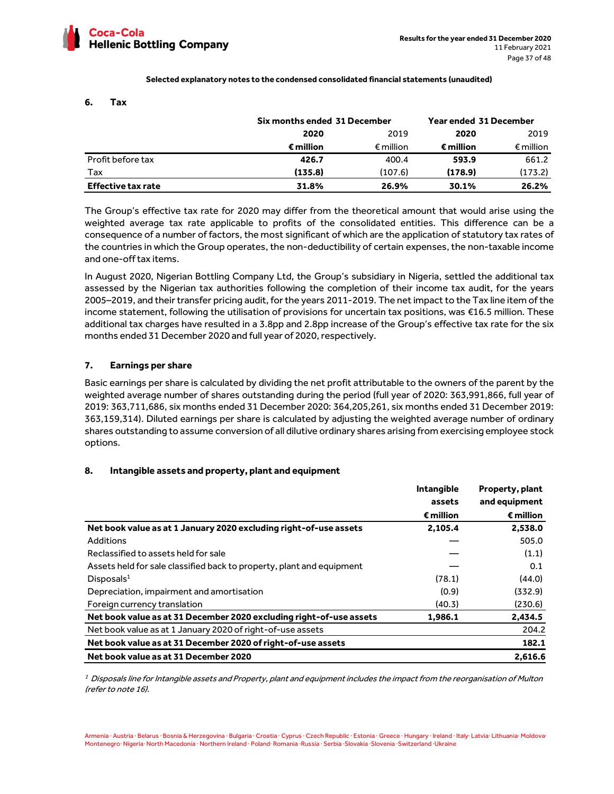

#### **6. Tax**

|                           | Six months ended 31 December |                    | Year ended 31 December |                    |
|---------------------------|------------------------------|--------------------|------------------------|--------------------|
|                           | 2020                         | 2019               |                        | 2019               |
|                           | € million                    | $\epsilon$ million | € million              | $\epsilon$ million |
| Profit before tax         | 426.7                        | 400.4              | 593.9                  | 661.2              |
| Tax                       | (135.8)                      | (107.6)            | (178.9)                | (173.2)            |
| <b>Effective tax rate</b> | 31.8%                        | 26.9%              | 30.1%                  | 26.2%              |

The Group's effective tax rate for 2020 may differ from the theoretical amount that would arise using the weighted average tax rate applicable to profits of the consolidated entities. This difference can be a consequence of a number of factors, the most significant of which are the application of statutory tax rates of the countries in which the Group operates, the non-deductibility of certain expenses, the non-taxable income and one-off tax items.

In August 2020, Nigerian Bottling Company Ltd, the Group's subsidiary in Nigeria, settled the additional tax assessed by the Nigerian tax authorities following the completion of their income tax audit, for the years 2005–2019, and their transfer pricing audit, for the years 2011-2019. The net impact to the Tax line item of the income statement, following the utilisation of provisions for uncertain tax positions, was €16.5 million. These additional tax charges have resulted in a 3.8pp and 2.8pp increase of the Group's effective tax rate for the six months ended 31 December 2020 and full year of 2020, respectively.

# **7. Earnings per share**

Basic earnings per share is calculated by dividing the net profit attributable to the owners of the parent by the weighted average number of shares outstanding during the period (full year of 2020: 363,991,866, full year of 2019: 363,711,686, six months ended 31 December 2020: 364,205,261, six months ended 31 December 2019: 363,159,314). Diluted earnings per share is calculated by adjusting the weighted average number of ordinary shares outstanding to assume conversion of all dilutive ordinary shares arising from exercising employee stock options.

# **8. Intangible assets and property, plant and equipment**

|                                                                       | <b>Intangible</b> | Property, plant |
|-----------------------------------------------------------------------|-------------------|-----------------|
|                                                                       | assets            | and equipment   |
|                                                                       | € million         | € million       |
| Net book value as at 1 January 2020 excluding right-of-use assets     | 2,105.4           | 2,538.0         |
| Additions                                                             |                   | 505.0           |
| Reclassified to assets held for sale                                  |                   | (1.1)           |
| Assets held for sale classified back to property, plant and equipment |                   | 0.1             |
| Disposals <sup>1</sup>                                                | (78.1)            | (44.0)          |
| Depreciation, impairment and amortisation                             | (0.9)             | (332.9)         |
| Foreign currency translation                                          | (40.3)            | (230.6)         |
| Net book value as at 31 December 2020 excluding right-of-use assets   | 1,986.1           | 2,434.5         |
| Net book value as at 1 January 2020 of right-of-use assets            |                   | 204.2           |
| Net book value as at 31 December 2020 of right-of-use assets          |                   | 182.1           |
| Net book value as at 31 December 2020                                 |                   | 2,616.6         |

 $^{\rm 1}$  Disposals line for Intangible assets and Property, plant and equipment includes the impact from the reorganisation of Multon (refer to note 16).

Armenia · Austria · Belarus · Bosnia & Herzegovina · Bulgaria · Croatia · Cyprus · Czech Republic · Estonia · Greece · Hungary · Ireland · Italy· Latvia· Lithuania· Moldova· Montenegro· Nigeria· North Macedonia · Northern Ireland · Poland· Romania ·Russia · Serbia ·Slovakia ·Slovenia ·Switzerland ·Ukraine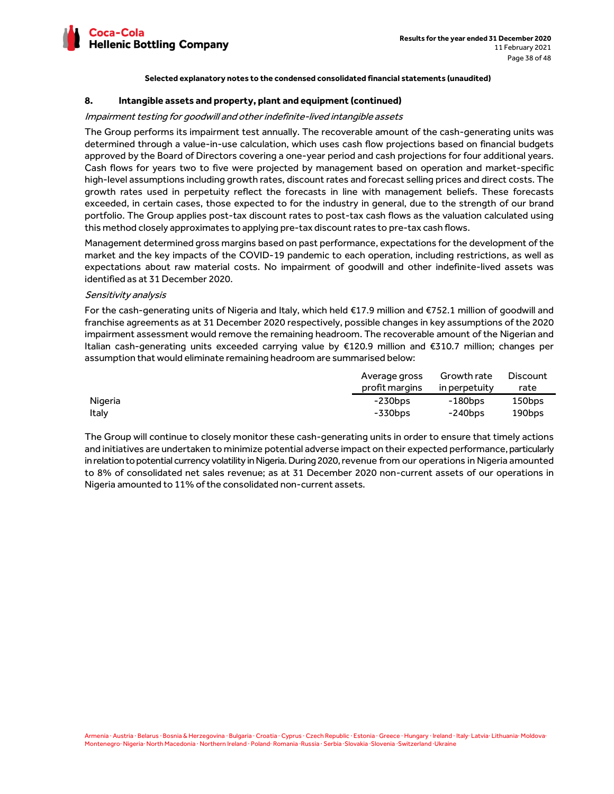

#### **8. Intangible assets and property, plant and equipment (continued)**

#### Impairment testing for goodwill and other indefinite-lived intangible assets

The Group performs its impairment test annually. The recoverable amount of the cash-generating units was determined through a value-in-use calculation, which uses cash flow projections based on financial budgets approved by the Board of Directors covering a one-year period and cash projections for four additional years. Cash flows for years two to five were projected by management based on operation and market-specific high-level assumptions including growth rates, discount rates and forecast selling prices and direct costs. The growth rates used in perpetuity reflect the forecasts in line with management beliefs. These forecasts exceeded, in certain cases, those expected to for the industry in general, due to the strength of our brand portfolio. The Group applies post-tax discount rates to post-tax cash flows as the valuation calculated using this method closely approximates to applying pre-tax discount rates to pre-tax cash flows.

Management determined gross margins based on past performance, expectations for the development of the market and the key impacts of the COVID-19 pandemic to each operation, including restrictions, as well as expectations about raw material costs. No impairment of goodwill and other indefinite-lived assets was identified as at 31 December 2020.

#### Sensitivity analysis

For the cash-generating units of Nigeria and Italy, which held €17.9 million and €752.1 million of goodwill and franchise agreements as at 31 December 2020 respectively, possible changes in key assumptions of the 2020 impairment assessment would remove the remaining headroom. The recoverable amount of the Nigerian and Italian cash-generating units exceeded carrying value by €120.9 million and €310.7 million; changes per assumption that would eliminate remaining headroom are summarised below:

|         | Average gross  | Growth rate   | <b>Discount</b> |
|---------|----------------|---------------|-----------------|
|         | profit margins | in perpetuity | rate            |
| Nigeria | -230bps        | -180bps       | 150bps          |
| Italy   | -330bps        | $-240$ bps    | 190bps          |

The Group will continue to closely monitor these cash-generating units in order to ensure that timely actions and initiatives are undertaken to minimize potential adverse impact on their expected performance, particularly in relation to potential currency volatility in Nigeria. During 2020, revenue from our operations in Nigeria amounted to 8% of consolidated net sales revenue; as at 31 December 2020 non-current assets of our operations in Nigeria amounted to 11% of the consolidated non-current assets.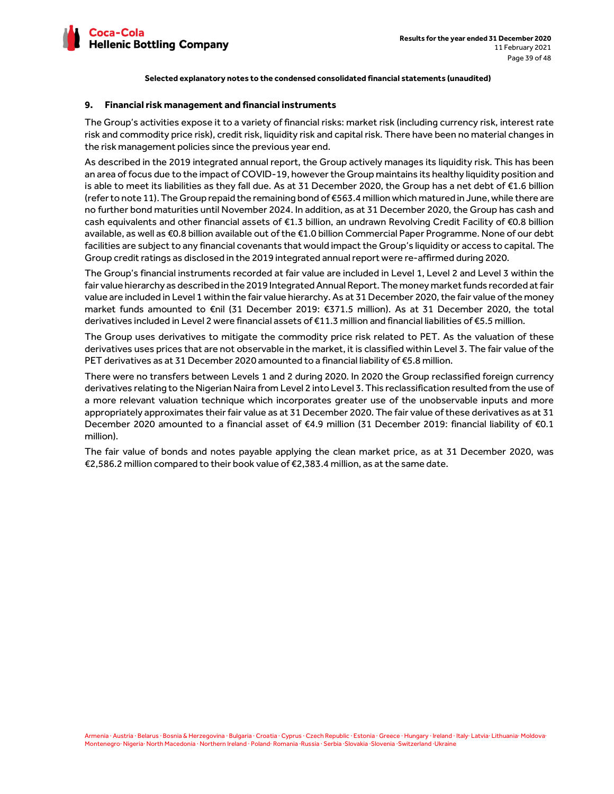

### **9. Financial risk management and financial instruments**

The Group's activities expose it to a variety of financial risks: market risk (including currency risk, interest rate risk and commodity price risk), credit risk, liquidity risk and capital risk. There have been no material changes in the risk management policies since the previous year end.

As described in the 2019 integrated annual report, the Group actively manages its liquidity risk. This has been an area of focus due to the impact of COVID-19, however the Group maintains its healthy liquidity position and is able to meet its liabilities as they fall due. As at 31 December 2020, the Group has a net debt of €1.6 billion (refer to note 11). The Group repaid the remaining bond of €563.4 million which matured in June, while there are no further bond maturities until November 2024. In addition, as at 31 December 2020, the Group has cash and cash equivalents and other financial assets of €1.3 billion, an undrawn Revolving Credit Facility of €0.8 billion available, as well as €0.8 billion available out of the €1.0 billion Commercial Paper Programme. None of our debt facilities are subject to any financial covenants that would impact the Group's liquidity or access to capital. The Group credit ratings as disclosed in the 2019 integrated annual report were re-affirmed during 2020.

The Group's financial instruments recorded at fair value are included in Level 1, Level 2 and Level 3 within the fair value hierarchy as described in the 2019 Integrated Annual Report. The money market funds recorded at fair value are included in Level 1 within the fair value hierarchy. As at 31 December 2020, the fair value of the money market funds amounted to €nil (31 December 2019: €371.5 million). As at 31 December 2020, the total derivatives included in Level 2 were financial assets of €11.3 million and financial liabilities of €5.5 million.

The Group uses derivatives to mitigate the commodity price risk related to PET. As the valuation of these derivatives uses prices that are not observable in the market, it is classified within Level 3. The fair value of the PET derivatives as at 31 December 2020 amounted to a financial liability of €5.8 million.

There were no transfers between Levels 1 and 2 during 2020. In 2020 the Group reclassified foreign currency derivatives relating to the Nigerian Naira from Level 2 into Level 3. This reclassification resulted from the use of a more relevant valuation technique which incorporates greater use of the unobservable inputs and more appropriately approximates their fair value as at 31 December 2020. The fair value of these derivatives as at 31 December 2020 amounted to a financial asset of €4.9 million (31 December 2019: financial liability of €0.1 million).

The fair value of bonds and notes payable applying the clean market price, as at 31 December 2020, was €2,586.2 million compared to their book value of €2,383.4 million, as at the same date.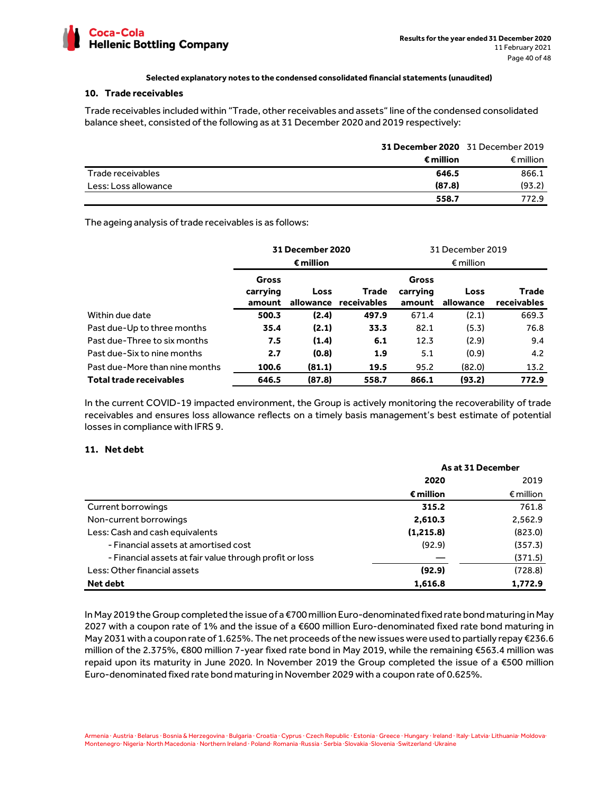

## **10. Trade receivables**

Trade receivables included within "Trade, other receivables and assets" line of the condensed consolidated balance sheet, consisted of the following as at 31 December 2020 and 2019 respectively:

|                      | 31 December 2020 31 December 2019 |                    |
|----------------------|-----------------------------------|--------------------|
|                      | € million                         | $\epsilon$ million |
| Trade receivables    | 646.5                             | 866.1              |
| Less: Loss allowance | (87.8)                            | (93.2)             |
|                      | 558.7                             | 772.9              |

The ageing analysis of trade receivables is as follows:

|                                |                             | 31 December 2020                |                             |                                    | 31 December 2019  |                      |
|--------------------------------|-----------------------------|---------------------------------|-----------------------------|------------------------------------|-------------------|----------------------|
|                                |                             | € million<br>$\epsilon$ million |                             |                                    |                   |                      |
|                                | Gross<br>carrying<br>amount | Loss<br>allowance               | <b>Trade</b><br>receivables | <b>Gross</b><br>carrying<br>amount | Loss<br>allowance | Trade<br>receivables |
| Within due date                | 500.3                       | (2.4)                           | 497.9                       | 671.4                              | (2.1)             | 669.3                |
| Past due-Up to three months    | 35.4                        | (2.1)                           | 33.3                        | 82.1                               | (5.3)             | 76.8                 |
| Past due-Three to six months   | 7.5                         | (1.4)                           | 6.1                         | 12.3                               | (2.9)             | 9.4                  |
| Past due-Six to nine months    | 2.7                         | (0.8)                           | 1.9                         | 5.1                                | (0.9)             | 4.2                  |
| Past due-More than nine months | 100.6                       | (81.1)                          | 19.5                        | 95.2                               | (82.0)            | 13.2                 |
| <b>Total trade receivables</b> | 646.5                       | (87.8)                          | 558.7                       | 866.1                              | (93.2)            | 772.9                |

In the current COVID-19 impacted environment, the Group is actively monitoring the recoverability of trade receivables and ensures loss allowance reflects on a timely basis management's best estimate of potential losses in compliance with IFRS 9.

# **11. Net debt**

|                                                         | As at 31 December |                    |  |
|---------------------------------------------------------|-------------------|--------------------|--|
|                                                         | 2020              | 2019               |  |
|                                                         | € million         | $\epsilon$ million |  |
| Current borrowings                                      | 315.2             | 761.8              |  |
| Non-current borrowings                                  | 2,610.3           | 2,562.9            |  |
| Less: Cash and cash equivalents                         | (1, 215.8)        | (823.0)            |  |
| - Financial assets at amortised cost                    | (92.9)            | (357.3)            |  |
| - Financial assets at fair value through profit or loss |                   | (371.5)            |  |
| Less: Other financial assets                            | (92.9)            | (728.8)            |  |
| Net debt                                                | 1,616.8           | 1,772.9            |  |

In May 2019 the Group completed the issue of a €700 million Euro-denominated fixed rate bond maturing in May 2027 with a coupon rate of 1% and the issue of a €600 million Euro-denominated fixed rate bond maturing in May 2031 with a coupon rate of 1.625%. The net proceeds of the new issues were used to partially repay €236.6 million of the 2.375%, €800 million 7-year fixed rate bond in May 2019, while the remaining €563.4 million was repaid upon its maturity in June 2020. In November 2019 the Group completed the issue of a €500 million Euro-denominated fixed rate bond maturing in November 2029 with a coupon rate of 0.625%.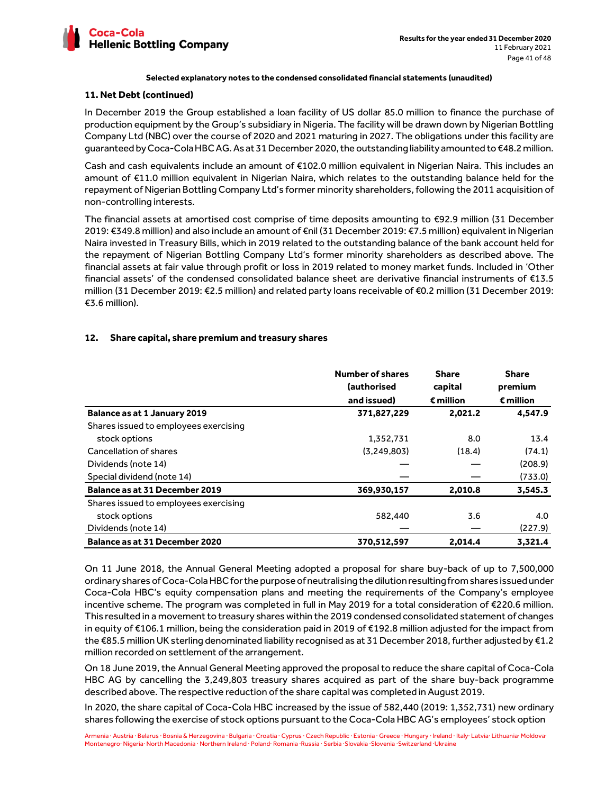

### **11. Net Debt (continued)**

In December 2019 the Group established a loan facility of US dollar 85.0 million to finance the purchase of production equipment by the Group's subsidiary in Nigeria. The facility will be drawn down by Nigerian Bottling Company Ltd (NBC) over the course of 2020 and 2021 maturing in 2027. The obligations under this facility are guaranteed by Coca-Cola HBC AG. As at 31 December 2020, the outstanding liability amounted to €48.2 million.

Cash and cash equivalents include an amount of €102.0 million equivalent in Nigerian Naira. This includes an amount of €11.0 million equivalent in Nigerian Naira, which relates to the outstanding balance held for the repayment of Nigerian Bottling Company Ltd's former minority shareholders, following the 2011 acquisition of non-controlling interests.

The financial assets at amortised cost comprise of time deposits amounting to €92.9 million (31 December 2019: €349.8 million) and also include an amount of €nil (31 December 2019: €7.5 million) equivalent in Nigerian Naira invested in Treasury Bills, which in 2019 related to the outstanding balance of the bank account held for the repayment of Nigerian Bottling Company Ltd's former minority shareholders as described above. The financial assets at fair value through profit or loss in 2019 related to money market funds. Included in 'Other financial assets' of the condensed consolidated balance sheet are derivative financial instruments of €13.5 million (31 December 2019: €2.5 million) and related party loans receivable of €0.2 million (31 December 2019: €3.6 million).

# **12. Share capital, share premium and treasury shares**

|                                       | Number of shares<br>(authorised<br>and issued) | <b>Share</b><br>capital<br>$\epsilon$ million | <b>Share</b><br>premium<br>$\epsilon$ million |
|---------------------------------------|------------------------------------------------|-----------------------------------------------|-----------------------------------------------|
| <b>Balance as at 1 January 2019</b>   | 371,827,229                                    | 2,021.2                                       | 4,547.9                                       |
| Shares issued to employees exercising |                                                |                                               |                                               |
| stock options                         | 1,352,731                                      | 8.0                                           | 13.4                                          |
| Cancellation of shares                | (3.249.803)                                    | (18.4)                                        | (74.1)                                        |
| Dividends (note 14)                   |                                                |                                               | (208.9)                                       |
| Special dividend (note 14)            |                                                |                                               | (733.0)                                       |
| <b>Balance as at 31 December 2019</b> | 369,930,157                                    | 2,010.8                                       | 3,545.3                                       |
| Shares issued to employees exercising |                                                |                                               |                                               |
| stock options                         | 582,440                                        | 3.6                                           | 4.0                                           |
| Dividends (note 14)                   |                                                |                                               | (227.9)                                       |
| Balance as at 31 December 2020        | 370,512,597                                    | 2,014.4                                       | 3.321.4                                       |

On 11 June 2018, the Annual General Meeting adopted a proposal for share buy-back of up to 7,500,000 ordinary shares of Coca-Cola HBC for the purpose of neutralising the dilution resulting from shares issued under Coca-Cola HBC's equity compensation plans and meeting the requirements of the Company's employee incentive scheme. The program was completed in full in May 2019 for a total consideration of €220.6 million. This resulted in a movement to treasury shares within the 2019 condensed consolidated statement of changes in equity of €106.1 million, being the consideration paid in 2019 of €192.8 million adjusted for the impact from the €85.5 million UK sterling denominated liability recognised as at 31 December 2018, further adjusted by €1.2 million recorded on settlement of the arrangement.

On 18 June 2019, the Annual General Meeting approved the proposal to reduce the share capital of Coca-Cola HBC AG by cancelling the 3,249,803 treasury shares acquired as part of the share buy-back programme described above. The respective reduction of the share capital was completed in August 2019.

In 2020, the share capital of Coca-Cola HBC increased by the issue of 582,440 (2019: 1,352,731) new ordinary shares following the exercise of stock options pursuant to the Coca-Cola HBC AG's employees' stock option

Armenia · Austria · Belarus · Bosnia & Herzegovina · Bulgaria · Croatia · Cyprus · Czech Republic · Estonia · Greece · Hungary · Ireland · Italy· Latvia· Lithuania· Moldova· Montenegro· Nigeria· North Macedonia · Northern Ireland · Poland· Romania ·Russia · Serbia ·Slovakia ·Slovenia ·Switzerland ·Ukraine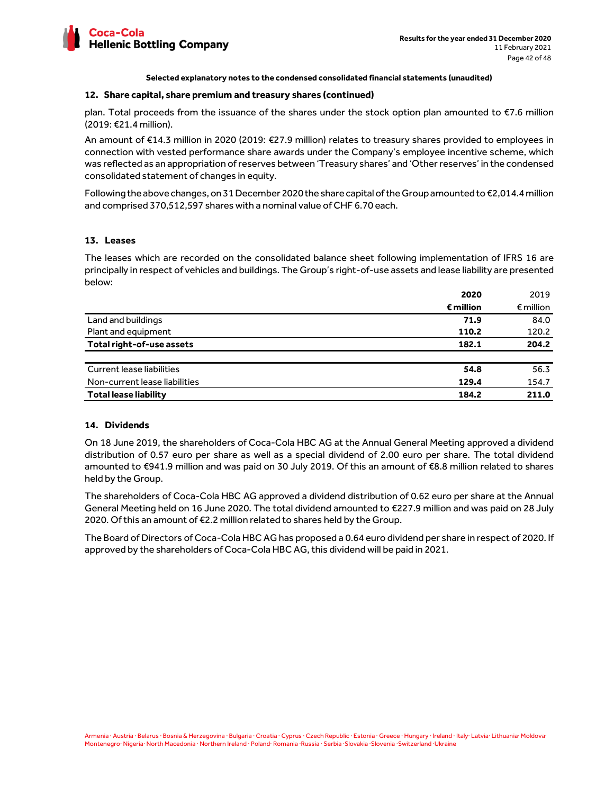

#### **12. Share capital, share premium and treasury shares (continued)**

plan. Total proceeds from the issuance of the shares under the stock option plan amounted to €7.6 million (2019: €21.4 million).

An amount of €14.3 million in 2020 (2019: €27.9 million) relates to treasury shares provided to employees in connection with vested performance share awards under the Company's employee incentive scheme, which was reflected as an appropriation of reserves between 'Treasury shares' and 'Other reserves' in the condensed consolidated statement of changes in equity.

Following the above changes, on 31 December 2020 the share capital of the Group amounted to €2,014.4 million and comprised 370,512,597 shares with a nominal value of CHF 6.70 each.

#### **13. Leases**

The leases which are recorded on the consolidated balance sheet following implementation of IFRS 16 are principally in respect of vehicles and buildings. The Group's right-of-use assets and lease liability are presented below:

|                               | 2020               | 2019               |
|-------------------------------|--------------------|--------------------|
|                               | $\epsilon$ million | $\epsilon$ million |
| Land and buildings            | 71.9               | 84.0               |
| Plant and equipment           | 110.2              | 120.2              |
| Total right-of-use assets     | 182.1              | 204.2              |
| Current lease liabilities     | 54.8               | 56.3               |
| Non-current lease liabilities | 129.4              | 154.7              |
| <b>Total lease liability</b>  | 184.2              | 211.0              |

# **14. Dividends**

On 18 June 2019, the shareholders of Coca-Cola HBC AG at the Annual General Meeting approved a dividend distribution of 0.57 euro per share as well as a special dividend of 2.00 euro per share. The total dividend amounted to €941.9 million and was paid on 30 July 2019. Of this an amount of €8.8 million related to shares held by the Group.

The shareholders of Coca-Cola HBC AG approved a dividend distribution of 0.62 euro per share at the Annual General Meeting held on 16 June 2020. The total dividend amounted to €227.9 million and was paid on 28 July 2020. Of this an amount of €2.2 million related to shares held by the Group.

The Board of Directors of Coca-Cola HBC AG has proposed a 0.64 euro dividend per share in respect of 2020. If approved by the shareholders of Coca-Cola HBC AG, this dividend will be paid in 2021.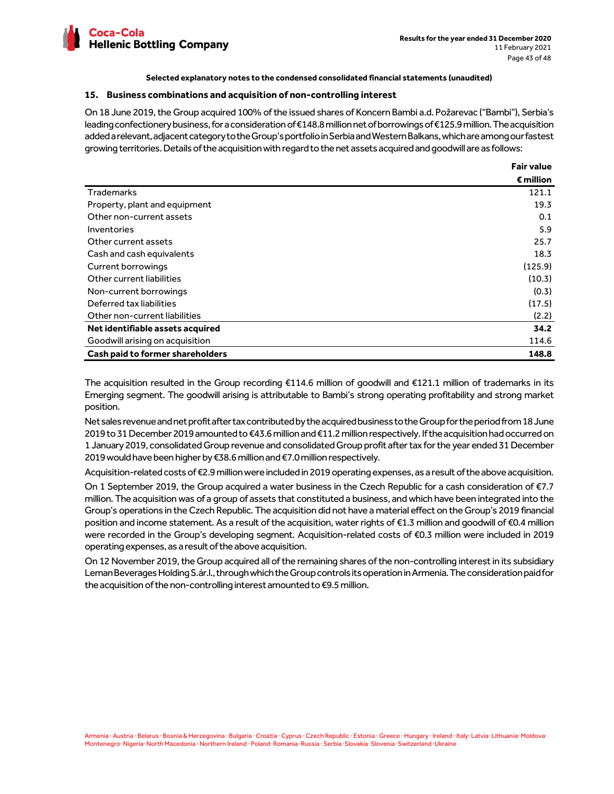

#### **15. Business combinations and acquisition of non-controlling interest**

On 18 June 2019, the Group acquired 100% of the issued shares of Koncern Bambi a.d. Požarevac ("Bambi"), Serbia's leading confectionery business, for a consideration of €148.8 million net of borrowings of €125.9 million. The acquisition added a relevant, adjacent category to the Group's portfolio in Serbia and Western Balkans, which are among our fastest growing territories. Details of the acquisition with regard to the net assets acquired and goodwill are as follows:

|                                         | <b>Fair value</b>  |
|-----------------------------------------|--------------------|
|                                         | $\epsilon$ million |
| <b>Trademarks</b>                       | 121.1              |
| Property, plant and equipment           | 19.3               |
| Other non-current assets                | 0.1                |
| Inventories                             | 5.9                |
| Other current assets                    | 25.7               |
| Cash and cash equivalents               | 18.3               |
| Current borrowings                      | (125.9)            |
| Other current liabilities               | (10.3)             |
| Non-current borrowings                  | (0.3)              |
| Deferred tax liabilities                | (17.5)             |
| Other non-current liabilities           | (2.2)              |
| Net identifiable assets acquired        | 34.2               |
| Goodwill arising on acquisition         | 114.6              |
| <b>Cash paid to former shareholders</b> | 148.8              |

The acquisition resulted in the Group recording €114.6 million of goodwill and €121.1 million of trademarks in its Emerging segment. The goodwill arising is attributable to Bambi's strong operating profitability and strong market position.

Net sales revenue and net profit after tax contributed by the acquired business to the Group for the period from 18 June 2019 to 31 December 2019 amounted to €43.6 million and €11.2 million respectively. If the acquisition had occurred on 1 January 2019, consolidated Group revenue and consolidated Group profit after tax for the year ended 31 December 2019 would have been higher by €38.6 million and €7.0 million respectively.

Acquisition-related costs of €2.9 million were included in 2019 operating expenses, as a result of the above acquisition.

On 1 September 2019, the Group acquired a water business in the Czech Republic for a cash consideration of €7.7 million. The acquisition was of a group of assets that constituted a business, and which have been integrated into the Group's operations in the Czech Republic. The acquisition did not have a material effect on the Group's 2019 financial position and income statement. As a result of the acquisition, water rights of €1.3 million and goodwill of €0.4 million were recorded in the Group's developing segment. Acquisition-related costs of €0.3 million were included in 2019 operating expenses, as a result of the above acquisition.

On 12 November 2019, the Group acquired all of the remaining shares of the non-controlling interest in its subsidiary Leman Beverages Holding S.ár.l., through which the Group controls its operation in Armenia. The consideration paid for the acquisition of the non-controlling interest amounted to €9.5 million.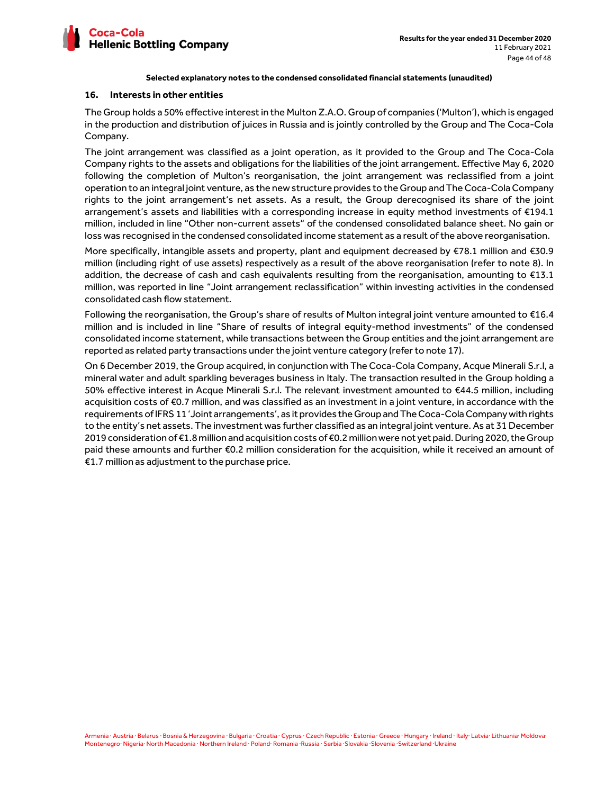

#### **16. Interests in other entities**

The Group holds a 50% effective interest in the Multon Z.A.O. Group of companies ('Multon'), which is engaged in the production and distribution of juices in Russia and is jointly controlled by the Group and The Coca-Cola Company.

The joint arrangement was classified as a joint operation, as it provided to the Group and The Coca-Cola Company rights to the assets and obligations for the liabilities of the joint arrangement. Effective May 6, 2020 following the completion of Multon's reorganisation, the joint arrangement was reclassified from a joint operation to an integral joint venture, as the new structure provides to the Group and The Coca-Cola Company rights to the joint arrangement's net assets. As a result, the Group derecognised its share of the joint arrangement's assets and liabilities with a corresponding increase in equity method investments of €194.1 million, included in line "Other non-current assets" of the condensed consolidated balance sheet. No gain or loss was recognised in the condensed consolidated income statement as a result of the above reorganisation.

More specifically, intangible assets and property, plant and equipment decreased by €78.1 million and €30.9 million (including right of use assets) respectively as a result of the above reorganisation (refer to note 8). In addition, the decrease of cash and cash equivalents resulting from the reorganisation, amounting to €13.1 million, was reported in line "Joint arrangement reclassification" within investing activities in the condensed consolidated cash flow statement.

Following the reorganisation, the Group's share of results of Multon integral joint venture amounted to €16.4 million and is included in line "Share of results of integral equity-method investments" of the condensed consolidated income statement, while transactions between the Group entities and the joint arrangement are reported as related party transactions under the joint venture category (refer to note 17).

On 6 December 2019, the Group acquired, in conjunction with The Coca-Cola Company, Acque Minerali S.r.l, a mineral water and adult sparkling beverages business in Italy. The transaction resulted in the Group holding a 50% effective interest in Acque Minerali S.r.l. The relevant investment amounted to €44.5 million, including acquisition costs of €0.7 million, and was classified as an investment in a joint venture, in accordance with the requirements of IFRS 11 'Joint arrangements', as it provides the Group and The Coca-Cola Company with rights to the entity's net assets. The investment was further classified as an integral joint venture. As at 31 December 2019 consideration of €1.8 million and acquisition costs of €0.2 million were not yet paid. During 2020, the Group paid these amounts and further €0.2 million consideration for the acquisition, while it received an amount of €1.7 million as adjustment to the purchase price.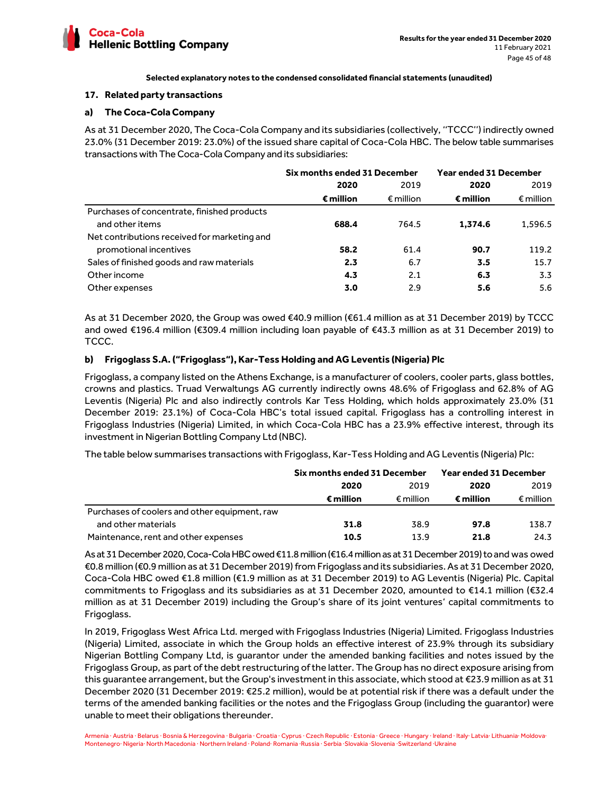

#### **17. Related party transactions**

# **a) The Coca-Cola Company**

As at 31 December 2020, The Coca-Cola Company and its subsidiaries (collectively, ''TCCC'') indirectly owned 23.0% (31 December 2019: 23.0%) of the issued share capital of Coca-Cola HBC. The below table summarises transactions with The Coca-Cola Company and its subsidiaries:

|                                              | Six months ended 31 December |                    | <b>Year ended 31 December</b> |                    |
|----------------------------------------------|------------------------------|--------------------|-------------------------------|--------------------|
|                                              | 2020                         | 2019               | 2020                          | 2019               |
|                                              | € million                    | $\epsilon$ million | € million                     | $\epsilon$ million |
| Purchases of concentrate, finished products  |                              |                    |                               |                    |
| and other items                              | 688.4                        | 764.5              | 1.374.6                       | 1,596.5            |
| Net contributions received for marketing and |                              |                    |                               |                    |
| promotional incentives                       | 58.2                         | 61.4               | 90.7                          | 119.2              |
| Sales of finished goods and raw materials    | 2.3                          | 6.7                | 3.5                           | 15.7               |
| Other income                                 | 4.3                          | 2.1                | 6.3                           | 3.3                |
| Other expenses                               | 3.0                          | 2.9                | 5.6                           | 5.6                |

As at 31 December 2020, the Group was owed €40.9 million (€61.4 million as at 31 December 2019) by TCCC and owed €196.4 million (€309.4 million including loan payable of €43.3 million as at 31 December 2019) to TCCC.

# **b) Frigoglass S.A. ("Frigoglass"), Kar-Tess Holding and AG Leventis (Nigeria) Plc**

Frigoglass, a company listed on the Athens Exchange, is a manufacturer of coolers, cooler parts, glass bottles, crowns and plastics. Truad Verwaltungs AG currently indirectly owns 48.6% of Frigoglass and 62.8% of AG Leventis (Nigeria) Plc and also indirectly controls Kar Tess Holding, which holds approximately 23.0% (31 December 2019: 23.1%) of Coca-Cola HBC's total issued capital. Frigoglass has a controlling interest in Frigoglass Industries (Nigeria) Limited, in which Coca-Cola HBC has a 23.9% effective interest, through its investment in Nigerian Bottling Company Ltd (NBC).

The table below summarises transactions with Frigoglass, Kar-Tess Holding and AG Leventis (Nigeria) Plc:

|                                               | Six months ended 31 December |                    | <b>Year ended 31 December</b> |                    |
|-----------------------------------------------|------------------------------|--------------------|-------------------------------|--------------------|
|                                               | 2019<br>2020                 |                    | 2020                          | 2019               |
|                                               | € million                    | $\epsilon$ million | $\epsilon$ million            | $\epsilon$ million |
| Purchases of coolers and other equipment, raw |                              |                    |                               |                    |
| and other materials                           | 31.8                         | 38.9               | 97.8                          | 138.7              |
| Maintenance, rent and other expenses          | 10.5                         | 13.9               | 21.8                          | 24.3               |

As at 31 December 2020, Coca-Cola HBC owed €11.8 million (€16.4 million as at 31 December 2019) to and was owed €0.8 million (€0.9 million as at 31 December 2019) from Frigoglass and its subsidiaries. As at 31 December 2020, Coca-Cola HBC owed €1.8 million (€1.9 million as at 31 December 2019) to AG Leventis (Nigeria) Plc. Capital commitments to Frigoglass and its subsidiaries as at 31 December 2020, amounted to €14.1 million (€32.4 million as at 31 December 2019) including the Group's share of its joint ventures' capital commitments to Frigoglass.

In 2019, Frigoglass West Africa Ltd. merged with Frigoglass Industries (Nigeria) Limited. Frigoglass Industries (Nigeria) Limited, associate in which the Group holds an effective interest of 23.9% through its subsidiary Nigerian Bottling Company Ltd, is guarantor under the amended banking facilities and notes issued by the Frigoglass Group, as part of the debt restructuring of the latter. The Group has no direct exposure arising from this guarantee arrangement, but the Group's investment in this associate, which stood at €23.9 million as at 31 December 2020 (31 December 2019: €25.2 million), would be at potential risk if there was a default under the terms of the amended banking facilities or the notes and the Frigoglass Group (including the guarantor) were unable to meet their obligations thereunder.

Armenia · Austria · Belarus · Bosnia & Herzegovina · Bulgaria · Croatia · Cyprus · Czech Republic · Estonia · Greece · Hungary · Ireland · Italy· Latvia· Lithuania· Moldova· Montenegro· Nigeria· North Macedonia · Northern Ireland · Poland· Romania ·Russia · Serbia ·Slovakia ·Slovenia ·Switzerland ·Ukraine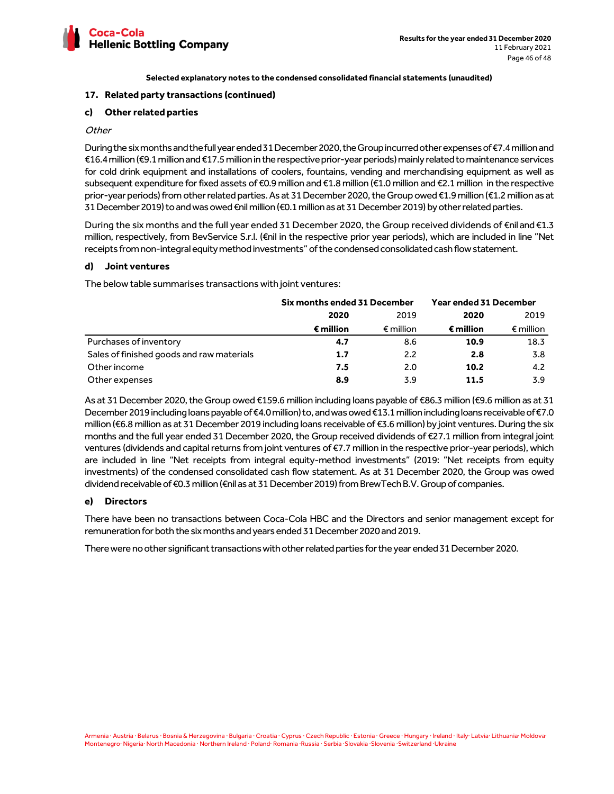

# **17. Related party transactions (continued)**

# **c) Other related parties**

# **Other**

During the six months and the full year ended 31 December 2020, the Group incurred other expenses of €7.4 million and €16.4 million (€9.1 million and €17.5 million in the respective prior-year periods) mainly related to maintenance services for cold drink equipment and installations of coolers, fountains, vending and merchandising equipment as well as subsequent expenditure for fixed assets of €0.9 million and €1.8 million (€1.0 million and €2.1 million in the respective prior-year periods) from other related parties. As at 31 December 2020, the Group owed €1.9 million (€1.2 million as at 31 December 2019) to and was owed €nil million (€0.1 million as at 31 December 2019) by other related parties.

During the six months and the full year ended 31 December 2020, the Group received dividends of €nil and €1.3 million, respectively, from BevService S.r.l. (€nil in the respective prior year periods), which are included in line "Net receipts from non-integral equity method investments" of the condensed consolidated cash flow statement.

# **d) Joint ventures**

The below table summarises transactions with joint ventures:

|                                           | Six months ended 31 December |                    | <b>Year ended 31 December</b> |                    |      |      |
|-------------------------------------------|------------------------------|--------------------|-------------------------------|--------------------|------|------|
|                                           | 2020<br>2019                 |                    |                               |                    | 2020 | 2019 |
|                                           | € million                    | $\epsilon$ million | $\epsilon$ million            | $\epsilon$ million |      |      |
| Purchases of inventory                    | 4.7                          | 8.6                | 10.9                          | 18.3               |      |      |
| Sales of finished goods and raw materials | 1.7                          | 2.2                | 2.8                           | 3.8                |      |      |
| Other income                              | 7.5                          | 2.0                | 10.2                          | 4.2                |      |      |
| Other expenses                            | 8.9                          | 3.9                | 11.5                          | 3.9                |      |      |

As at 31 December 2020, the Group owed €159.6 million including loans payable of €86.3 million (€9.6 million as at 31 December 2019 including loans payable of €4.0 million) to, and was owed €13.1 million including loans receivable of €7.0 million (€6.8 million as at 31 December 2019 including loans receivable of €3.6 million) by joint ventures. During the six months and the full year ended 31 December 2020, the Group received dividends of €27.1 million from integral joint ventures (dividends and capital returns from joint ventures of €7.7 million in the respective prior-year periods), which are included in line "Net receipts from integral equity-method investments" (2019: "Net receipts from equity investments) of the condensed consolidated cash flow statement. As at 31 December 2020, the Group was owed dividend receivable of €0.3 million (€nil as at 31 December 2019) from BrewTech B.V. Group of companies.

# **e) Directors**

There have been no transactions between Coca-Cola HBC and the Directors and senior management except for remuneration for both the six months and years ended 31 December 2020 and 2019.

There were no other significant transactions with other related parties for the year ended 31 December 2020.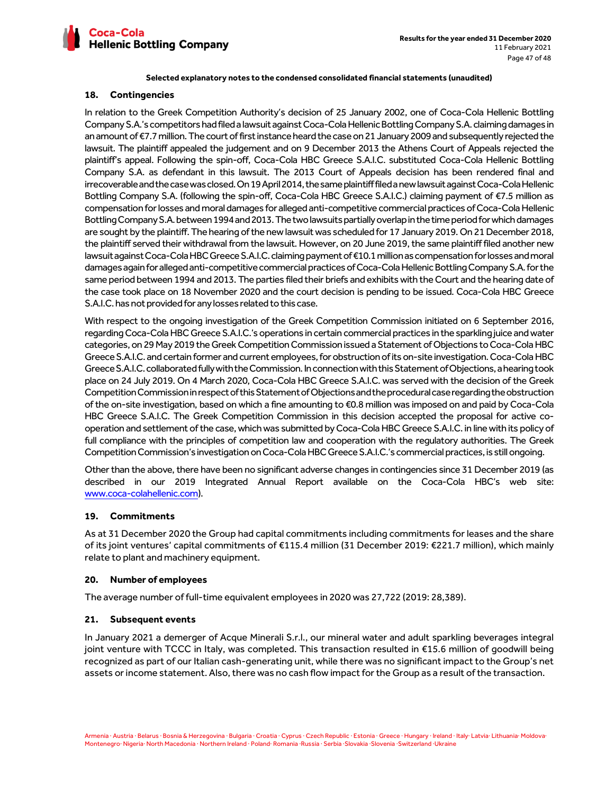

# **18. Contingencies**

In relation to the Greek Competition Authority's decision of 25 January 2002, one of Coca-Cola Hellenic Bottling Company S.A.'s competitors had filed a lawsuit against Coca-Cola Hellenic Bottling Company S.A. claiming damages in an amount of €7.7 million. The court of first instance heard the case on 21 January 2009 and subsequently rejected the lawsuit. The plaintiff appealed the judgement and on 9 December 2013 the Athens Court of Appeals rejected the plaintiff's appeal. Following the spin-off, Coca-Cola HBC Greece S.A.I.C. substituted Coca-Cola Hellenic Bottling Company S.A. as defendant in this lawsuit. The 2013 Court of Appeals decision has been rendered final and irrecoverable and the case was closed. On 19 April 2014, the same plaintiff filed a new lawsuit against Coca-Cola Hellenic Bottling Company S.A. (following the spin-off, Coca-Cola HBC Greece S.A.I.C.) claiming payment of €7.5 million as compensation for losses and moral damages for alleged anti-competitive commercial practices of Coca-Cola Hellenic Bottling Company S.A. between 1994 and 2013. The two lawsuits partially overlap in the time period for which damages are sought by the plaintiff. The hearing of the new lawsuit was scheduled for 17 January 2019. On 21 December 2018, the plaintiff served their withdrawal from the lawsuit. However, on 20 June 2019, the same plaintiff filed another new lawsuit against Coca-Cola HBC Greece S.A.I.C. claiming payment of €10.1 million as compensation for losses and moral damages again for alleged anti-competitive commercial practices of Coca-Cola Hellenic Bottling Company S.A. for the same period between 1994 and 2013. The parties filed their briefs and exhibits with the Court and the hearing date of the case took place on 18 November 2020 and the court decision is pending to be issued. Coca-Cola HBC Greece S.A.I.C. has not provided for any losses related to this case.

With respect to the ongoing investigation of the Greek Competition Commission initiated on 6 September 2016, regarding Coca-Cola HBC Greece S.A.I.C.'s operations in certain commercial practices in the sparkling juice and water categories, on 29 May 2019 the Greek Competition Commission issued a Statement of Objections to Coca-Cola HBC Greece S.A.I.C. and certain former and current employees, for obstruction of its on-site investigation. Coca-Cola HBC Greece S.A.I.C. collaborated fully with the Commission. In connection with this Statement of Objections, a hearing took place on 24 July 2019. On 4 March 2020, Coca-Cola HBC Greece S.A.I.C. was served with the decision of the Greek Competition Commission in respect of this Statement of Objections and the procedural case regarding the obstruction of the on-site investigation, based on which a fine amounting to €0.8 million was imposed on and paid by Coca-Cola HBC Greece S.A.I.C. The Greek Competition Commission in this decision accepted the proposal for active cooperation and settlement of the case, which was submitted by Coca-Cola HBC Greece S.A.I.C. in line with its policy of full compliance with the principles of competition law and cooperation with the regulatory authorities. The Greek Competition Commission's investigation on Coca-Cola HBC Greece S.A.I.C.'s commercial practices, is still ongoing.

Other than the above, there have been no significant adverse changes in contingencies since 31 December 2019 (as described in our 2019 Integrated Annual Report available on the Coca-Cola HBC's web site: www.coca-colahellenic.com).

# **19. Commitments**

As at 31 December 2020 the Group had capital commitments including commitments for leases and the share of its joint ventures' capital commitments of €115.4 million (31 December 2019: €221.7 million), which mainly relate to plant and machinery equipment.

# **20. Number of employees**

The average number of full-time equivalent employees in 2020 was 27,722 (2019: 28,389).

# **21. Subsequent events**

In January 2021 a demerger of Acque Minerali S.r.l., our mineral water and adult sparkling beverages integral joint venture with TCCC in Italy, was completed. This transaction resulted in €15.6 million of goodwill being recognized as part of our Italian cash-generating unit, while there was no significant impact to the Group's net assets or income statement. Also, there was no cash flow impact for the Group as a result of the transaction.